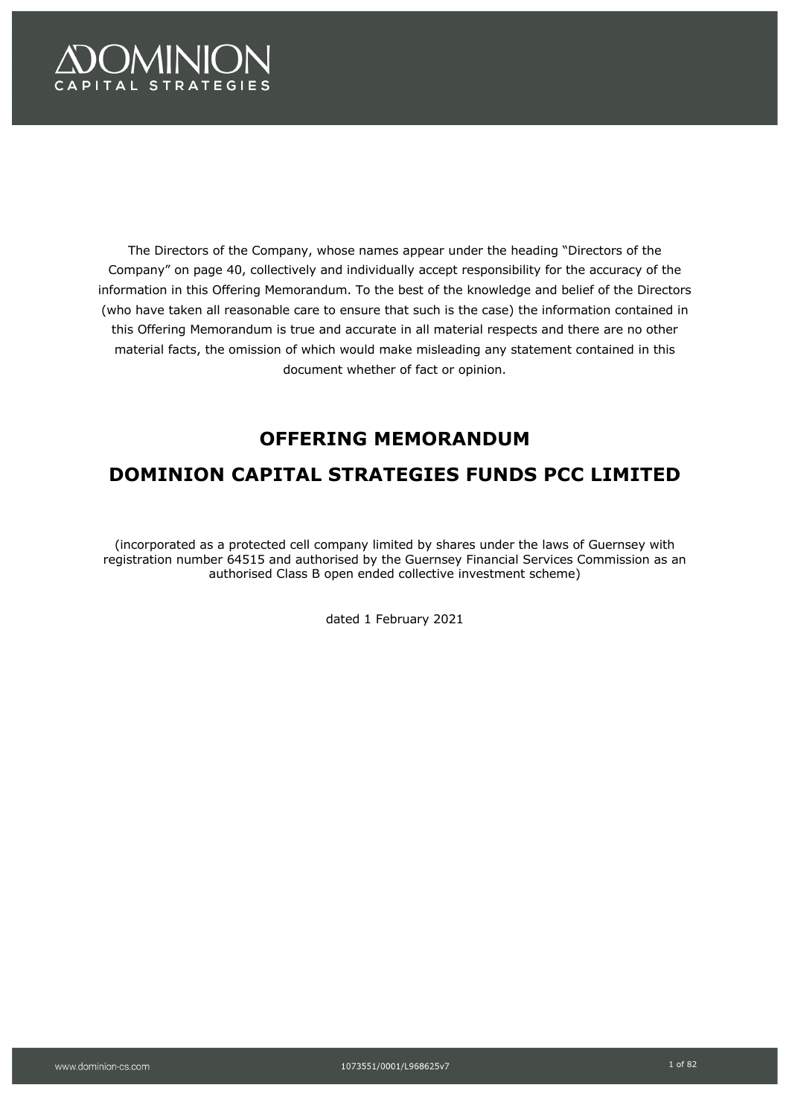# **OMINION SPITAL STRATEGIES**

The Directors of the Company, whose names appear under the heading "Directors of the Company" on page 40, collectively and individually accept responsibility for the accuracy of the information in this Offering Memorandum. To the best of the knowledge and belief of the Directors (who have taken all reasonable care to ensure that such is the case) the information contained in this Offering Memorandum is true and accurate in all material respects and there are no other material facts, the omission of which would make misleading any statement contained in this document whether of fact or opinion.

# **OFFERING MEMORANDUM**

# **DOMINION CAPITAL STRATEGIES FUNDS PCC LIMITED**

(incorporated as a protected cell company limited by shares under the laws of Guernsey with registration number 64515 and authorised by the Guernsey Financial Services Commission as an authorised Class B open ended collective investment scheme)

dated 1 February 2021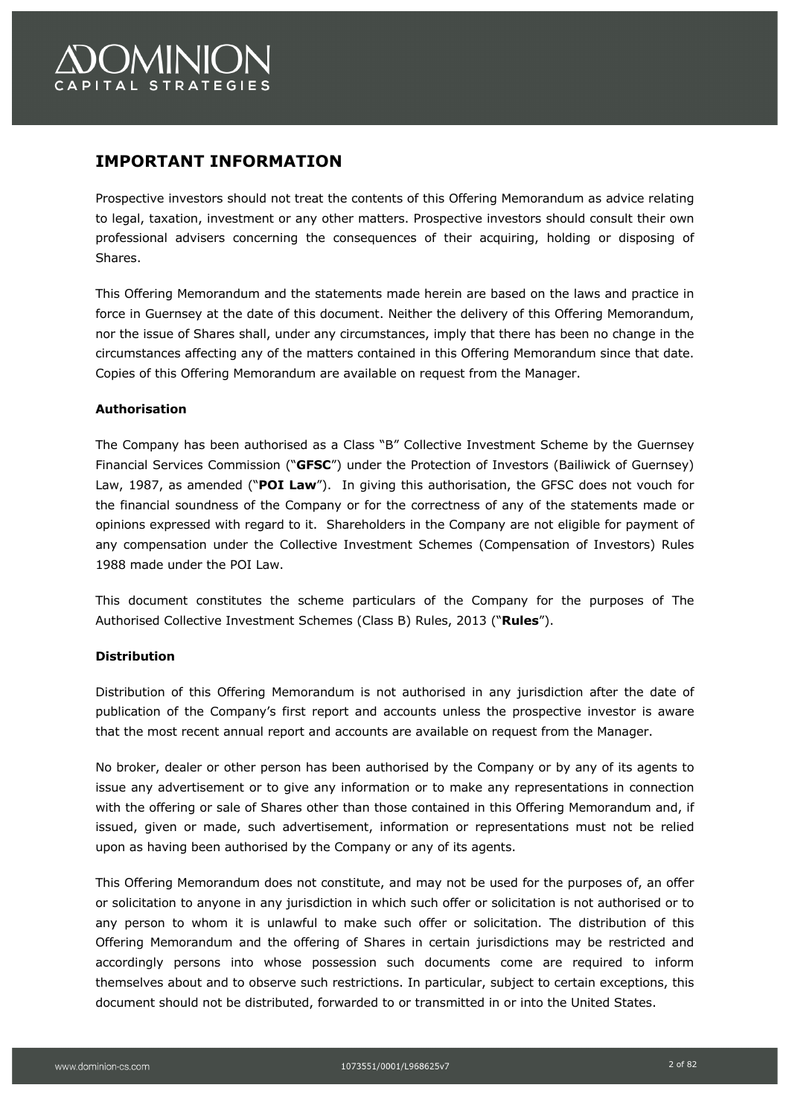# **OMINION** APITAL STRATEGIES

## **IMPORTANT INFORMATION**

Prospective investors should not treat the contents of this Offering Memorandum as advice relating to legal, taxation, investment or any other matters. Prospective investors should consult their own professional advisers concerning the consequences of their acquiring, holding or disposing of Shares.

This Offering Memorandum and the statements made herein are based on the laws and practice in force in Guernsey at the date of this document. Neither the delivery of this Offering Memorandum, nor the issue of Shares shall, under any circumstances, imply that there has been no change in the circumstances affecting any of the matters contained in this Offering Memorandum since that date. Copies of this Offering Memorandum are available on request from the Manager.

## **Authorisation**

The Company has been authorised as a Class "B" Collective Investment Scheme by the Guernsey Financial Services Commission ("**GFSC**") under the Protection of Investors (Bailiwick of Guernsey) Law, 1987, as amended ("**POI Law**"). In giving this authorisation, the GFSC does not vouch for the financial soundness of the Company or for the correctness of any of the statements made or opinions expressed with regard to it. Shareholders in the Company are not eligible for payment of any compensation under the Collective Investment Schemes (Compensation of Investors) Rules 1988 made under the POI Law.

This document constitutes the scheme particulars of the Company for the purposes of The Authorised Collective Investment Schemes (Class B) Rules, 2013 ("**Rules**").

## **Distribution**

Distribution of this Offering Memorandum is not authorised in any jurisdiction after the date of publication of the Company's first report and accounts unless the prospective investor is aware that the most recent annual report and accounts are available on request from the Manager.

No broker, dealer or other person has been authorised by the Company or by any of its agents to issue any advertisement or to give any information or to make any representations in connection with the offering or sale of Shares other than those contained in this Offering Memorandum and, if issued, given or made, such advertisement, information or representations must not be relied upon as having been authorised by the Company or any of its agents.

This Offering Memorandum does not constitute, and may not be used for the purposes of, an offer or solicitation to anyone in any jurisdiction in which such offer or solicitation is not authorised or to any person to whom it is unlawful to make such offer or solicitation. The distribution of this Offering Memorandum and the offering of Shares in certain jurisdictions may be restricted and accordingly persons into whose possession such documents come are required to inform themselves about and to observe such restrictions. In particular, subject to certain exceptions, this document should not be distributed, forwarded to or transmitted in or into the United States.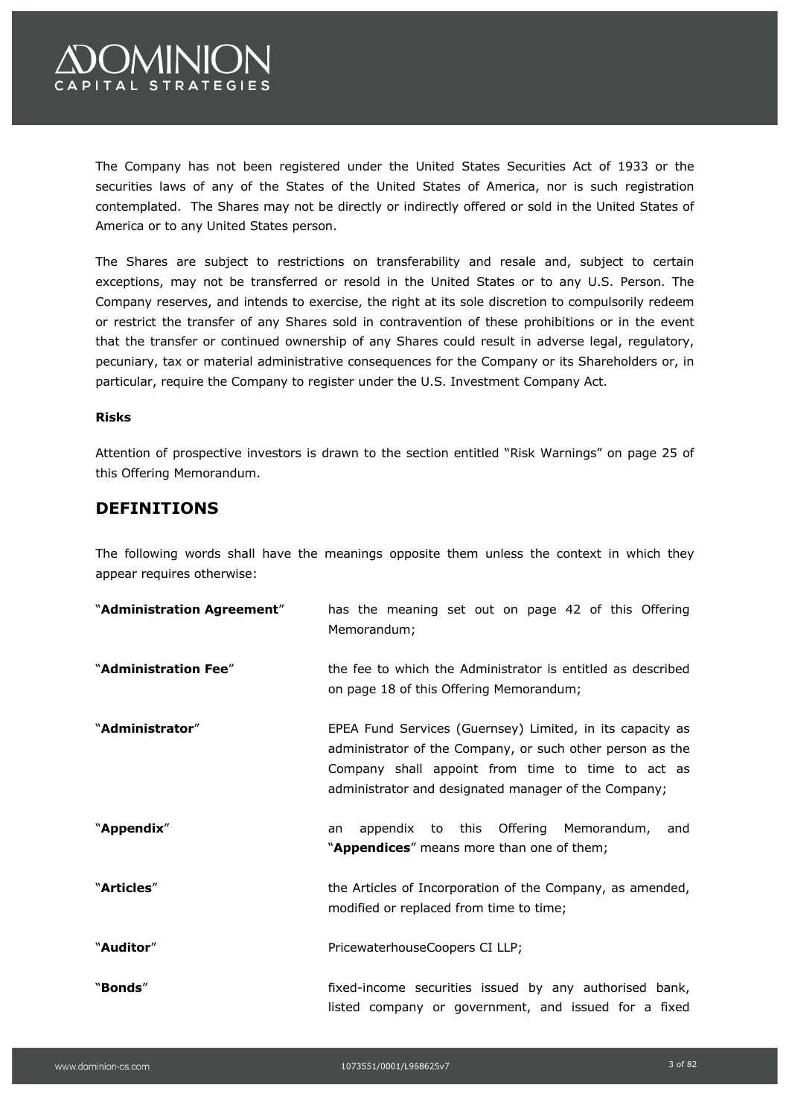

The Company has not been registered under the United States Securities Act of 1933 or the securities laws of any of the States of the United States of America, nor is such registration contemplated. The Shares may not be directly or indirectly offered or sold in the United States of America or to any United States person.

The Shares are subject to restrictions on transferability and resale and, subject to certain exceptions, may not be transferred or resold in the United States or to any U.S. Person. The Company reserves, and intends to exercise, the right at its sole discretion to compulsorily redeem or restrict the transfer of any Shares sold in contravention of these prohibitions or in the event that the transfer or continued ownership of any Shares could result in adverse legal, regulatory, pecuniary, tax or material administrative consequences for the Company or its Shareholders or, in particular, require the Company to register under the U.S. Investment Company Act.

#### **Risks**

Attention of prospective investors is drawn to the section entitled "Risk Warnings" on page 25 of this Offering Memorandum.

## **DEFINITIONS**

The following words shall have the meanings opposite them unless the context in which they appear requires otherwise:

| "Administration Agreement" | has the meaning set out on page 42 of this Offering<br>Memorandum;                                                                                                                                                                  |
|----------------------------|-------------------------------------------------------------------------------------------------------------------------------------------------------------------------------------------------------------------------------------|
| "Administration Fee"       | the fee to which the Administrator is entitled as described<br>on page 18 of this Offering Memorandum;                                                                                                                              |
| "Administrator"            | EPEA Fund Services (Guernsey) Limited, in its capacity as<br>administrator of the Company, or such other person as the<br>Company shall appoint from time to time to act as<br>administrator and designated manager of the Company; |
| "Appendix"                 | appendix to this Offering Memorandum,<br>and<br>an<br>"Appendices" means more than one of them;                                                                                                                                     |
| "Articles"                 | the Articles of Incorporation of the Company, as amended,<br>modified or replaced from time to time;                                                                                                                                |
| "Auditor"                  | PricewaterhouseCoopers CI LLP;                                                                                                                                                                                                      |
| "Bonds"                    | fixed-income securities issued by any authorised bank,<br>listed company or government, and issued for a fixed                                                                                                                      |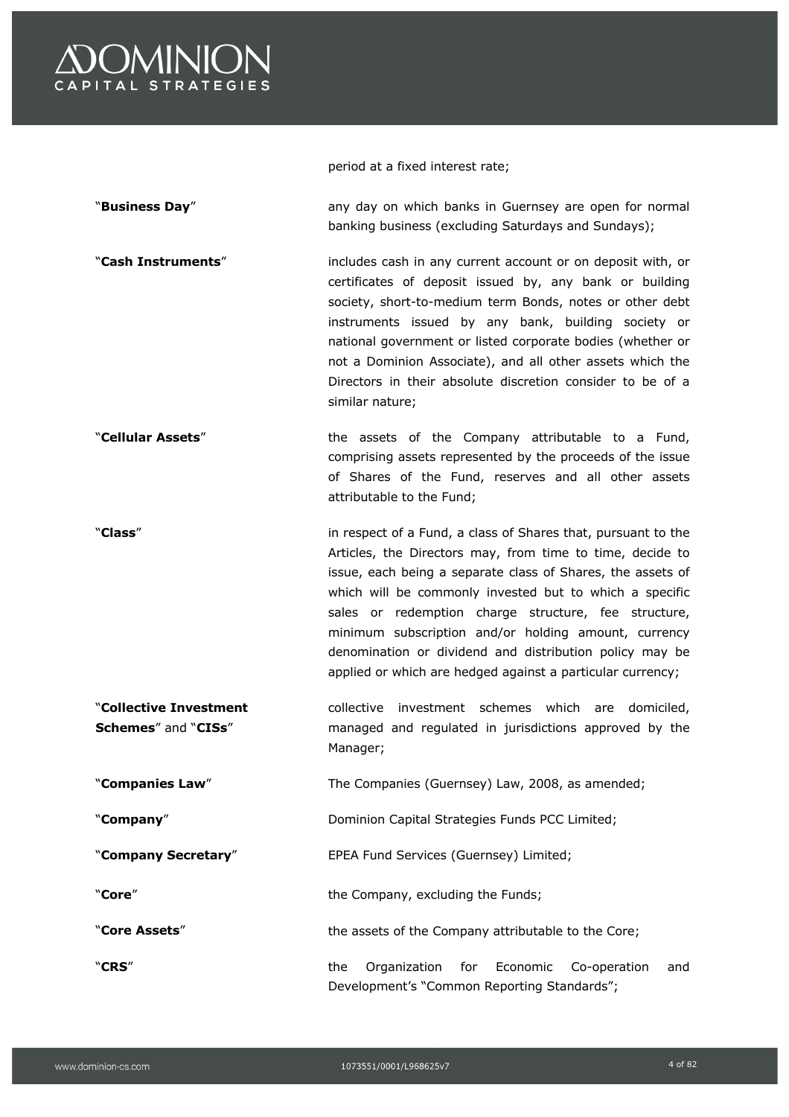

period at a fixed interest rate;

| "Business Day"                                | any day on which banks in Guernsey are open for normal<br>banking business (excluding Saturdays and Sundays);                                                                                                                                                                                                                                                                                                                                                                                 |
|-----------------------------------------------|-----------------------------------------------------------------------------------------------------------------------------------------------------------------------------------------------------------------------------------------------------------------------------------------------------------------------------------------------------------------------------------------------------------------------------------------------------------------------------------------------|
| "Cash Instruments"                            | includes cash in any current account or on deposit with, or<br>certificates of deposit issued by, any bank or building<br>society, short-to-medium term Bonds, notes or other debt<br>instruments issued by any bank, building society or<br>national government or listed corporate bodies (whether or<br>not a Dominion Associate), and all other assets which the<br>Directors in their absolute discretion consider to be of a<br>similar nature;                                         |
| "Cellular Assets"                             | the assets of the Company attributable to a Fund,<br>comprising assets represented by the proceeds of the issue<br>of Shares of the Fund, reserves and all other assets<br>attributable to the Fund;                                                                                                                                                                                                                                                                                          |
| "Class"                                       | in respect of a Fund, a class of Shares that, pursuant to the<br>Articles, the Directors may, from time to time, decide to<br>issue, each being a separate class of Shares, the assets of<br>which will be commonly invested but to which a specific<br>sales or redemption charge structure, fee structure,<br>minimum subscription and/or holding amount, currency<br>denomination or dividend and distribution policy may be<br>applied or which are hedged against a particular currency; |
| "Collective Investment<br>Schemes" and "CISs" | collective<br>investment<br>schemes<br>which<br>domiciled,<br>are<br>managed and regulated in jurisdictions approved by the<br>Manager;                                                                                                                                                                                                                                                                                                                                                       |
| "Companies Law"                               | The Companies (Guernsey) Law, 2008, as amended;                                                                                                                                                                                                                                                                                                                                                                                                                                               |
| "Company"                                     | Dominion Capital Strategies Funds PCC Limited;                                                                                                                                                                                                                                                                                                                                                                                                                                                |
| "Company Secretary"                           | EPEA Fund Services (Guernsey) Limited;                                                                                                                                                                                                                                                                                                                                                                                                                                                        |
| "Core"                                        | the Company, excluding the Funds;                                                                                                                                                                                                                                                                                                                                                                                                                                                             |
| "Core Assets"                                 | the assets of the Company attributable to the Core;                                                                                                                                                                                                                                                                                                                                                                                                                                           |
| "CRS"                                         | Economic<br>the<br>Organization<br>Co-operation<br>for<br>and<br>Development's "Common Reporting Standards";                                                                                                                                                                                                                                                                                                                                                                                  |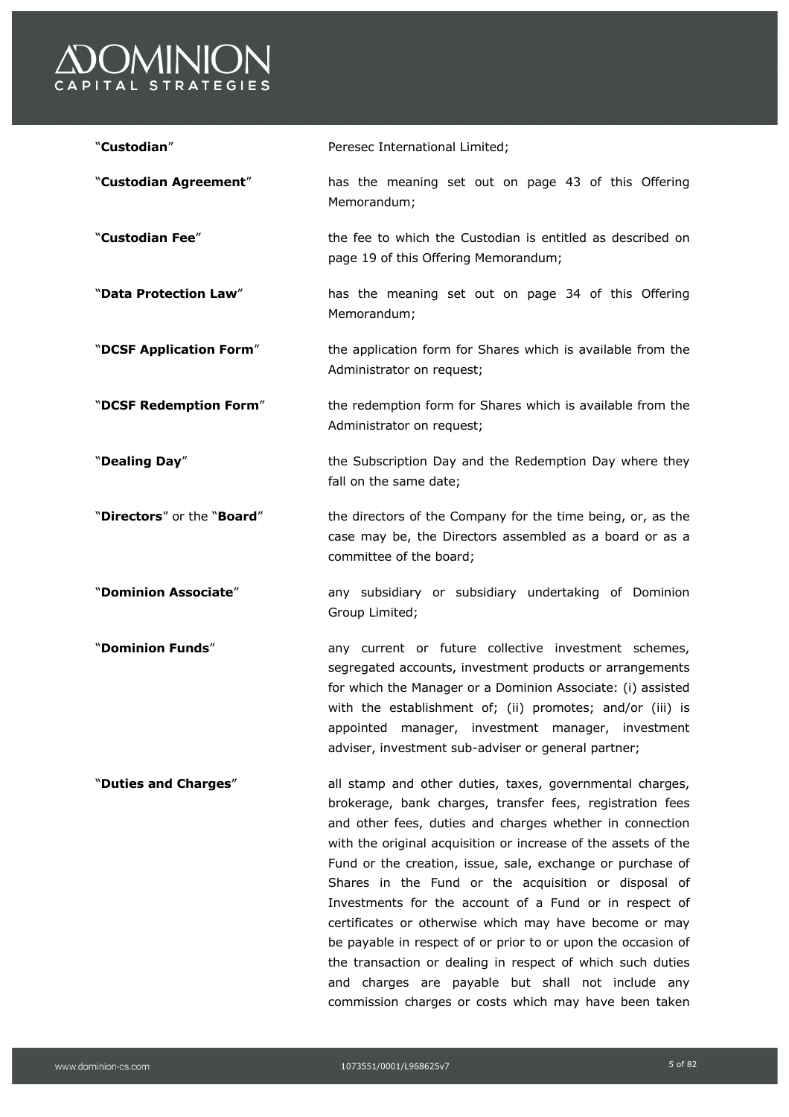

| "Custodian"                | Peresec International Limited;                                                                                                                                                                                                                                                                                                                                                                                                                                                                                                                                                                                                                                                                                                            |  |
|----------------------------|-------------------------------------------------------------------------------------------------------------------------------------------------------------------------------------------------------------------------------------------------------------------------------------------------------------------------------------------------------------------------------------------------------------------------------------------------------------------------------------------------------------------------------------------------------------------------------------------------------------------------------------------------------------------------------------------------------------------------------------------|--|
| "Custodian Agreement"      | has the meaning set out on page 43 of this Offering<br>Memorandum;                                                                                                                                                                                                                                                                                                                                                                                                                                                                                                                                                                                                                                                                        |  |
| "Custodian Fee"            | the fee to which the Custodian is entitled as described on<br>page 19 of this Offering Memorandum;                                                                                                                                                                                                                                                                                                                                                                                                                                                                                                                                                                                                                                        |  |
| "Data Protection Law"      | has the meaning set out on page 34 of this Offering<br>Memorandum;                                                                                                                                                                                                                                                                                                                                                                                                                                                                                                                                                                                                                                                                        |  |
| "DCSF Application Form"    | the application form for Shares which is available from the<br>Administrator on request;                                                                                                                                                                                                                                                                                                                                                                                                                                                                                                                                                                                                                                                  |  |
| "DCSF Redemption Form"     | the redemption form for Shares which is available from the<br>Administrator on request;                                                                                                                                                                                                                                                                                                                                                                                                                                                                                                                                                                                                                                                   |  |
| "Dealing Day"              | the Subscription Day and the Redemption Day where they<br>fall on the same date;                                                                                                                                                                                                                                                                                                                                                                                                                                                                                                                                                                                                                                                          |  |
| "Directors" or the "Board" | the directors of the Company for the time being, or, as the<br>case may be, the Directors assembled as a board or as a<br>committee of the board;                                                                                                                                                                                                                                                                                                                                                                                                                                                                                                                                                                                         |  |
| "Dominion Associate"       | any subsidiary or subsidiary undertaking of Dominion<br>Group Limited;                                                                                                                                                                                                                                                                                                                                                                                                                                                                                                                                                                                                                                                                    |  |
| "Dominion Funds"           | any current or future collective investment schemes,<br>segregated accounts, investment products or arrangements<br>for which the Manager or a Dominion Associate: (i) assisted<br>with the establishment of; (ii) promotes; and/or (iii) is<br>appointed manager, investment manager, investment<br>adviser, investment sub-adviser or general partner;                                                                                                                                                                                                                                                                                                                                                                                  |  |
| "Duties and Charges"       | all stamp and other duties, taxes, governmental charges,<br>brokerage, bank charges, transfer fees, registration fees<br>and other fees, duties and charges whether in connection<br>with the original acquisition or increase of the assets of the<br>Fund or the creation, issue, sale, exchange or purchase of<br>Shares in the Fund or the acquisition or disposal of<br>Investments for the account of a Fund or in respect of<br>certificates or otherwise which may have become or may<br>be payable in respect of or prior to or upon the occasion of<br>the transaction or dealing in respect of which such duties<br>and charges are payable but shall not include any<br>commission charges or costs which may have been taken |  |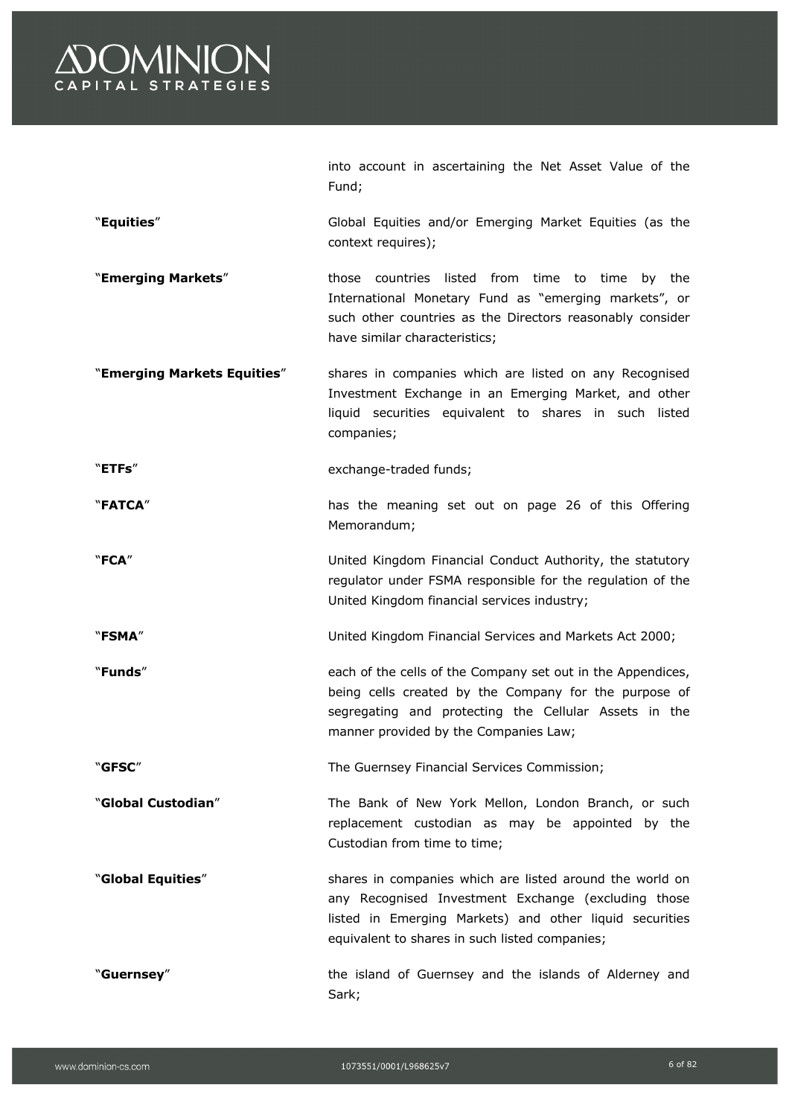

|                             | into account in ascertaining the Net Asset Value of the<br>Fund;                                                                                                                                                             |
|-----------------------------|------------------------------------------------------------------------------------------------------------------------------------------------------------------------------------------------------------------------------|
| "Equities"                  | Global Equities and/or Emerging Market Equities (as the<br>context requires);                                                                                                                                                |
| "Emerging Markets"          | those countries listed from time to time<br>by the<br>International Monetary Fund as "emerging markets", or<br>such other countries as the Directors reasonably consider<br>have similar characteristics;                    |
| "Emerging Markets Equities" | shares in companies which are listed on any Recognised<br>Investment Exchange in an Emerging Market, and other<br>liquid securities equivalent to shares in such listed<br>companies;                                        |
| "ETFs"                      | exchange-traded funds;                                                                                                                                                                                                       |
| "FATCA"                     | has the meaning set out on page 26 of this Offering<br>Memorandum;                                                                                                                                                           |
| "FCA"                       | United Kingdom Financial Conduct Authority, the statutory<br>regulator under FSMA responsible for the regulation of the<br>United Kingdom financial services industry;                                                       |
| "FSMA"                      | United Kingdom Financial Services and Markets Act 2000;                                                                                                                                                                      |
| "Funds"                     | each of the cells of the Company set out in the Appendices,<br>being cells created by the Company for the purpose of<br>segregating and protecting the Cellular Assets in the<br>manner provided by the Companies Law;       |
| "GFSC"                      | The Guernsey Financial Services Commission;                                                                                                                                                                                  |
| "Global Custodian"          | The Bank of New York Mellon, London Branch, or such<br>replacement custodian as may be appointed by the<br>Custodian from time to time;                                                                                      |
| "Global Equities"           | shares in companies which are listed around the world on<br>any Recognised Investment Exchange (excluding those<br>listed in Emerging Markets) and other liquid securities<br>equivalent to shares in such listed companies; |
| "Guernsey"                  | the island of Guernsey and the islands of Alderney and<br>Sark;                                                                                                                                                              |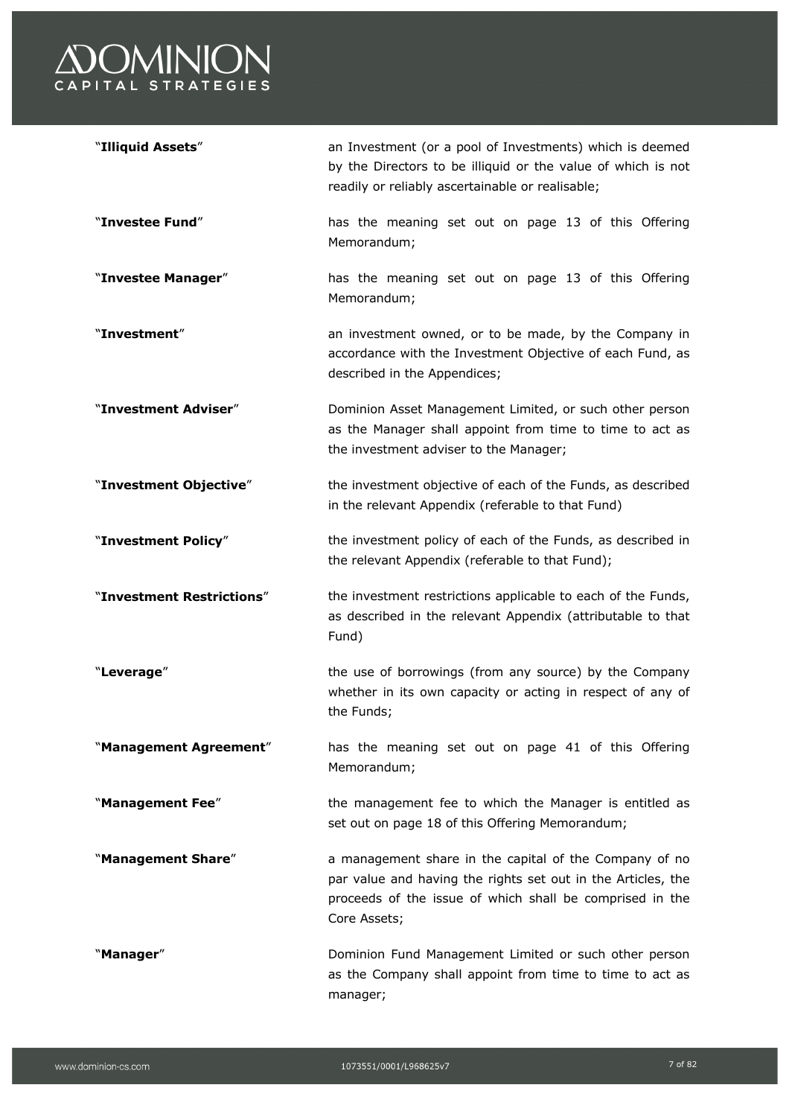

| "Illiquid Assets"         | an Investment (or a pool of Investments) which is deemed<br>by the Directors to be illiquid or the value of which is not<br>readily or reliably ascertainable or realisable;                       |
|---------------------------|----------------------------------------------------------------------------------------------------------------------------------------------------------------------------------------------------|
| "Investee Fund"           | has the meaning set out on page 13 of this Offering<br>Memorandum;                                                                                                                                 |
| "Investee Manager"        | has the meaning set out on page 13 of this Offering<br>Memorandum;                                                                                                                                 |
| "Investment"              | an investment owned, or to be made, by the Company in<br>accordance with the Investment Objective of each Fund, as<br>described in the Appendices;                                                 |
| "Investment Adviser"      | Dominion Asset Management Limited, or such other person<br>as the Manager shall appoint from time to time to act as<br>the investment adviser to the Manager;                                      |
| "Investment Objective"    | the investment objective of each of the Funds, as described<br>in the relevant Appendix (referable to that Fund)                                                                                   |
| "Investment Policy"       | the investment policy of each of the Funds, as described in<br>the relevant Appendix (referable to that Fund);                                                                                     |
| "Investment Restrictions" | the investment restrictions applicable to each of the Funds,<br>as described in the relevant Appendix (attributable to that<br>Fund)                                                               |
| "Leverage"                | the use of borrowings (from any source) by the Company<br>whether in its own capacity or acting in respect of any of<br>the Funds;                                                                 |
| "Management Agreement"    | has the meaning set out on page 41 of this Offering<br>Memorandum;                                                                                                                                 |
| "Management Fee"          | the management fee to which the Manager is entitled as<br>set out on page 18 of this Offering Memorandum;                                                                                          |
| "Management Share"        | a management share in the capital of the Company of no<br>par value and having the rights set out in the Articles, the<br>proceeds of the issue of which shall be comprised in the<br>Core Assets; |
| "Manager"                 | Dominion Fund Management Limited or such other person<br>as the Company shall appoint from time to time to act as<br>manager;                                                                      |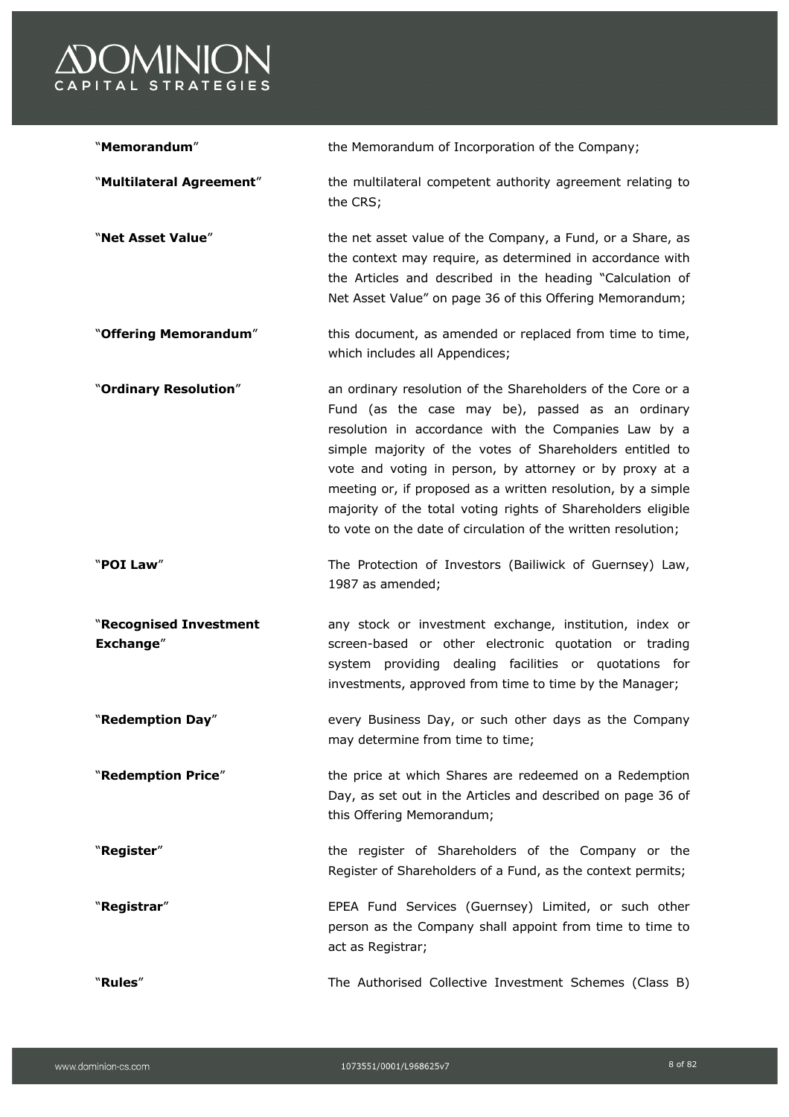

| "Memorandum"                        | the Memorandum of Incorporation of the Company;                                                                                                                                                                                                                                                                                                                                                                                                                                                 |
|-------------------------------------|-------------------------------------------------------------------------------------------------------------------------------------------------------------------------------------------------------------------------------------------------------------------------------------------------------------------------------------------------------------------------------------------------------------------------------------------------------------------------------------------------|
| "Multilateral Agreement"            | the multilateral competent authority agreement relating to<br>the CRS;                                                                                                                                                                                                                                                                                                                                                                                                                          |
| "Net Asset Value"                   | the net asset value of the Company, a Fund, or a Share, as<br>the context may require, as determined in accordance with<br>the Articles and described in the heading "Calculation of<br>Net Asset Value" on page 36 of this Offering Memorandum;                                                                                                                                                                                                                                                |
| "Offering Memorandum"               | this document, as amended or replaced from time to time,<br>which includes all Appendices;                                                                                                                                                                                                                                                                                                                                                                                                      |
| "Ordinary Resolution"               | an ordinary resolution of the Shareholders of the Core or a<br>Fund (as the case may be), passed as an ordinary<br>resolution in accordance with the Companies Law by a<br>simple majority of the votes of Shareholders entitled to<br>vote and voting in person, by attorney or by proxy at a<br>meeting or, if proposed as a written resolution, by a simple<br>majority of the total voting rights of Shareholders eligible<br>to vote on the date of circulation of the written resolution; |
| "POI Law"                           | The Protection of Investors (Bailiwick of Guernsey) Law,<br>1987 as amended;                                                                                                                                                                                                                                                                                                                                                                                                                    |
| "Recognised Investment<br>Exchange" | any stock or investment exchange, institution, index or<br>screen-based or other electronic quotation or trading<br>system providing dealing facilities or quotations for<br>investments, approved from time to time by the Manager;                                                                                                                                                                                                                                                            |
| "Redemption Day"                    | every Business Day, or such other days as the Company<br>may determine from time to time;                                                                                                                                                                                                                                                                                                                                                                                                       |
| "Redemption Price"                  | the price at which Shares are redeemed on a Redemption<br>Day, as set out in the Articles and described on page 36 of<br>this Offering Memorandum;                                                                                                                                                                                                                                                                                                                                              |
| "Register"                          | the register of Shareholders of the Company or the<br>Register of Shareholders of a Fund, as the context permits;                                                                                                                                                                                                                                                                                                                                                                               |
| "Registrar"                         | EPEA Fund Services (Guernsey) Limited, or such other<br>person as the Company shall appoint from time to time to<br>act as Registrar;                                                                                                                                                                                                                                                                                                                                                           |
| "Rules"                             | The Authorised Collective Investment Schemes (Class B)                                                                                                                                                                                                                                                                                                                                                                                                                                          |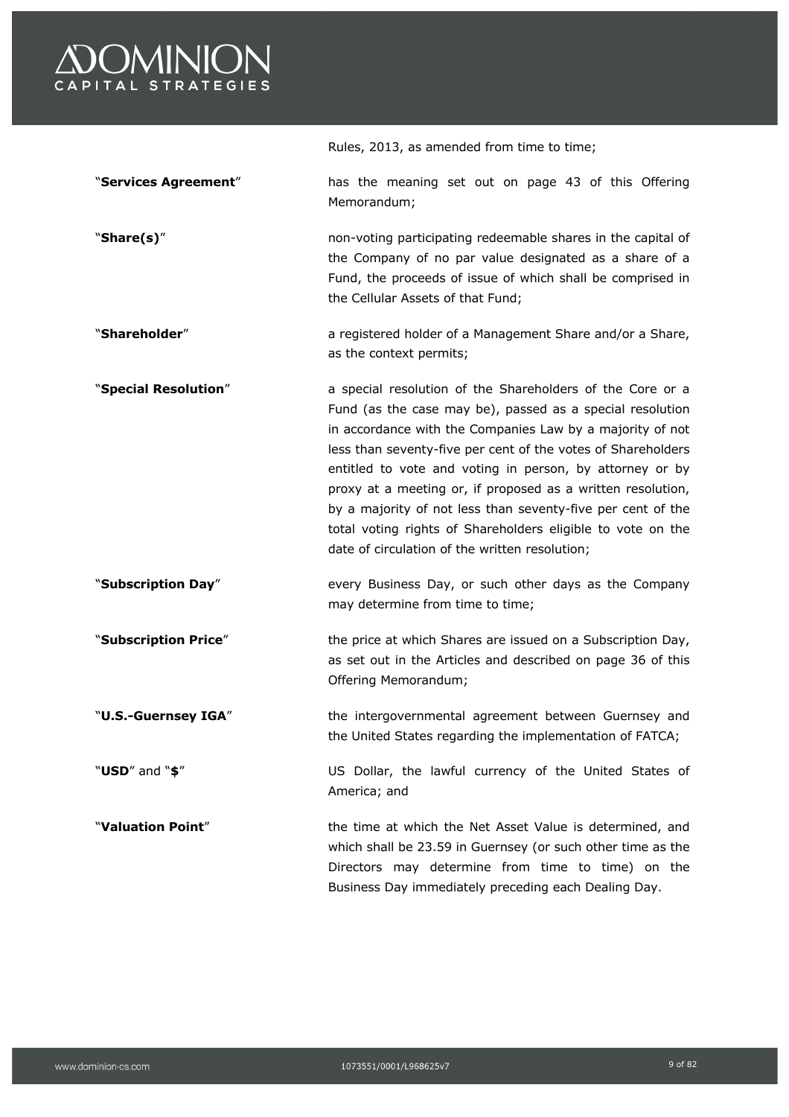

Rules, 2013, as amended from time to time; "**Services Agreement**" has the meaning set out on page 43 of this Offering Memorandum; "**Share(s)**" non-voting participating redeemable shares in the capital of the Company of no par value designated as a share of a Fund, the proceeds of issue of which shall be comprised in the Cellular Assets of that Fund; "**Shareholder**" a registered holder of a Management Share and/or a Share, as the context permits; "**Special Resolution**" a special resolution of the Shareholders of the Core or a Fund (as the case may be), passed as a special resolution in accordance with the Companies Law by a majority of not less than seventy-five per cent of the votes of Shareholders entitled to vote and voting in person, by attorney or by proxy at a meeting or, if proposed as a written resolution, by a majority of not less than seventy-five per cent of the total voting rights of Shareholders eligible to vote on the date of circulation of the written resolution; "**Subscription Day**" every Business Day, or such other days as the Company may determine from time to time; **"Subscription Price**" the price at which Shares are issued on a Subscription Day, as set out in the Articles and described on page 36 of this Offering Memorandum; "**U.S.-Guernsey IGA**" the intergovernmental agreement between Guernsey and the United States regarding the implementation of FATCA; "**USD**" and "**\$**" US Dollar, the lawful currency of the United States of America; and "**Valuation Point**" the time at which the Net Asset Value is determined, and which shall be 23.59 in Guernsey (or such other time as the Directors may determine from time to time) on the Business Day immediately preceding each Dealing Day.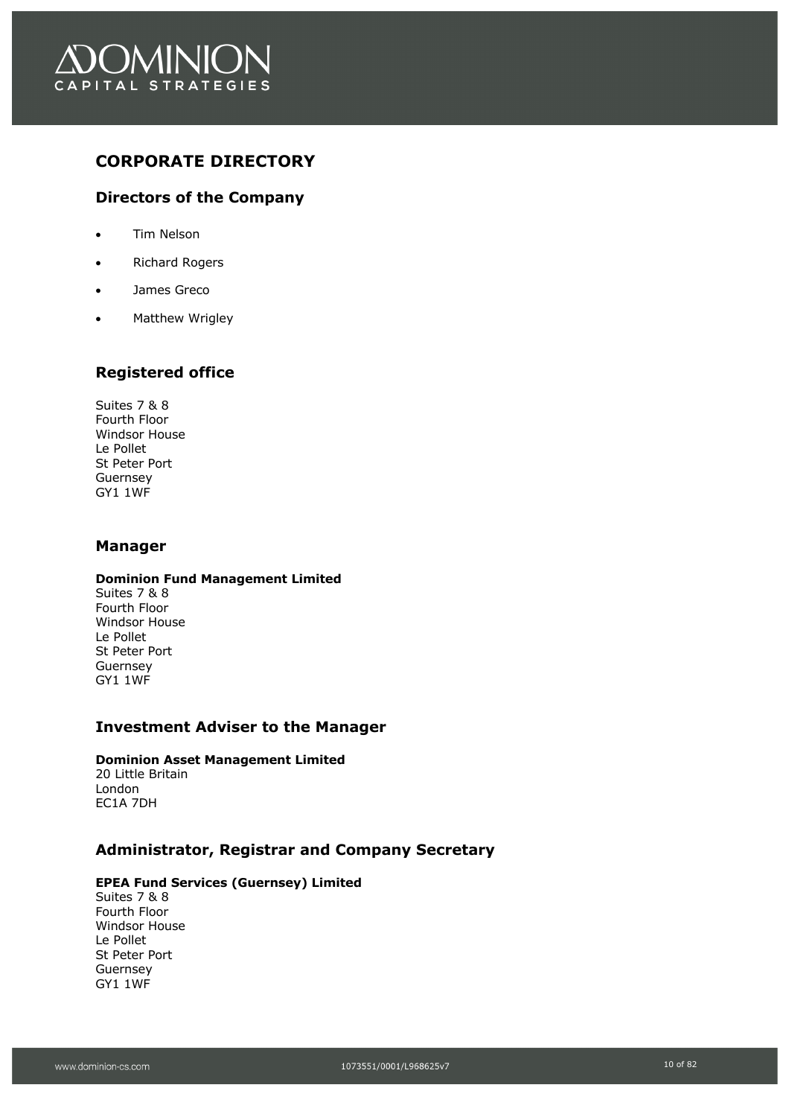

## **CORPORATE DIRECTORY**

## **Directors of the Company**

- Tim Nelson
- Richard Rogers
- James Greco
- Matthew Wrigley

## **Registered office**

Suites 7 & 8 Fourth Floor Windsor House Le Pollet St Peter Port Guernsey GY1 1WF

## **Manager**

#### **Dominion Fund Management Limited**

Suites 7 & 8 Fourth Floor Windsor House Le Pollet St Peter Port Guernsey GY1 1WF

## **Investment Adviser to the Manager**

#### **Dominion Asset Management Limited**

20 Little Britain London EC1A 7DH

## **Administrator, Registrar and Company Secretary**

#### **EPEA Fund Services (Guernsey) Limited**

Suites 7 & 8 Fourth Floor Windsor House Le Pollet St Peter Port Guernsey GY1 1WF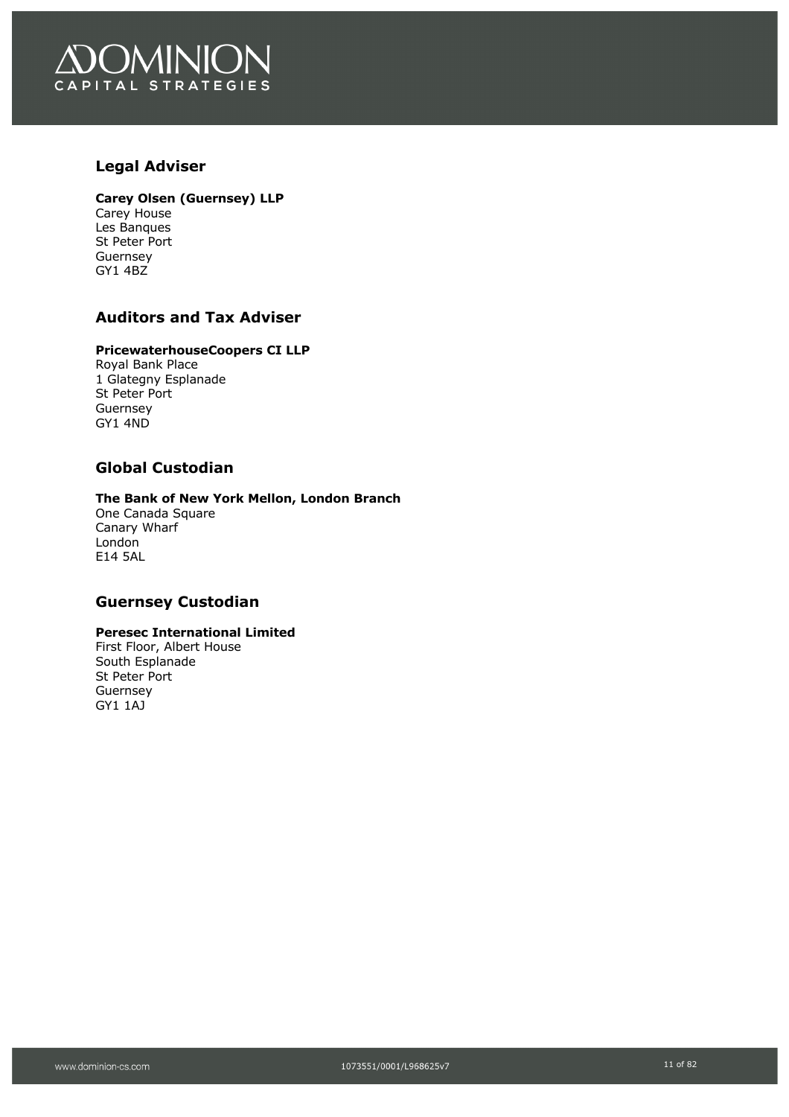

## **Legal Adviser**

#### **Carey Olsen (Guernsey) LLP**

Carey House Les Banques St Peter Port Guernsey GY1 4BZ

## **Auditors and Tax Adviser**

#### **PricewaterhouseCoopers CI LLP**

Royal Bank Place 1 Glategny Esplanade St Peter Port Guernsey GY1 4ND

## **Global Custodian**

#### **The Bank of New York Mellon, London Branch**

One Canada Square Canary Wharf London E14 5AL

## **Guernsey Custodian**

### **Peresec International Limited**

First Floor, Albert House South Esplanade St Peter Port Guernsey GY1 1AJ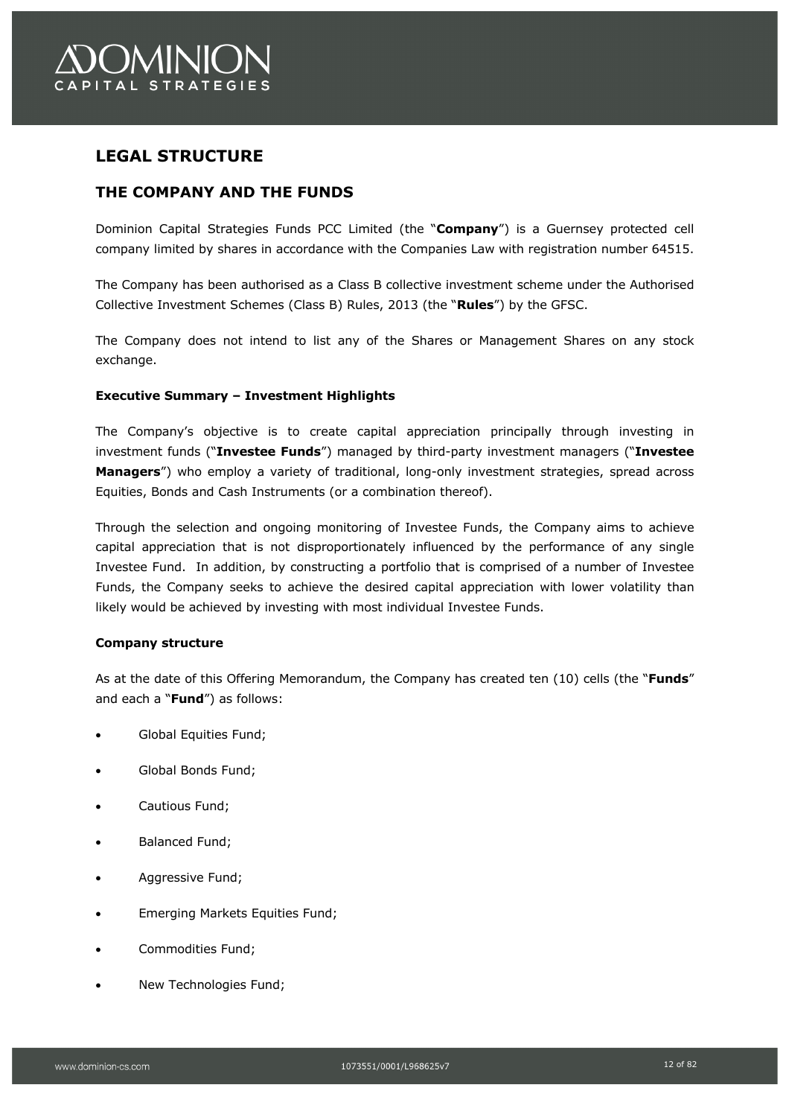# **LEGAL STRUCTURE**

## **THE COMPANY AND THE FUNDS**

Dominion Capital Strategies Funds PCC Limited (the "**Company**") is a Guernsey protected cell company limited by shares in accordance with the Companies Law with registration number 64515.

The Company has been authorised as a Class B collective investment scheme under the Authorised Collective Investment Schemes (Class B) Rules, 2013 (the "**Rules**") by the GFSC.

The Company does not intend to list any of the Shares or Management Shares on any stock exchange.

### **Executive Summary – Investment Highlights**

The Company's objective is to create capital appreciation principally through investing in investment funds ("**Investee Funds**") managed by third-party investment managers ("**Investee Managers**") who employ a variety of traditional, long-only investment strategies, spread across Equities, Bonds and Cash Instruments (or a combination thereof).

Through the selection and ongoing monitoring of Investee Funds, the Company aims to achieve capital appreciation that is not disproportionately influenced by the performance of any single Investee Fund. In addition, by constructing a portfolio that is comprised of a number of Investee Funds, the Company seeks to achieve the desired capital appreciation with lower volatility than likely would be achieved by investing with most individual Investee Funds.

#### **Company structure**

As at the date of this Offering Memorandum, the Company has created ten (10) cells (the "**Funds**" and each a "**Fund**") as follows:

- Global Equities Fund;
- Global Bonds Fund;
- Cautious Fund;
- Balanced Fund;
- Aggressive Fund;
- Emerging Markets Equities Fund;
- Commodities Fund;
- New Technologies Fund;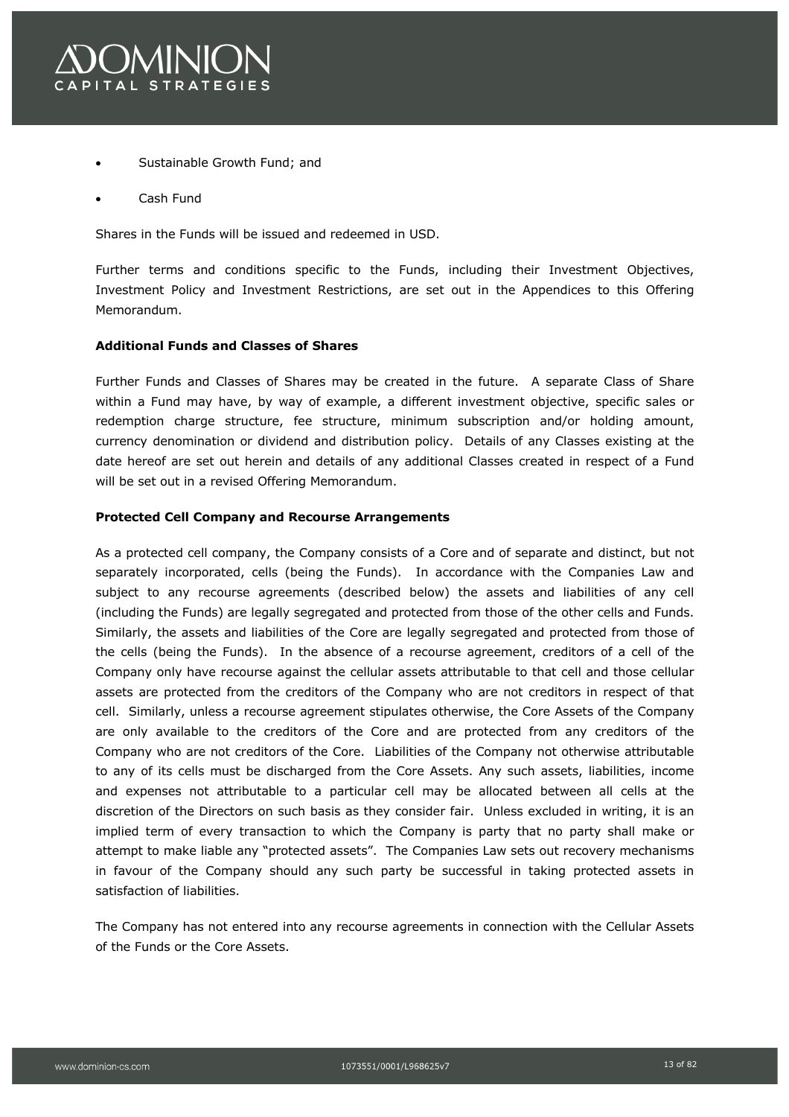

- Sustainable Growth Fund; and
- Cash Fund

Shares in the Funds will be issued and redeemed in USD.

Further terms and conditions specific to the Funds, including their Investment Objectives, Investment Policy and Investment Restrictions, are set out in the Appendices to this Offering Memorandum.

#### **Additional Funds and Classes of Shares**

Further Funds and Classes of Shares may be created in the future. A separate Class of Share within a Fund may have, by way of example, a different investment objective, specific sales or redemption charge structure, fee structure, minimum subscription and/or holding amount, currency denomination or dividend and distribution policy. Details of any Classes existing at the date hereof are set out herein and details of any additional Classes created in respect of a Fund will be set out in a revised Offering Memorandum.

#### **Protected Cell Company and Recourse Arrangements**

As a protected cell company, the Company consists of a Core and of separate and distinct, but not separately incorporated, cells (being the Funds). In accordance with the Companies Law and subject to any recourse agreements (described below) the assets and liabilities of any cell (including the Funds) are legally segregated and protected from those of the other cells and Funds. Similarly, the assets and liabilities of the Core are legally segregated and protected from those of the cells (being the Funds). In the absence of a recourse agreement, creditors of a cell of the Company only have recourse against the cellular assets attributable to that cell and those cellular assets are protected from the creditors of the Company who are not creditors in respect of that cell. Similarly, unless a recourse agreement stipulates otherwise, the Core Assets of the Company are only available to the creditors of the Core and are protected from any creditors of the Company who are not creditors of the Core. Liabilities of the Company not otherwise attributable to any of its cells must be discharged from the Core Assets. Any such assets, liabilities, income and expenses not attributable to a particular cell may be allocated between all cells at the discretion of the Directors on such basis as they consider fair. Unless excluded in writing, it is an implied term of every transaction to which the Company is party that no party shall make or attempt to make liable any "protected assets". The Companies Law sets out recovery mechanisms in favour of the Company should any such party be successful in taking protected assets in satisfaction of liabilities.

The Company has not entered into any recourse agreements in connection with the Cellular Assets of the Funds or the Core Assets.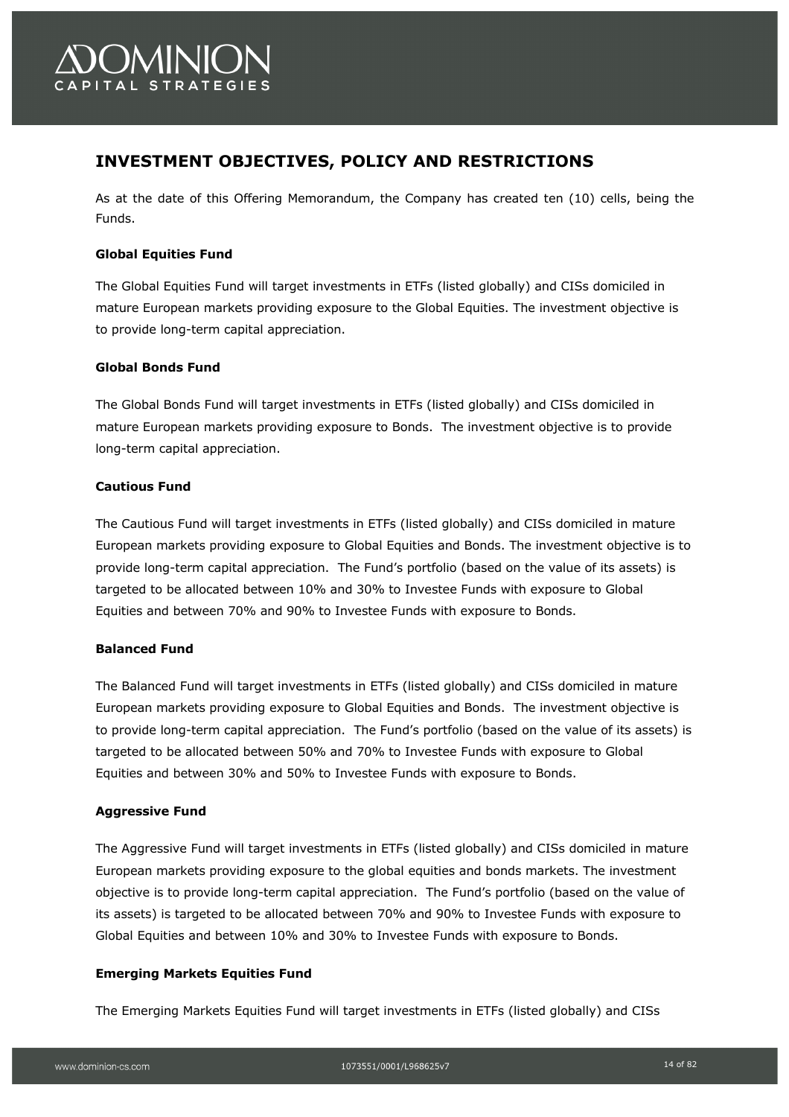

# **INVESTMENT OBJECTIVES, POLICY AND RESTRICTIONS**

As at the date of this Offering Memorandum, the Company has created ten (10) cells, being the Funds.

### **Global Equities Fund**

The Global Equities Fund will target investments in ETFs (listed globally) and CISs domiciled in mature European markets providing exposure to the Global Equities. The investment objective is to provide long-term capital appreciation.

### **Global Bonds Fund**

The Global Bonds Fund will target investments in ETFs (listed globally) and CISs domiciled in mature European markets providing exposure to Bonds. The investment objective is to provide long-term capital appreciation.

### **Cautious Fund**

The Cautious Fund will target investments in ETFs (listed globally) and CISs domiciled in mature European markets providing exposure to Global Equities and Bonds. The investment objective is to provide long-term capital appreciation. The Fund's portfolio (based on the value of its assets) is targeted to be allocated between 10% and 30% to Investee Funds with exposure to Global Equities and between 70% and 90% to Investee Funds with exposure to Bonds.

#### **Balanced Fund**

The Balanced Fund will target investments in ETFs (listed globally) and CISs domiciled in mature European markets providing exposure to Global Equities and Bonds. The investment objective is to provide long-term capital appreciation. The Fund's portfolio (based on the value of its assets) is targeted to be allocated between 50% and 70% to Investee Funds with exposure to Global Equities and between 30% and 50% to Investee Funds with exposure to Bonds.

#### **Aggressive Fund**

The Aggressive Fund will target investments in ETFs (listed globally) and CISs domiciled in mature European markets providing exposure to the global equities and bonds markets. The investment objective is to provide long-term capital appreciation. The Fund's portfolio (based on the value of its assets) is targeted to be allocated between 70% and 90% to Investee Funds with exposure to Global Equities and between 10% and 30% to Investee Funds with exposure to Bonds.

#### **Emerging Markets Equities Fund**

The Emerging Markets Equities Fund will target investments in ETFs (listed globally) and CISs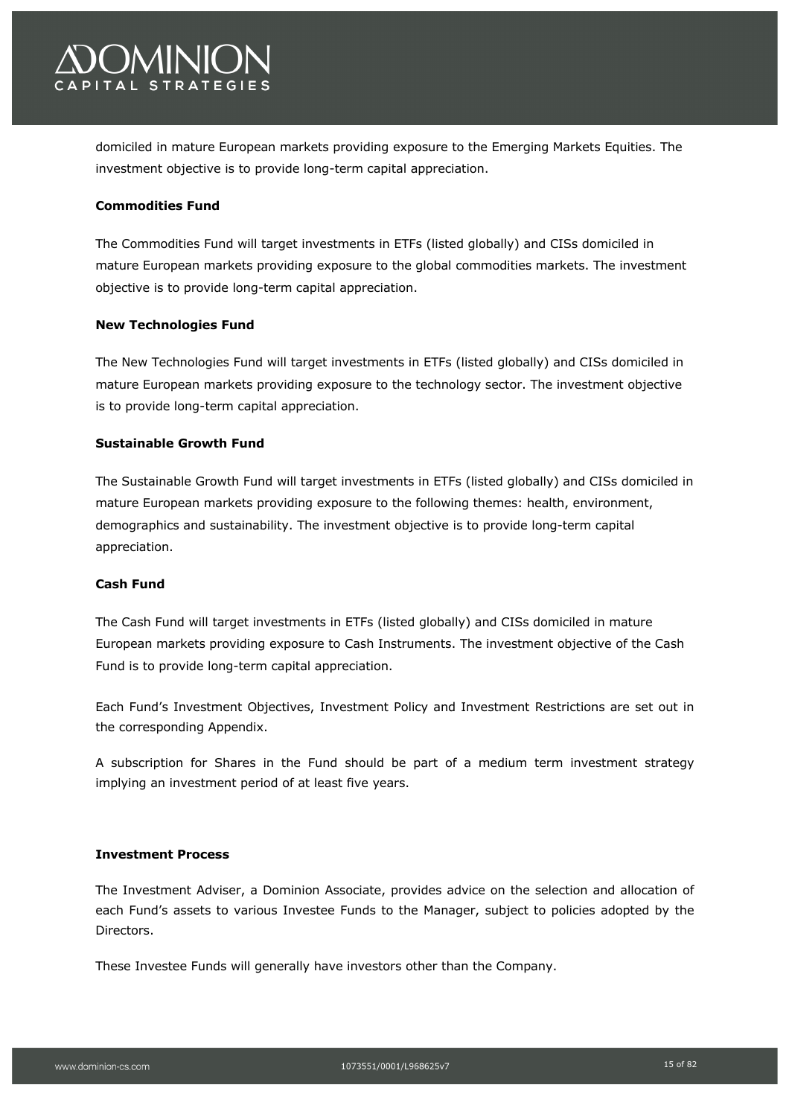

domiciled in mature European markets providing exposure to the Emerging Markets Equities. The investment objective is to provide long-term capital appreciation.

#### **Commodities Fund**

The Commodities Fund will target investments in ETFs (listed globally) and CISs domiciled in mature European markets providing exposure to the global commodities markets. The investment objective is to provide long-term capital appreciation.

#### **New Technologies Fund**

The New Technologies Fund will target investments in ETFs (listed globally) and CISs domiciled in mature European markets providing exposure to the technology sector. The investment objective is to provide long-term capital appreciation.

#### **Sustainable Growth Fund**

The Sustainable Growth Fund will target investments in ETFs (listed globally) and CISs domiciled in mature European markets providing exposure to the following themes: health, environment, demographics and sustainability. The investment objective is to provide long-term capital appreciation.

#### **Cash Fund**

The Cash Fund will target investments in ETFs (listed globally) and CISs domiciled in mature European markets providing exposure to Cash Instruments. The investment objective of the Cash Fund is to provide long-term capital appreciation.

Each Fund's Investment Objectives, Investment Policy and Investment Restrictions are set out in the corresponding Appendix.

A subscription for Shares in the Fund should be part of a medium term investment strategy implying an investment period of at least five years.

#### **Investment Process**

The Investment Adviser, a Dominion Associate, provides advice on the selection and allocation of each Fund's assets to various Investee Funds to the Manager, subject to policies adopted by the Directors.

These Investee Funds will generally have investors other than the Company.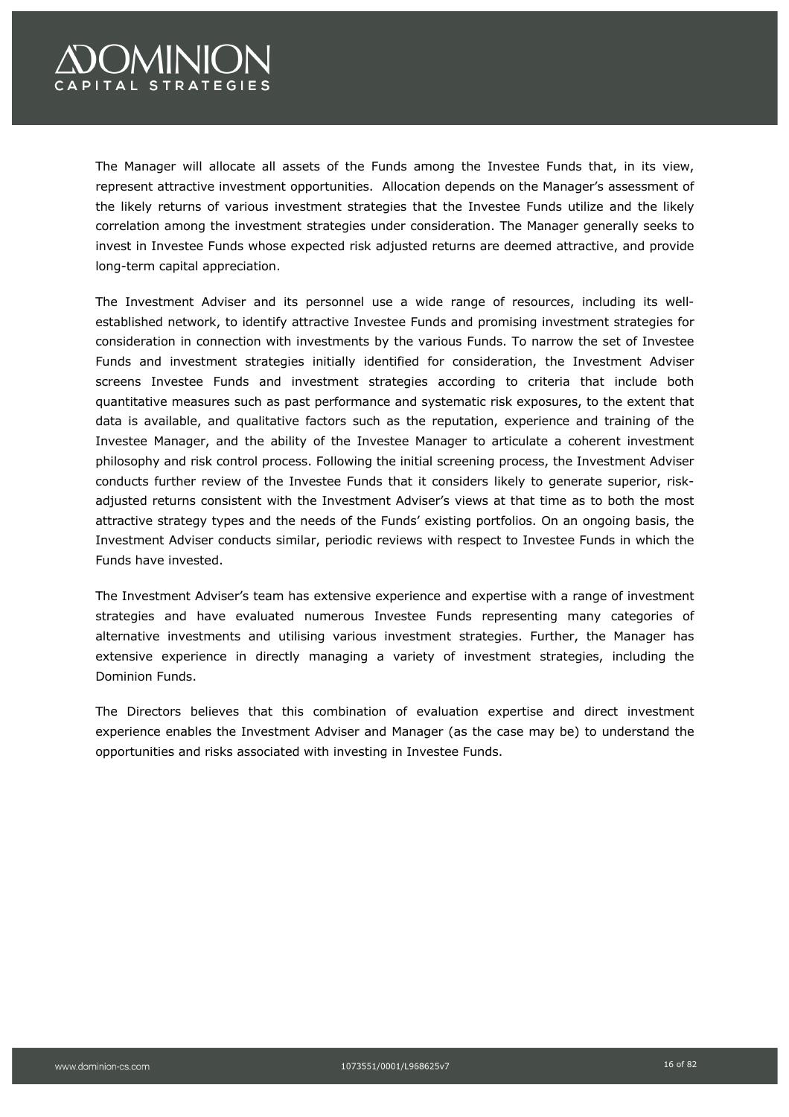# **COMINION** CAPITAL STRATEGIES

The Manager will allocate all assets of the Funds among the Investee Funds that, in its view, represent attractive investment opportunities. Allocation depends on the Manager's assessment of the likely returns of various investment strategies that the Investee Funds utilize and the likely correlation among the investment strategies under consideration. The Manager generally seeks to invest in Investee Funds whose expected risk adjusted returns are deemed attractive, and provide long-term capital appreciation.

The Investment Adviser and its personnel use a wide range of resources, including its wellestablished network, to identify attractive Investee Funds and promising investment strategies for consideration in connection with investments by the various Funds. To narrow the set of Investee Funds and investment strategies initially identified for consideration, the Investment Adviser screens Investee Funds and investment strategies according to criteria that include both quantitative measures such as past performance and systematic risk exposures, to the extent that data is available, and qualitative factors such as the reputation, experience and training of the Investee Manager, and the ability of the Investee Manager to articulate a coherent investment philosophy and risk control process. Following the initial screening process, the Investment Adviser conducts further review of the Investee Funds that it considers likely to generate superior, riskadjusted returns consistent with the Investment Adviser's views at that time as to both the most attractive strategy types and the needs of the Funds' existing portfolios. On an ongoing basis, the Investment Adviser conducts similar, periodic reviews with respect to Investee Funds in which the Funds have invested.

The Investment Adviser's team has extensive experience and expertise with a range of investment strategies and have evaluated numerous Investee Funds representing many categories of alternative investments and utilising various investment strategies. Further, the Manager has extensive experience in directly managing a variety of investment strategies, including the Dominion Funds.

The Directors believes that this combination of evaluation expertise and direct investment experience enables the Investment Adviser and Manager (as the case may be) to understand the opportunities and risks associated with investing in Investee Funds.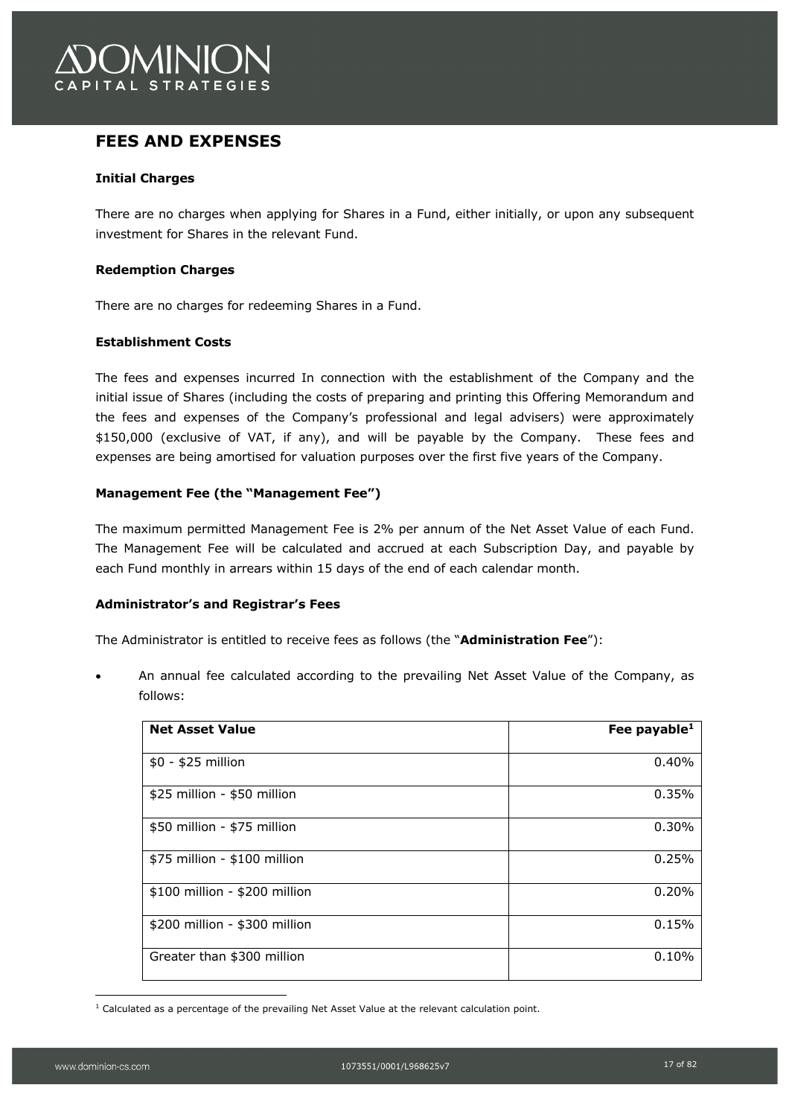

## **FEES AND EXPENSES**

#### **Initial Charges**

There are no charges when applying for Shares in a Fund, either initially, or upon any subsequent investment for Shares in the relevant Fund.

#### **Redemption Charges**

There are no charges for redeeming Shares in a Fund.

#### **Establishment Costs**

The fees and expenses incurred In connection with the establishment of the Company and the initial issue of Shares (including the costs of preparing and printing this Offering Memorandum and the fees and expenses of the Company's professional and legal advisers) were approximately \$150,000 (exclusive of VAT, if any), and will be payable by the Company. These fees and expenses are being amortised for valuation purposes over the first five years of the Company.

### **Management Fee (the "Management Fee")**

The maximum permitted Management Fee is 2% per annum of the Net Asset Value of each Fund. The Management Fee will be calculated and accrued at each Subscription Day, and payable by each Fund monthly in arrears within 15 days of the end of each calendar month.

#### **Administrator's and Registrar's Fees**

The Administrator is entitled to receive fees as follows (the "**Administration Fee**"):

• An annual fee calculated according to the prevailing Net Asset Value of the Company, as follows:

| <b>Net Asset Value</b>        | Fee payable $1$ |
|-------------------------------|-----------------|
| $$0 - $25$ million            | 0.40%           |
| \$25 million - \$50 million   | 0.35%           |
| \$50 million - \$75 million   | 0.30%           |
| \$75 million - \$100 million  | 0.25%           |
| \$100 million - \$200 million | 0.20%           |
| \$200 million - \$300 million | 0.15%           |
| Greater than \$300 million    | 0.10%           |

<sup>&</sup>lt;sup>1</sup> Calculated as a percentage of the prevailing Net Asset Value at the relevant calculation point.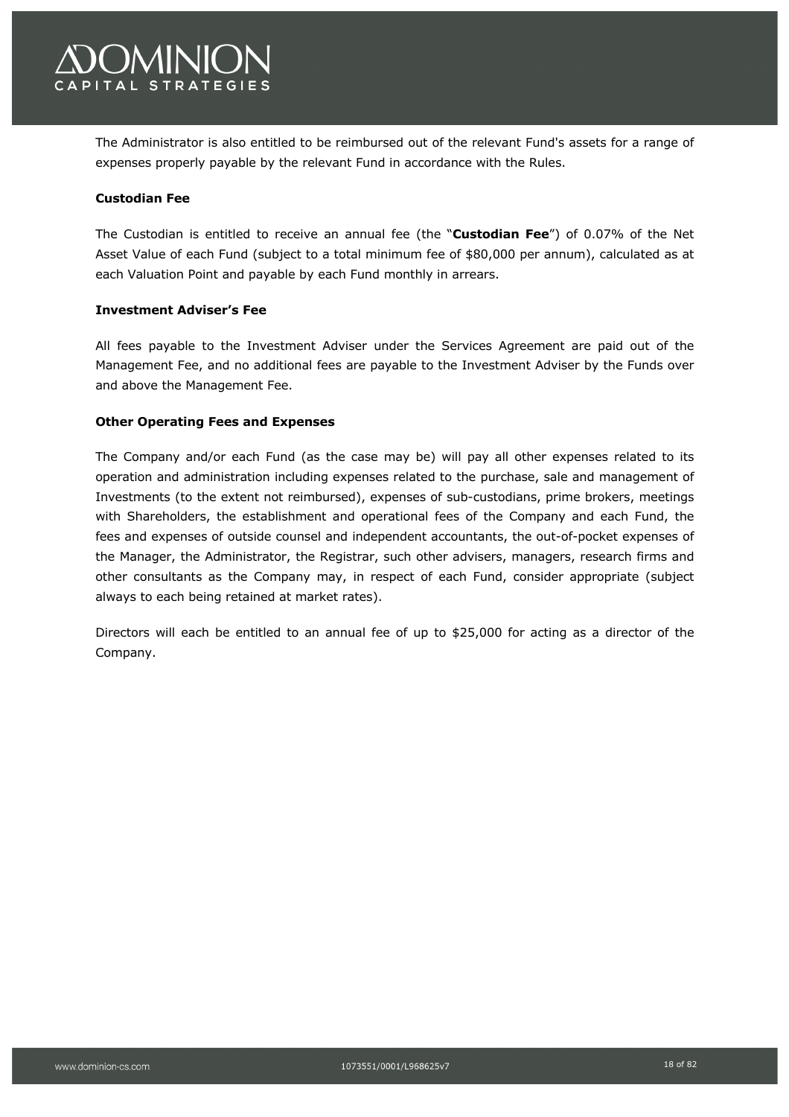

The Administrator is also entitled to be reimbursed out of the relevant Fund's assets for a range of expenses properly payable by the relevant Fund in accordance with the Rules.

#### **Custodian Fee**

The Custodian is entitled to receive an annual fee (the "**Custodian Fee**") of 0.07% of the Net Asset Value of each Fund (subject to a total minimum fee of \$80,000 per annum), calculated as at each Valuation Point and payable by each Fund monthly in arrears.

#### **Investment Adviser's Fee**

All fees payable to the Investment Adviser under the Services Agreement are paid out of the Management Fee, and no additional fees are payable to the Investment Adviser by the Funds over and above the Management Fee.

#### **Other Operating Fees and Expenses**

The Company and/or each Fund (as the case may be) will pay all other expenses related to its operation and administration including expenses related to the purchase, sale and management of Investments (to the extent not reimbursed), expenses of sub-custodians, prime brokers, meetings with Shareholders, the establishment and operational fees of the Company and each Fund, the fees and expenses of outside counsel and independent accountants, the out-of-pocket expenses of the Manager, the Administrator, the Registrar, such other advisers, managers, research firms and other consultants as the Company may, in respect of each Fund, consider appropriate (subject always to each being retained at market rates).

Directors will each be entitled to an annual fee of up to \$25,000 for acting as a director of the Company.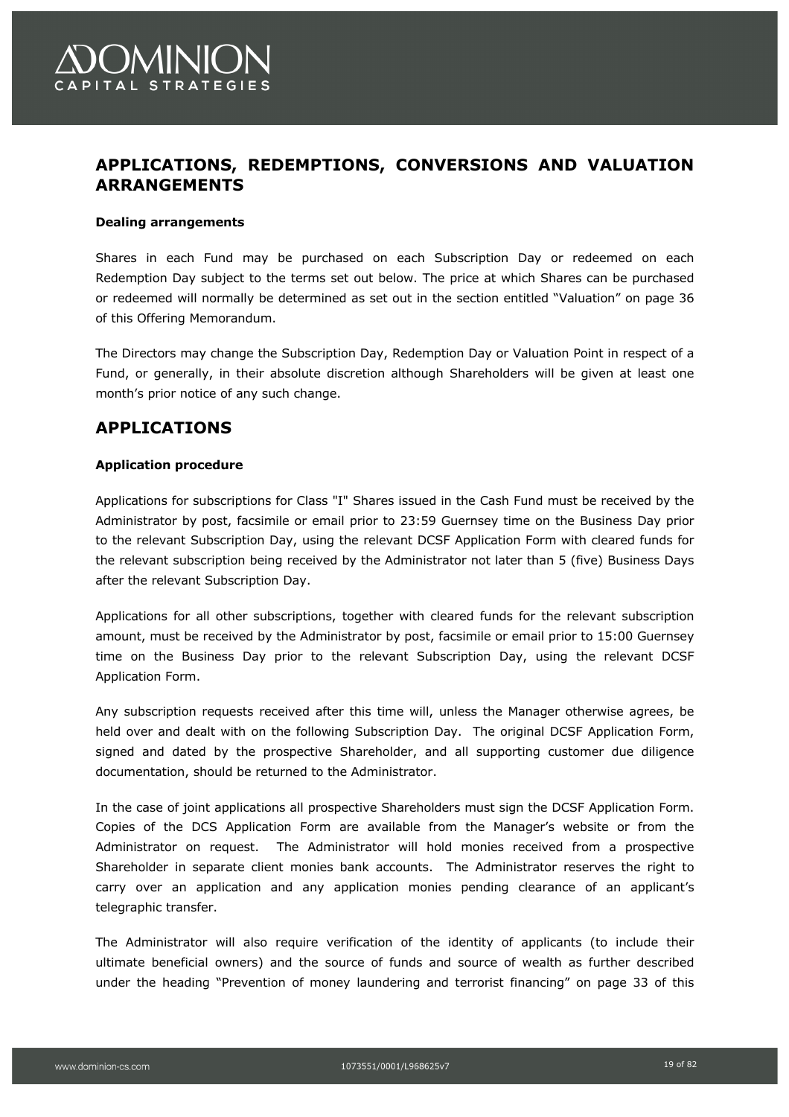

## **APPLICATIONS, REDEMPTIONS, CONVERSIONS AND VALUATION ARRANGEMENTS**

#### **Dealing arrangements**

Shares in each Fund may be purchased on each Subscription Day or redeemed on each Redemption Day subject to the terms set out below. The price at which Shares can be purchased or redeemed will normally be determined as set out in the section entitled "Valuation" on page 36 of this Offering Memorandum.

The Directors may change the Subscription Day, Redemption Day or Valuation Point in respect of a Fund, or generally, in their absolute discretion although Shareholders will be given at least one month's prior notice of any such change.

## **APPLICATIONS**

#### **Application procedure**

Applications for subscriptions for Class "I" Shares issued in the Cash Fund must be received by the Administrator by post, facsimile or email prior to 23:59 Guernsey time on the Business Day prior to the relevant Subscription Day, using the relevant DCSF Application Form with cleared funds for the relevant subscription being received by the Administrator not later than 5 (five) Business Days after the relevant Subscription Day.

Applications for all other subscriptions, together with cleared funds for the relevant subscription amount, must be received by the Administrator by post, facsimile or email prior to 15:00 Guernsey time on the Business Day prior to the relevant Subscription Day, using the relevant DCSF Application Form.

Any subscription requests received after this time will, unless the Manager otherwise agrees, be held over and dealt with on the following Subscription Day. The original DCSF Application Form, signed and dated by the prospective Shareholder, and all supporting customer due diligence documentation, should be returned to the Administrator.

In the case of joint applications all prospective Shareholders must sign the DCSF Application Form. Copies of the DCS Application Form are available from the Manager's website or from the Administrator on request. The Administrator will hold monies received from a prospective Shareholder in separate client monies bank accounts. The Administrator reserves the right to carry over an application and any application monies pending clearance of an applicant's telegraphic transfer.

The Administrator will also require verification of the identity of applicants (to include their ultimate beneficial owners) and the source of funds and source of wealth as further described under the heading "Prevention of money laundering and terrorist financing" on page 33 of this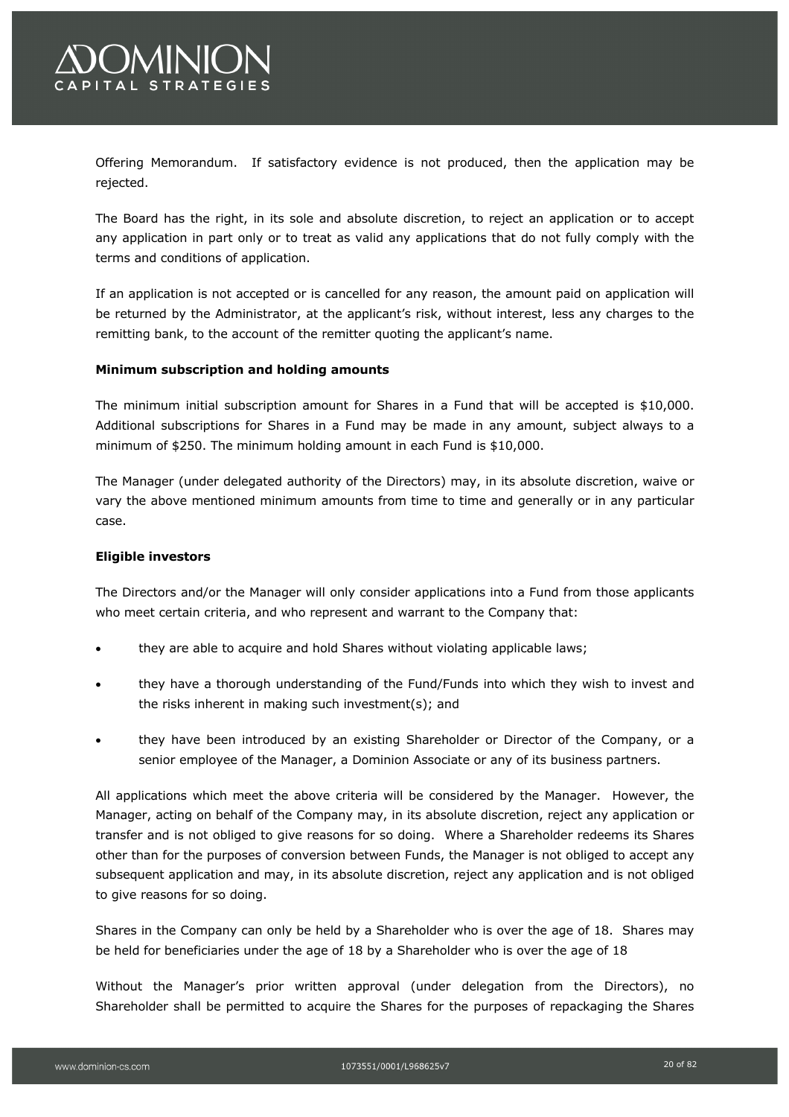

Offering Memorandum. If satisfactory evidence is not produced, then the application may be rejected.

The Board has the right, in its sole and absolute discretion, to reject an application or to accept any application in part only or to treat as valid any applications that do not fully comply with the terms and conditions of application.

If an application is not accepted or is cancelled for any reason, the amount paid on application will be returned by the Administrator, at the applicant's risk, without interest, less any charges to the remitting bank, to the account of the remitter quoting the applicant's name.

#### **Minimum subscription and holding amounts**

The minimum initial subscription amount for Shares in a Fund that will be accepted is \$10,000. Additional subscriptions for Shares in a Fund may be made in any amount, subject always to a minimum of \$250. The minimum holding amount in each Fund is \$10,000.

The Manager (under delegated authority of the Directors) may, in its absolute discretion, waive or vary the above mentioned minimum amounts from time to time and generally or in any particular case.

#### **Eligible investors**

The Directors and/or the Manager will only consider applications into a Fund from those applicants who meet certain criteria, and who represent and warrant to the Company that:

- they are able to acquire and hold Shares without violating applicable laws;
- they have a thorough understanding of the Fund/Funds into which they wish to invest and the risks inherent in making such investment(s); and
- they have been introduced by an existing Shareholder or Director of the Company, or a senior employee of the Manager, a Dominion Associate or any of its business partners.

All applications which meet the above criteria will be considered by the Manager. However, the Manager, acting on behalf of the Company may, in its absolute discretion, reject any application or transfer and is not obliged to give reasons for so doing. Where a Shareholder redeems its Shares other than for the purposes of conversion between Funds, the Manager is not obliged to accept any subsequent application and may, in its absolute discretion, reject any application and is not obliged to give reasons for so doing.

Shares in the Company can only be held by a Shareholder who is over the age of 18. Shares may be held for beneficiaries under the age of 18 by a Shareholder who is over the age of 18

Without the Manager's prior written approval (under delegation from the Directors), no Shareholder shall be permitted to acquire the Shares for the purposes of repackaging the Shares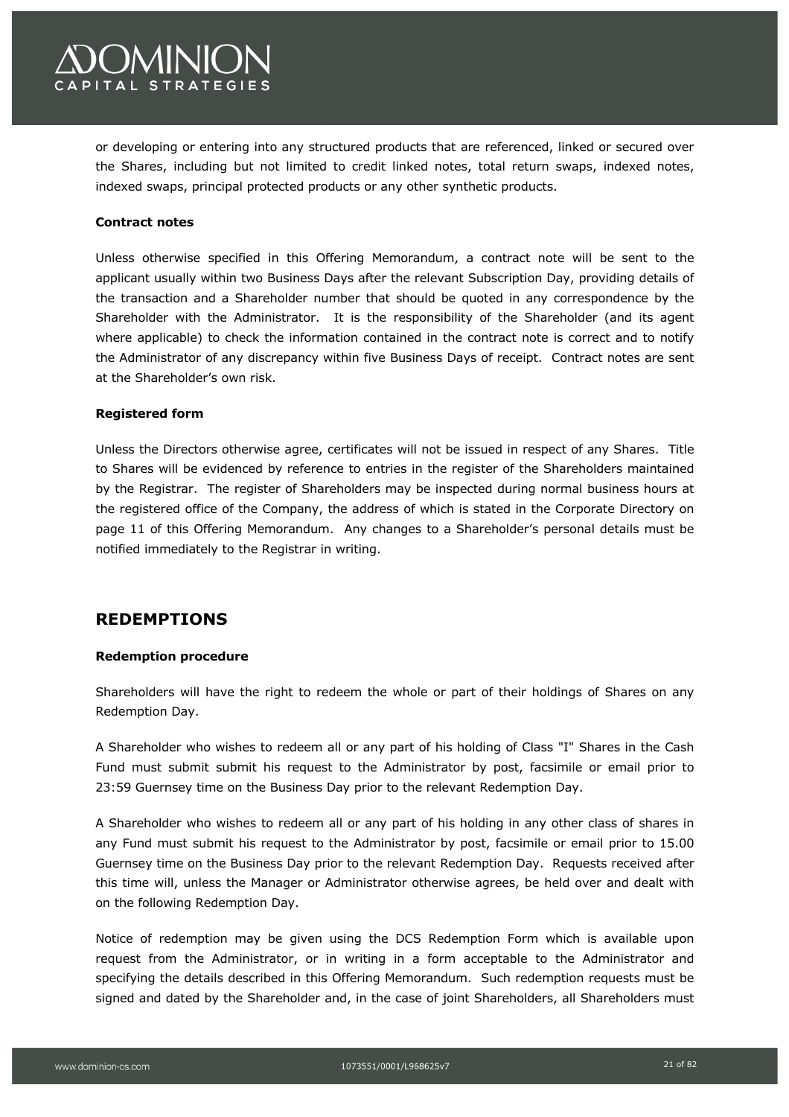

or developing or entering into any structured products that are referenced, linked or secured over the Shares, including but not limited to credit linked notes, total return swaps, indexed notes, indexed swaps, principal protected products or any other synthetic products.

#### **Contract notes**

Unless otherwise specified in this Offering Memorandum, a contract note will be sent to the applicant usually within two Business Days after the relevant Subscription Day, providing details of the transaction and a Shareholder number that should be quoted in any correspondence by the Shareholder with the Administrator. It is the responsibility of the Shareholder (and its agent where applicable) to check the information contained in the contract note is correct and to notify the Administrator of any discrepancy within five Business Days of receipt. Contract notes are sent at the Shareholder's own risk.

#### **Registered form**

Unless the Directors otherwise agree, certificates will not be issued in respect of any Shares. Title to Shares will be evidenced by reference to entries in the register of the Shareholders maintained by the Registrar. The register of Shareholders may be inspected during normal business hours at the registered office of the Company, the address of which is stated in the Corporate Directory on page 11 of this Offering Memorandum. Any changes to a Shareholder's personal details must be notified immediately to the Registrar in writing.

## **REDEMPTIONS**

#### **Redemption procedure**

Shareholders will have the right to redeem the whole or part of their holdings of Shares on any Redemption Day.

A Shareholder who wishes to redeem all or any part of his holding of Class "I" Shares in the Cash Fund must submit submit his request to the Administrator by post, facsimile or email prior to 23:59 Guernsey time on the Business Day prior to the relevant Redemption Day.

A Shareholder who wishes to redeem all or any part of his holding in any other class of shares in any Fund must submit his request to the Administrator by post, facsimile or email prior to 15.00 Guernsey time on the Business Day prior to the relevant Redemption Day. Requests received after this time will, unless the Manager or Administrator otherwise agrees, be held over and dealt with on the following Redemption Day.

Notice of redemption may be given using the DCS Redemption Form which is available upon request from the Administrator, or in writing in a form acceptable to the Administrator and specifying the details described in this Offering Memorandum. Such redemption requests must be signed and dated by the Shareholder and, in the case of joint Shareholders, all Shareholders must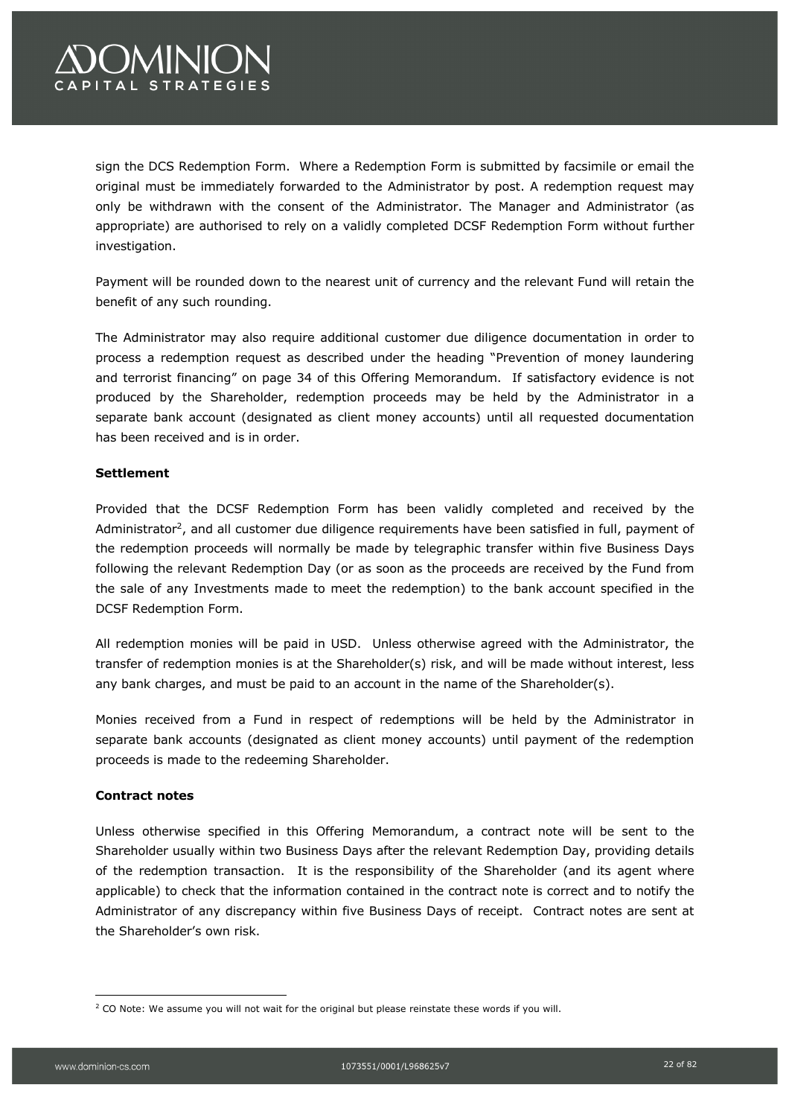# **OMINION APITAL STRATEGIES**

sign the DCS Redemption Form. Where a Redemption Form is submitted by facsimile or email the original must be immediately forwarded to the Administrator by post. A redemption request may only be withdrawn with the consent of the Administrator. The Manager and Administrator (as appropriate) are authorised to rely on a validly completed DCSF Redemption Form without further investigation.

Payment will be rounded down to the nearest unit of currency and the relevant Fund will retain the benefit of any such rounding.

The Administrator may also require additional customer due diligence documentation in order to process a redemption request as described under the heading "Prevention of money laundering and terrorist financing" on page 34 of this Offering Memorandum. If satisfactory evidence is not produced by the Shareholder, redemption proceeds may be held by the Administrator in a separate bank account (designated as client money accounts) until all requested documentation has been received and is in order.

### **Settlement**

Provided that the DCSF Redemption Form has been validly completed and received by the Administrator<sup>2</sup>, and all customer due diligence requirements have been satisfied in full, payment of the redemption proceeds will normally be made by telegraphic transfer within five Business Days following the relevant Redemption Day (or as soon as the proceeds are received by the Fund from the sale of any Investments made to meet the redemption) to the bank account specified in the DCSF Redemption Form.

All redemption monies will be paid in USD. Unless otherwise agreed with the Administrator, the transfer of redemption monies is at the Shareholder(s) risk, and will be made without interest, less any bank charges, and must be paid to an account in the name of the Shareholder(s).

Monies received from a Fund in respect of redemptions will be held by the Administrator in separate bank accounts (designated as client money accounts) until payment of the redemption proceeds is made to the redeeming Shareholder.

#### **Contract notes**

Unless otherwise specified in this Offering Memorandum, a contract note will be sent to the Shareholder usually within two Business Days after the relevant Redemption Day, providing details of the redemption transaction. It is the responsibility of the Shareholder (and its agent where applicable) to check that the information contained in the contract note is correct and to notify the Administrator of any discrepancy within five Business Days of receipt. Contract notes are sent at the Shareholder's own risk.

<sup>&</sup>lt;sup>2</sup> CO Note: We assume you will not wait for the original but please reinstate these words if you will.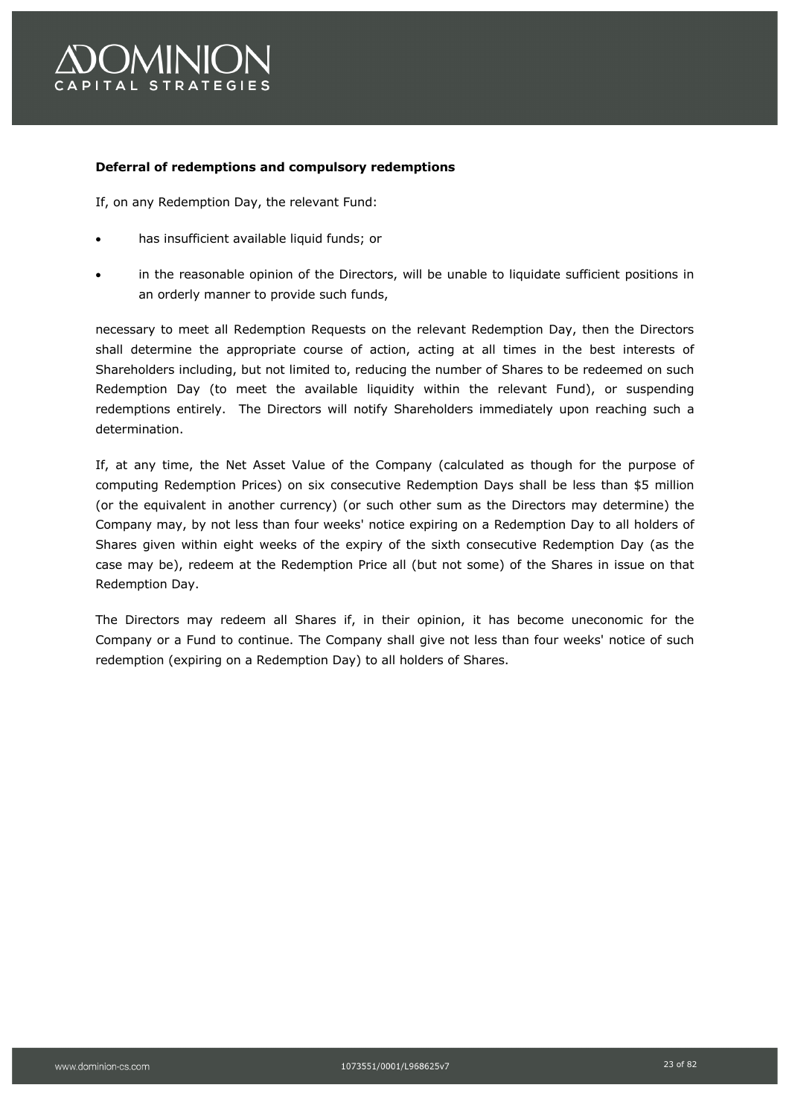

#### **Deferral of redemptions and compulsory redemptions**

If, on any Redemption Day, the relevant Fund:

- has insufficient available liquid funds; or
- in the reasonable opinion of the Directors, will be unable to liquidate sufficient positions in an orderly manner to provide such funds,

necessary to meet all Redemption Requests on the relevant Redemption Day, then the Directors shall determine the appropriate course of action, acting at all times in the best interests of Shareholders including, but not limited to, reducing the number of Shares to be redeemed on such Redemption Day (to meet the available liquidity within the relevant Fund), or suspending redemptions entirely. The Directors will notify Shareholders immediately upon reaching such a determination.

If, at any time, the Net Asset Value of the Company (calculated as though for the purpose of computing Redemption Prices) on six consecutive Redemption Days shall be less than \$5 million (or the equivalent in another currency) (or such other sum as the Directors may determine) the Company may, by not less than four weeks' notice expiring on a Redemption Day to all holders of Shares given within eight weeks of the expiry of the sixth consecutive Redemption Day (as the case may be), redeem at the Redemption Price all (but not some) of the Shares in issue on that Redemption Day.

The Directors may redeem all Shares if, in their opinion, it has become uneconomic for the Company or a Fund to continue. The Company shall give not less than four weeks' notice of such redemption (expiring on a Redemption Day) to all holders of Shares.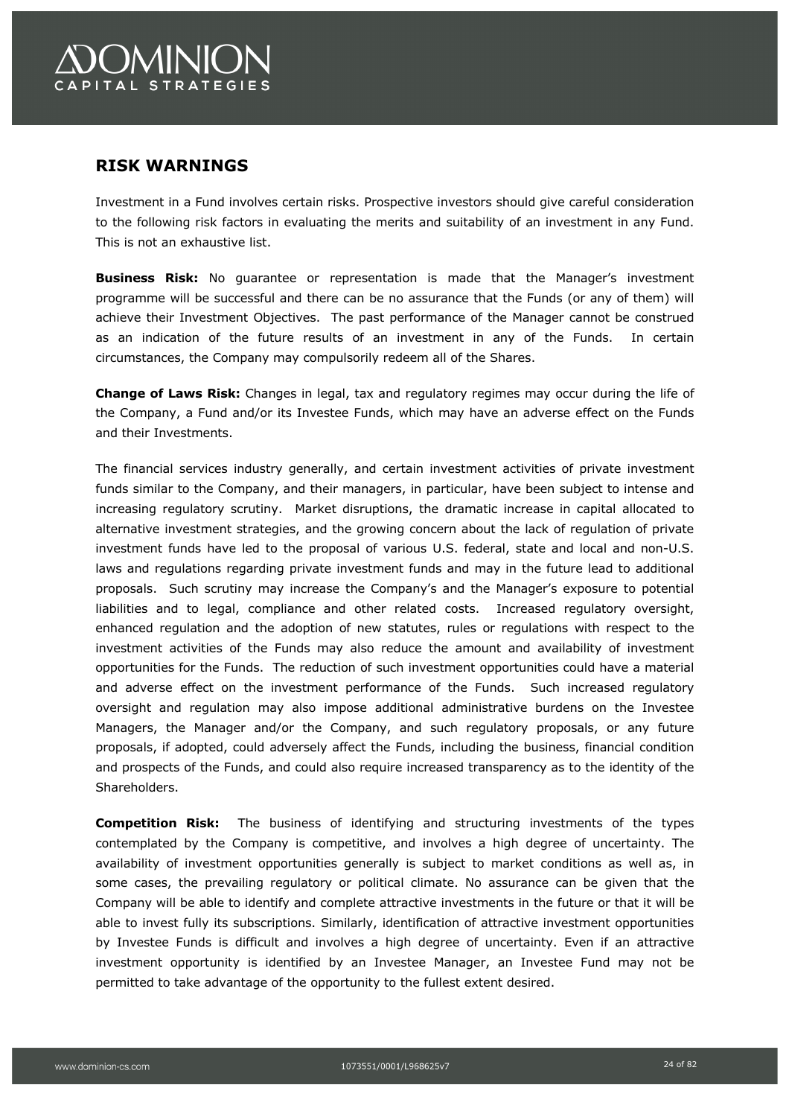## **RISK WARNINGS**

Investment in a Fund involves certain risks. Prospective investors should give careful consideration to the following risk factors in evaluating the merits and suitability of an investment in any Fund. This is not an exhaustive list.

**Business Risk:** No guarantee or representation is made that the Manager's investment programme will be successful and there can be no assurance that the Funds (or any of them) will achieve their Investment Objectives. The past performance of the Manager cannot be construed as an indication of the future results of an investment in any of the Funds. In certain circumstances, the Company may compulsorily redeem all of the Shares.

**Change of Laws Risk:** Changes in legal, tax and regulatory regimes may occur during the life of the Company, a Fund and/or its Investee Funds, which may have an adverse effect on the Funds and their Investments.

The financial services industry generally, and certain investment activities of private investment funds similar to the Company, and their managers, in particular, have been subject to intense and increasing regulatory scrutiny. Market disruptions, the dramatic increase in capital allocated to alternative investment strategies, and the growing concern about the lack of regulation of private investment funds have led to the proposal of various U.S. federal, state and local and non-U.S. laws and regulations regarding private investment funds and may in the future lead to additional proposals. Such scrutiny may increase the Company's and the Manager's exposure to potential liabilities and to legal, compliance and other related costs. Increased regulatory oversight, enhanced regulation and the adoption of new statutes, rules or regulations with respect to the investment activities of the Funds may also reduce the amount and availability of investment opportunities for the Funds. The reduction of such investment opportunities could have a material and adverse effect on the investment performance of the Funds. Such increased regulatory oversight and regulation may also impose additional administrative burdens on the Investee Managers, the Manager and/or the Company, and such regulatory proposals, or any future proposals, if adopted, could adversely affect the Funds, including the business, financial condition and prospects of the Funds, and could also require increased transparency as to the identity of the Shareholders.

**Competition Risk:** The business of identifying and structuring investments of the types contemplated by the Company is competitive, and involves a high degree of uncertainty. The availability of investment opportunities generally is subject to market conditions as well as, in some cases, the prevailing regulatory or political climate. No assurance can be given that the Company will be able to identify and complete attractive investments in the future or that it will be able to invest fully its subscriptions. Similarly, identification of attractive investment opportunities by Investee Funds is difficult and involves a high degree of uncertainty. Even if an attractive investment opportunity is identified by an Investee Manager, an Investee Fund may not be permitted to take advantage of the opportunity to the fullest extent desired.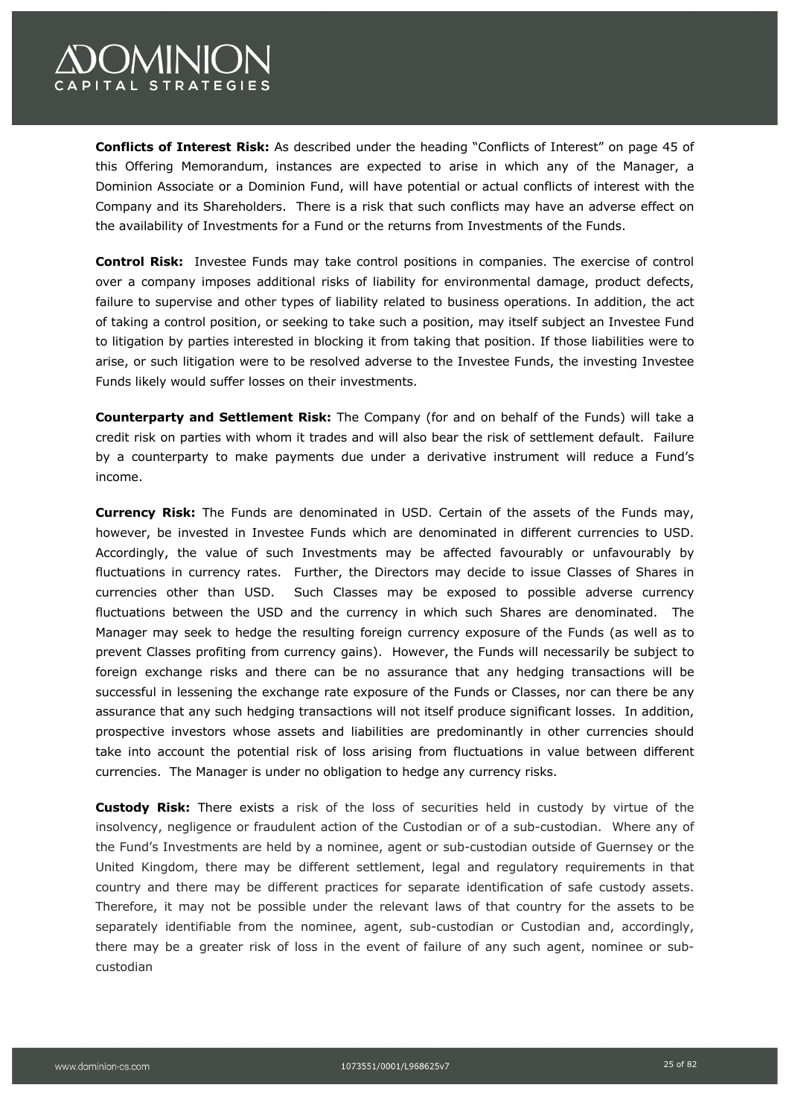# **COMINION** CAPITAL STRATEGIES

**Conflicts of Interest Risk:** As described under the heading "Conflicts of Interest" on page 45 of this Offering Memorandum, instances are expected to arise in which any of the Manager, a Dominion Associate or a Dominion Fund, will have potential or actual conflicts of interest with the Company and its Shareholders. There is a risk that such conflicts may have an adverse effect on the availability of Investments for a Fund or the returns from Investments of the Funds.

**Control Risk:** Investee Funds may take control positions in companies. The exercise of control over a company imposes additional risks of liability for environmental damage, product defects, failure to supervise and other types of liability related to business operations. In addition, the act of taking a control position, or seeking to take such a position, may itself subject an Investee Fund to litigation by parties interested in blocking it from taking that position. If those liabilities were to arise, or such litigation were to be resolved adverse to the Investee Funds, the investing Investee Funds likely would suffer losses on their investments.

**Counterparty and Settlement Risk:** The Company (for and on behalf of the Funds) will take a credit risk on parties with whom it trades and will also bear the risk of settlement default. Failure by a counterparty to make payments due under a derivative instrument will reduce a Fund's income.

**Currency Risk:** The Funds are denominated in USD. Certain of the assets of the Funds may, however, be invested in Investee Funds which are denominated in different currencies to USD. Accordingly, the value of such Investments may be affected favourably or unfavourably by fluctuations in currency rates. Further, the Directors may decide to issue Classes of Shares in currencies other than USD. Such Classes may be exposed to possible adverse currency fluctuations between the USD and the currency in which such Shares are denominated. The Manager may seek to hedge the resulting foreign currency exposure of the Funds (as well as to prevent Classes profiting from currency gains). However, the Funds will necessarily be subject to foreign exchange risks and there can be no assurance that any hedging transactions will be successful in lessening the exchange rate exposure of the Funds or Classes, nor can there be any assurance that any such hedging transactions will not itself produce significant losses. In addition, prospective investors whose assets and liabilities are predominantly in other currencies should take into account the potential risk of loss arising from fluctuations in value between different currencies. The Manager is under no obligation to hedge any currency risks.

**Custody Risk:** There exists a risk of the loss of securities held in custody by virtue of the insolvency, negligence or fraudulent action of the Custodian or of a sub-custodian. Where any of the Fund's Investments are held by a nominee, agent or sub-custodian outside of Guernsey or the United Kingdom, there may be different settlement, legal and regulatory requirements in that country and there may be different practices for separate identification of safe custody assets. Therefore, it may not be possible under the relevant laws of that country for the assets to be separately identifiable from the nominee, agent, sub-custodian or Custodian and, accordingly, there may be a greater risk of loss in the event of failure of any such agent, nominee or subcustodian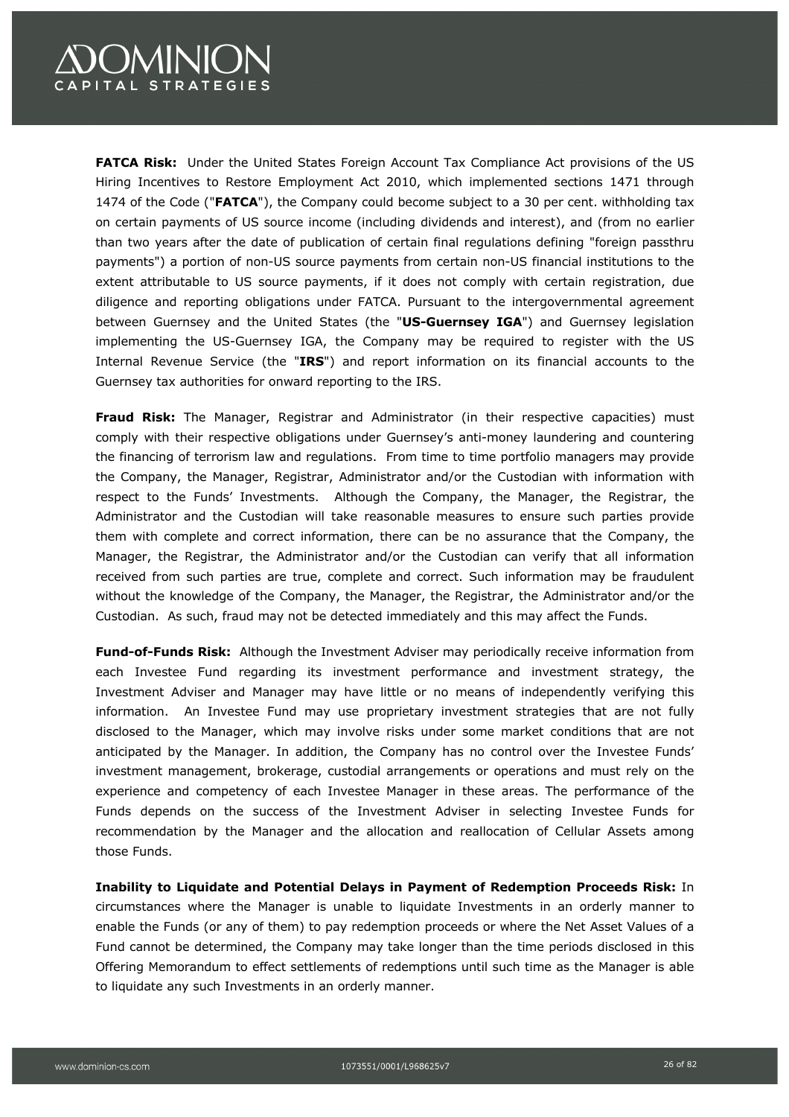# **)OMINION** CAPITAL STRATEGIES

**FATCA Risk:** Under the United States Foreign Account Tax Compliance Act provisions of the US Hiring Incentives to Restore Employment Act 2010, which implemented sections 1471 through 1474 of the Code ("**FATCA**"), the Company could become subject to a 30 per cent. withholding tax on certain payments of US source income (including dividends and interest), and (from no earlier than two years after the date of publication of certain final regulations defining "foreign passthru payments") a portion of non-US source payments from certain non-US financial institutions to the extent attributable to US source payments, if it does not comply with certain registration, due diligence and reporting obligations under FATCA. Pursuant to the intergovernmental agreement between Guernsey and the United States (the "**US-Guernsey IGA**") and Guernsey legislation implementing the US-Guernsey IGA, the Company may be required to register with the US Internal Revenue Service (the "**IRS**") and report information on its financial accounts to the Guernsey tax authorities for onward reporting to the IRS.

**Fraud Risk:** The Manager, Registrar and Administrator (in their respective capacities) must comply with their respective obligations under Guernsey's anti-money laundering and countering the financing of terrorism law and regulations. From time to time portfolio managers may provide the Company, the Manager, Registrar, Administrator and/or the Custodian with information with respect to the Funds' Investments. Although the Company, the Manager, the Registrar, the Administrator and the Custodian will take reasonable measures to ensure such parties provide them with complete and correct information, there can be no assurance that the Company, the Manager, the Registrar, the Administrator and/or the Custodian can verify that all information received from such parties are true, complete and correct. Such information may be fraudulent without the knowledge of the Company, the Manager, the Registrar, the Administrator and/or the Custodian. As such, fraud may not be detected immediately and this may affect the Funds.

**Fund-of-Funds Risk:** Although the Investment Adviser may periodically receive information from each Investee Fund regarding its investment performance and investment strategy, the Investment Adviser and Manager may have little or no means of independently verifying this information. An Investee Fund may use proprietary investment strategies that are not fully disclosed to the Manager, which may involve risks under some market conditions that are not anticipated by the Manager. In addition, the Company has no control over the Investee Funds' investment management, brokerage, custodial arrangements or operations and must rely on the experience and competency of each Investee Manager in these areas. The performance of the Funds depends on the success of the Investment Adviser in selecting Investee Funds for recommendation by the Manager and the allocation and reallocation of Cellular Assets among those Funds.

**Inability to Liquidate and Potential Delays in Payment of Redemption Proceeds Risk:** In circumstances where the Manager is unable to liquidate Investments in an orderly manner to enable the Funds (or any of them) to pay redemption proceeds or where the Net Asset Values of a Fund cannot be determined, the Company may take longer than the time periods disclosed in this Offering Memorandum to effect settlements of redemptions until such time as the Manager is able to liquidate any such Investments in an orderly manner.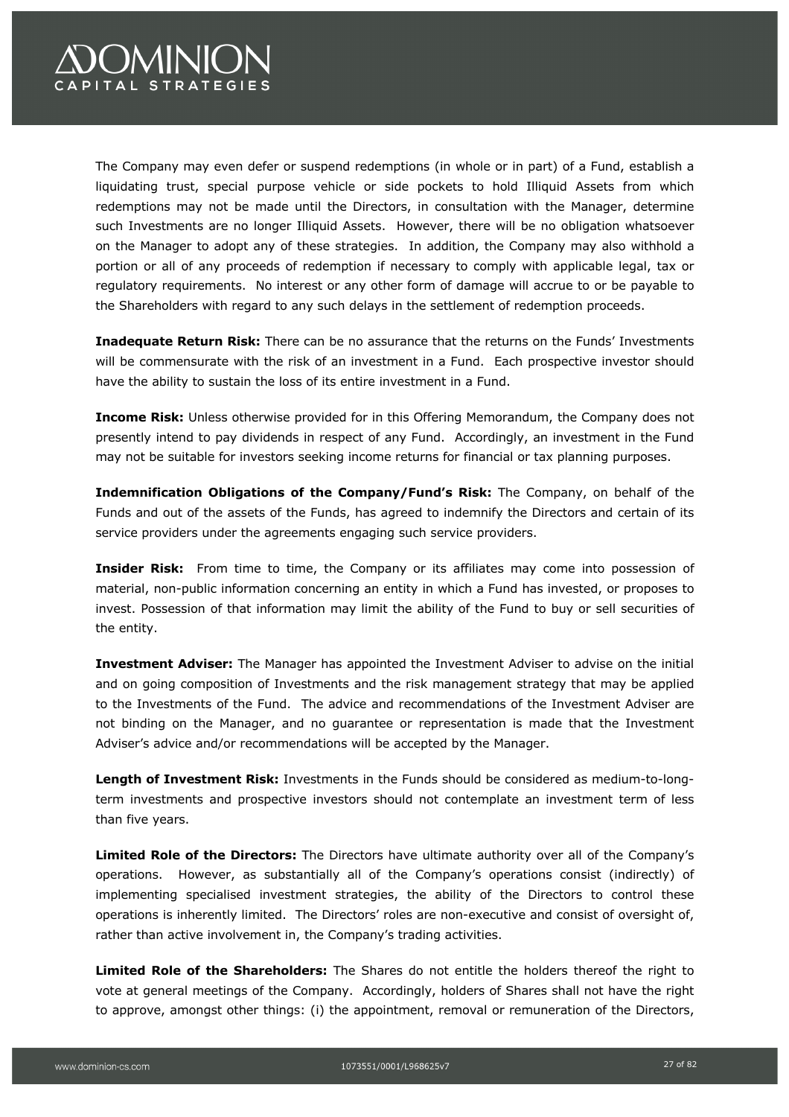# **COMINION** CAPITAL STRATEGIES

The Company may even defer or suspend redemptions (in whole or in part) of a Fund, establish a liquidating trust, special purpose vehicle or side pockets to hold Illiquid Assets from which redemptions may not be made until the Directors, in consultation with the Manager, determine such Investments are no longer Illiquid Assets. However, there will be no obligation whatsoever on the Manager to adopt any of these strategies. In addition, the Company may also withhold a portion or all of any proceeds of redemption if necessary to comply with applicable legal, tax or regulatory requirements. No interest or any other form of damage will accrue to or be payable to the Shareholders with regard to any such delays in the settlement of redemption proceeds.

**Inadequate Return Risk:** There can be no assurance that the returns on the Funds' Investments will be commensurate with the risk of an investment in a Fund. Each prospective investor should have the ability to sustain the loss of its entire investment in a Fund.

**Income Risk:** Unless otherwise provided for in this Offering Memorandum, the Company does not presently intend to pay dividends in respect of any Fund. Accordingly, an investment in the Fund may not be suitable for investors seeking income returns for financial or tax planning purposes.

**Indemnification Obligations of the Company/Fund's Risk:** The Company, on behalf of the Funds and out of the assets of the Funds, has agreed to indemnify the Directors and certain of its service providers under the agreements engaging such service providers.

**Insider Risk:** From time to time, the Company or its affiliates may come into possession of material, non-public information concerning an entity in which a Fund has invested, or proposes to invest. Possession of that information may limit the ability of the Fund to buy or sell securities of the entity.

**Investment Adviser:** The Manager has appointed the Investment Adviser to advise on the initial and on going composition of Investments and the risk management strategy that may be applied to the Investments of the Fund. The advice and recommendations of the Investment Adviser are not binding on the Manager, and no guarantee or representation is made that the Investment Adviser's advice and/or recommendations will be accepted by the Manager.

**Length of Investment Risk:** Investments in the Funds should be considered as medium-to-longterm investments and prospective investors should not contemplate an investment term of less than five years.

**Limited Role of the Directors:** The Directors have ultimate authority over all of the Company's operations. However, as substantially all of the Company's operations consist (indirectly) of implementing specialised investment strategies, the ability of the Directors to control these operations is inherently limited. The Directors' roles are non-executive and consist of oversight of, rather than active involvement in, the Company's trading activities.

**Limited Role of the Shareholders:** The Shares do not entitle the holders thereof the right to vote at general meetings of the Company. Accordingly, holders of Shares shall not have the right to approve, amongst other things: (i) the appointment, removal or remuneration of the Directors,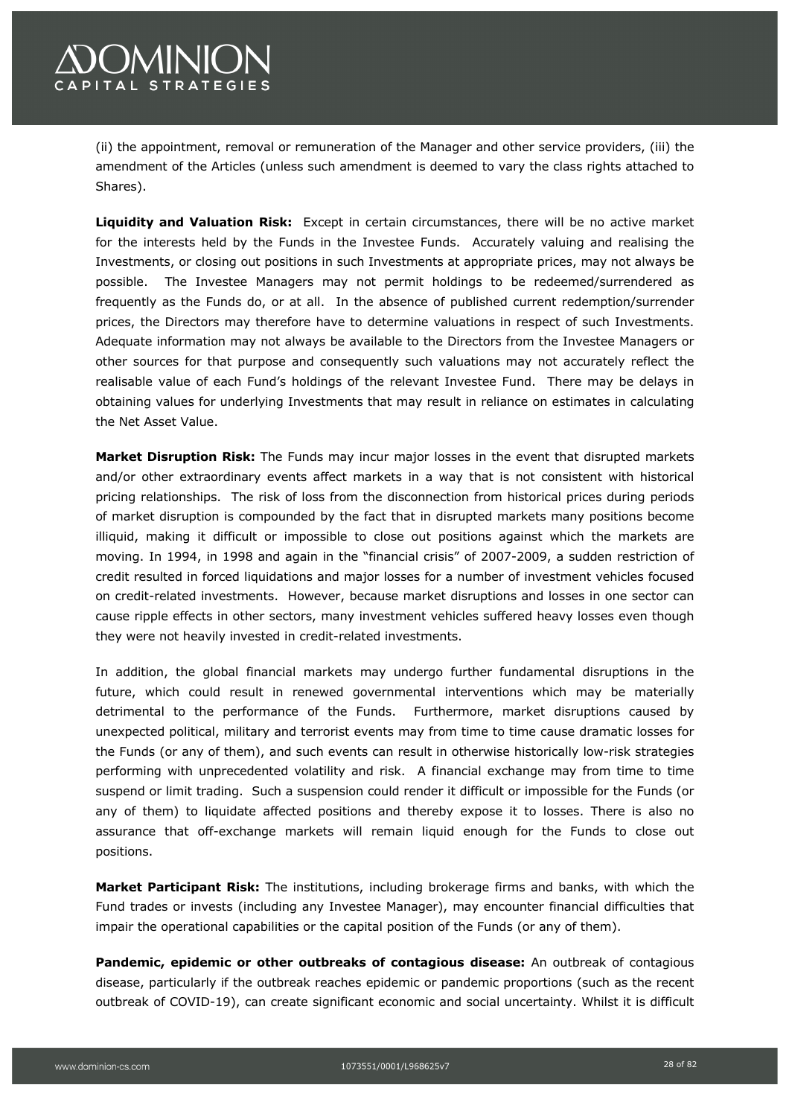(ii) the appointment, removal or remuneration of the Manager and other service providers, (iii) the amendment of the Articles (unless such amendment is deemed to vary the class rights attached to Shares).

**Liquidity and Valuation Risk:** Except in certain circumstances, there will be no active market for the interests held by the Funds in the Investee Funds. Accurately valuing and realising the Investments, or closing out positions in such Investments at appropriate prices, may not always be possible. The Investee Managers may not permit holdings to be redeemed/surrendered as frequently as the Funds do, or at all. In the absence of published current redemption/surrender prices, the Directors may therefore have to determine valuations in respect of such Investments. Adequate information may not always be available to the Directors from the Investee Managers or other sources for that purpose and consequently such valuations may not accurately reflect the realisable value of each Fund's holdings of the relevant Investee Fund. There may be delays in obtaining values for underlying Investments that may result in reliance on estimates in calculating the Net Asset Value.

**Market Disruption Risk:** The Funds may incur major losses in the event that disrupted markets and/or other extraordinary events affect markets in a way that is not consistent with historical pricing relationships. The risk of loss from the disconnection from historical prices during periods of market disruption is compounded by the fact that in disrupted markets many positions become illiquid, making it difficult or impossible to close out positions against which the markets are moving. In 1994, in 1998 and again in the "financial crisis" of 2007-2009, a sudden restriction of credit resulted in forced liquidations and major losses for a number of investment vehicles focused on credit-related investments. However, because market disruptions and losses in one sector can cause ripple effects in other sectors, many investment vehicles suffered heavy losses even though they were not heavily invested in credit-related investments.

In addition, the global financial markets may undergo further fundamental disruptions in the future, which could result in renewed governmental interventions which may be materially detrimental to the performance of the Funds. Furthermore, market disruptions caused by unexpected political, military and terrorist events may from time to time cause dramatic losses for the Funds (or any of them), and such events can result in otherwise historically low-risk strategies performing with unprecedented volatility and risk. A financial exchange may from time to time suspend or limit trading. Such a suspension could render it difficult or impossible for the Funds (or any of them) to liquidate affected positions and thereby expose it to losses. There is also no assurance that off-exchange markets will remain liquid enough for the Funds to close out positions.

**Market Participant Risk:** The institutions, including brokerage firms and banks, with which the Fund trades or invests (including any Investee Manager), may encounter financial difficulties that impair the operational capabilities or the capital position of the Funds (or any of them).

**Pandemic, epidemic or other outbreaks of contagious disease:** An outbreak of contagious disease, particularly if the outbreak reaches epidemic or pandemic proportions (such as the recent outbreak of COVID-19), can create significant economic and social uncertainty. Whilst it is difficult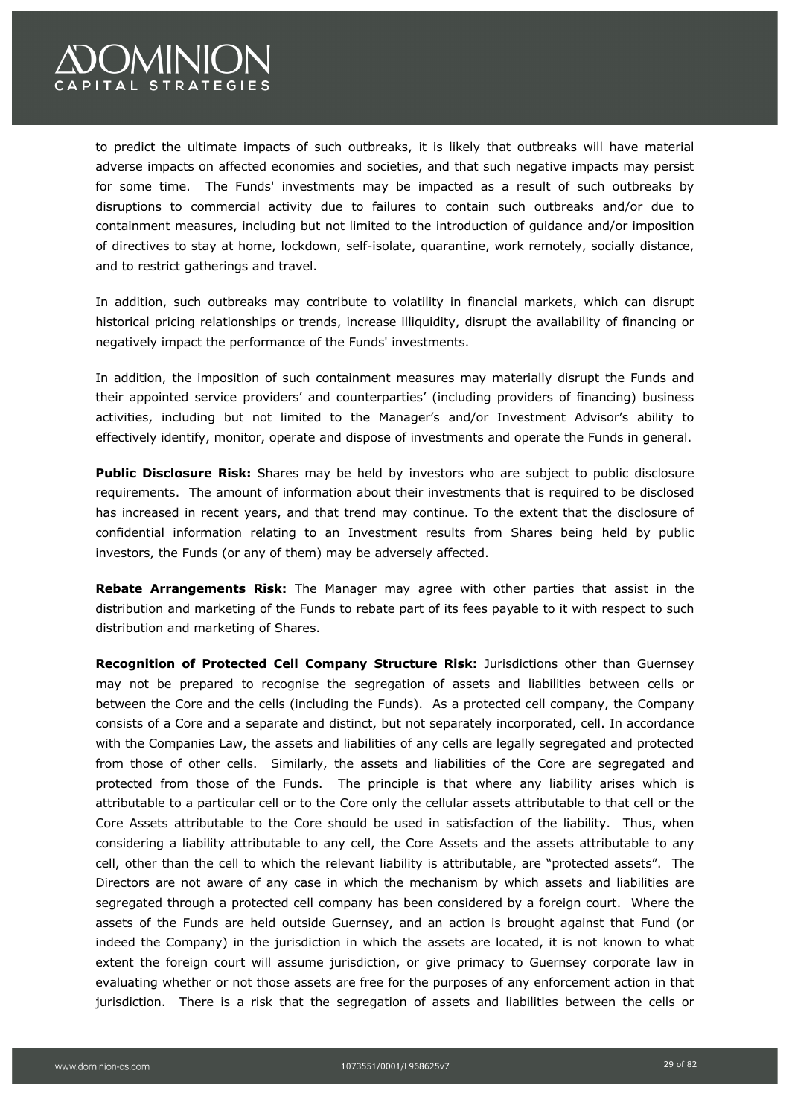

to predict the ultimate impacts of such outbreaks, it is likely that outbreaks will have material adverse impacts on affected economies and societies, and that such negative impacts may persist for some time. The Funds' investments may be impacted as a result of such outbreaks by disruptions to commercial activity due to failures to contain such outbreaks and/or due to containment measures, including but not limited to the introduction of guidance and/or imposition of directives to stay at home, lockdown, self-isolate, quarantine, work remotely, socially distance, and to restrict gatherings and travel.

In addition, such outbreaks may contribute to volatility in financial markets, which can disrupt historical pricing relationships or trends, increase illiquidity, disrupt the availability of financing or negatively impact the performance of the Funds' investments.

In addition, the imposition of such containment measures may materially disrupt the Funds and their appointed service providers' and counterparties' (including providers of financing) business activities, including but not limited to the Manager's and/or Investment Advisor's ability to effectively identify, monitor, operate and dispose of investments and operate the Funds in general.

**Public Disclosure Risk:** Shares may be held by investors who are subject to public disclosure requirements. The amount of information about their investments that is required to be disclosed has increased in recent years, and that trend may continue. To the extent that the disclosure of confidential information relating to an Investment results from Shares being held by public investors, the Funds (or any of them) may be adversely affected.

**Rebate Arrangements Risk:** The Manager may agree with other parties that assist in the distribution and marketing of the Funds to rebate part of its fees payable to it with respect to such distribution and marketing of Shares.

**Recognition of Protected Cell Company Structure Risk:** Jurisdictions other than Guernsey may not be prepared to recognise the segregation of assets and liabilities between cells or between the Core and the cells (including the Funds). As a protected cell company, the Company consists of a Core and a separate and distinct, but not separately incorporated, cell. In accordance with the Companies Law, the assets and liabilities of any cells are legally segregated and protected from those of other cells. Similarly, the assets and liabilities of the Core are segregated and protected from those of the Funds. The principle is that where any liability arises which is attributable to a particular cell or to the Core only the cellular assets attributable to that cell or the Core Assets attributable to the Core should be used in satisfaction of the liability. Thus, when considering a liability attributable to any cell, the Core Assets and the assets attributable to any cell, other than the cell to which the relevant liability is attributable, are "protected assets". The Directors are not aware of any case in which the mechanism by which assets and liabilities are segregated through a protected cell company has been considered by a foreign court. Where the assets of the Funds are held outside Guernsey, and an action is brought against that Fund (or indeed the Company) in the jurisdiction in which the assets are located, it is not known to what extent the foreign court will assume jurisdiction, or give primacy to Guernsey corporate law in evaluating whether or not those assets are free for the purposes of any enforcement action in that jurisdiction. There is a risk that the segregation of assets and liabilities between the cells or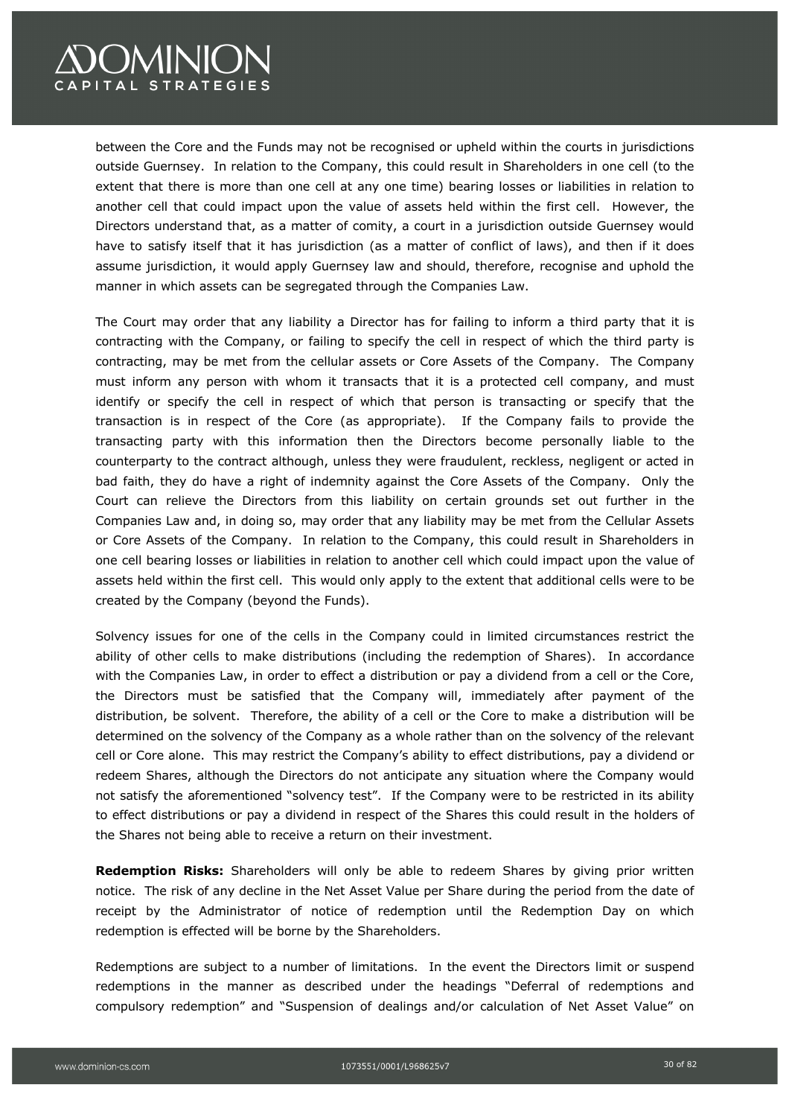

between the Core and the Funds may not be recognised or upheld within the courts in jurisdictions outside Guernsey. In relation to the Company, this could result in Shareholders in one cell (to the extent that there is more than one cell at any one time) bearing losses or liabilities in relation to another cell that could impact upon the value of assets held within the first cell. However, the Directors understand that, as a matter of comity, a court in a jurisdiction outside Guernsey would have to satisfy itself that it has jurisdiction (as a matter of conflict of laws), and then if it does assume jurisdiction, it would apply Guernsey law and should, therefore, recognise and uphold the manner in which assets can be segregated through the Companies Law.

The Court may order that any liability a Director has for failing to inform a third party that it is contracting with the Company, or failing to specify the cell in respect of which the third party is contracting, may be met from the cellular assets or Core Assets of the Company. The Company must inform any person with whom it transacts that it is a protected cell company, and must identify or specify the cell in respect of which that person is transacting or specify that the transaction is in respect of the Core (as appropriate). If the Company fails to provide the transacting party with this information then the Directors become personally liable to the counterparty to the contract although, unless they were fraudulent, reckless, negligent or acted in bad faith, they do have a right of indemnity against the Core Assets of the Company. Only the Court can relieve the Directors from this liability on certain grounds set out further in the Companies Law and, in doing so, may order that any liability may be met from the Cellular Assets or Core Assets of the Company. In relation to the Company, this could result in Shareholders in one cell bearing losses or liabilities in relation to another cell which could impact upon the value of assets held within the first cell. This would only apply to the extent that additional cells were to be created by the Company (beyond the Funds).

Solvency issues for one of the cells in the Company could in limited circumstances restrict the ability of other cells to make distributions (including the redemption of Shares). In accordance with the Companies Law, in order to effect a distribution or pay a dividend from a cell or the Core, the Directors must be satisfied that the Company will, immediately after payment of the distribution, be solvent. Therefore, the ability of a cell or the Core to make a distribution will be determined on the solvency of the Company as a whole rather than on the solvency of the relevant cell or Core alone. This may restrict the Company's ability to effect distributions, pay a dividend or redeem Shares, although the Directors do not anticipate any situation where the Company would not satisfy the aforementioned "solvency test". If the Company were to be restricted in its ability to effect distributions or pay a dividend in respect of the Shares this could result in the holders of the Shares not being able to receive a return on their investment.

**Redemption Risks:** Shareholders will only be able to redeem Shares by giving prior written notice. The risk of any decline in the Net Asset Value per Share during the period from the date of receipt by the Administrator of notice of redemption until the Redemption Day on which redemption is effected will be borne by the Shareholders.

Redemptions are subject to a number of limitations. In the event the Directors limit or suspend redemptions in the manner as described under the headings "Deferral of redemptions and compulsory redemption" and "Suspension of dealings and/or calculation of Net Asset Value" on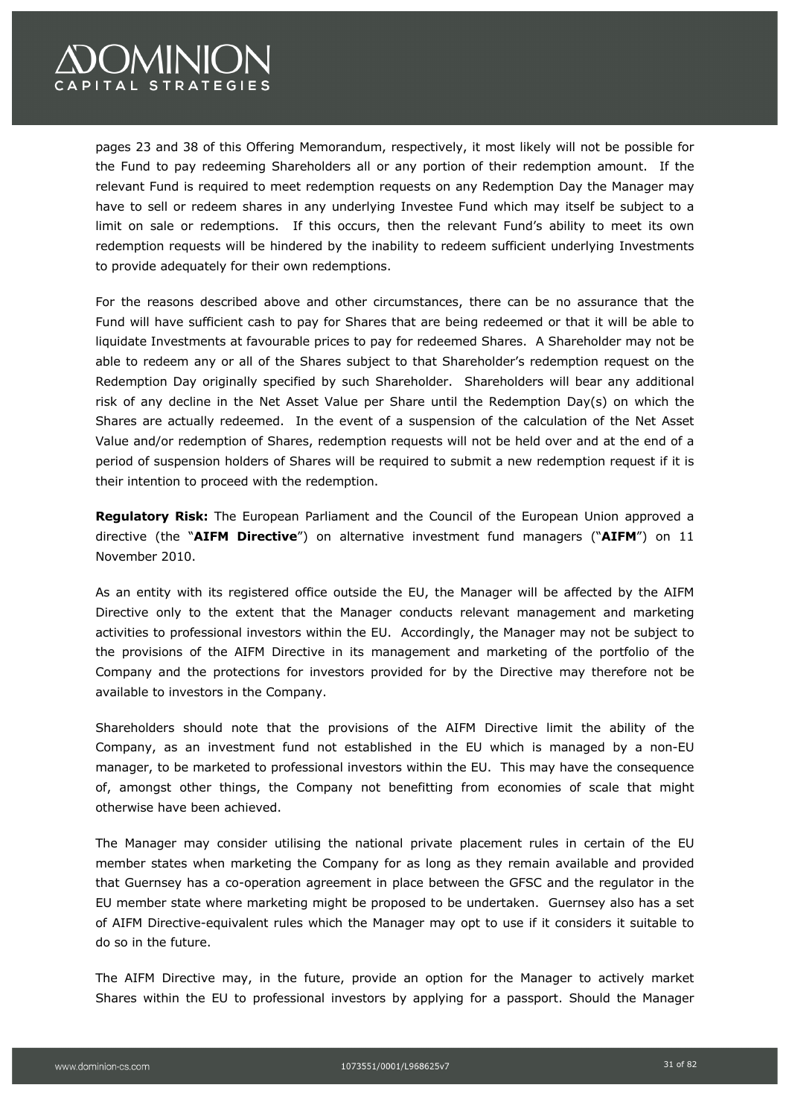

pages 23 and 38 of this Offering Memorandum, respectively, it most likely will not be possible for the Fund to pay redeeming Shareholders all or any portion of their redemption amount. If the relevant Fund is required to meet redemption requests on any Redemption Day the Manager may have to sell or redeem shares in any underlying Investee Fund which may itself be subject to a limit on sale or redemptions. If this occurs, then the relevant Fund's ability to meet its own redemption requests will be hindered by the inability to redeem sufficient underlying Investments to provide adequately for their own redemptions.

For the reasons described above and other circumstances, there can be no assurance that the Fund will have sufficient cash to pay for Shares that are being redeemed or that it will be able to liquidate Investments at favourable prices to pay for redeemed Shares. A Shareholder may not be able to redeem any or all of the Shares subject to that Shareholder's redemption request on the Redemption Day originally specified by such Shareholder. Shareholders will bear any additional risk of any decline in the Net Asset Value per Share until the Redemption Day(s) on which the Shares are actually redeemed. In the event of a suspension of the calculation of the Net Asset Value and/or redemption of Shares, redemption requests will not be held over and at the end of a period of suspension holders of Shares will be required to submit a new redemption request if it is their intention to proceed with the redemption.

**Regulatory Risk:** The European Parliament and the Council of the European Union approved a directive (the "**AIFM Directive**") on alternative investment fund managers ("**AIFM**") on 11 November 2010.

As an entity with its registered office outside the EU, the Manager will be affected by the AIFM Directive only to the extent that the Manager conducts relevant management and marketing activities to professional investors within the EU. Accordingly, the Manager may not be subject to the provisions of the AIFM Directive in its management and marketing of the portfolio of the Company and the protections for investors provided for by the Directive may therefore not be available to investors in the Company.

Shareholders should note that the provisions of the AIFM Directive limit the ability of the Company, as an investment fund not established in the EU which is managed by a non-EU manager, to be marketed to professional investors within the EU. This may have the consequence of, amongst other things, the Company not benefitting from economies of scale that might otherwise have been achieved.

The Manager may consider utilising the national private placement rules in certain of the EU member states when marketing the Company for as long as they remain available and provided that Guernsey has a co-operation agreement in place between the GFSC and the regulator in the EU member state where marketing might be proposed to be undertaken. Guernsey also has a set of AIFM Directive-equivalent rules which the Manager may opt to use if it considers it suitable to do so in the future.

The AIFM Directive may, in the future, provide an option for the Manager to actively market Shares within the EU to professional investors by applying for a passport. Should the Manager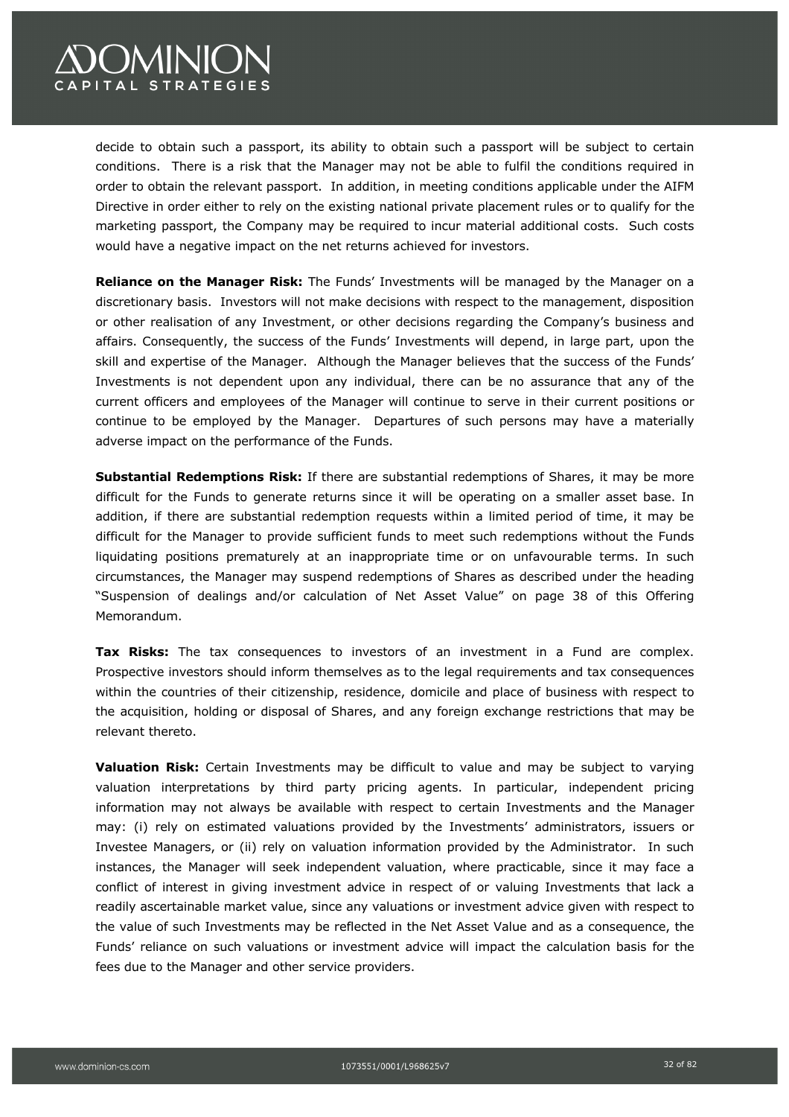

decide to obtain such a passport, its ability to obtain such a passport will be subject to certain conditions. There is a risk that the Manager may not be able to fulfil the conditions required in order to obtain the relevant passport. In addition, in meeting conditions applicable under the AIFM Directive in order either to rely on the existing national private placement rules or to qualify for the marketing passport, the Company may be required to incur material additional costs. Such costs would have a negative impact on the net returns achieved for investors.

**Reliance on the Manager Risk:** The Funds' Investments will be managed by the Manager on a discretionary basis. Investors will not make decisions with respect to the management, disposition or other realisation of any Investment, or other decisions regarding the Company's business and affairs. Consequently, the success of the Funds' Investments will depend, in large part, upon the skill and expertise of the Manager. Although the Manager believes that the success of the Funds' Investments is not dependent upon any individual, there can be no assurance that any of the current officers and employees of the Manager will continue to serve in their current positions or continue to be employed by the Manager. Departures of such persons may have a materially adverse impact on the performance of the Funds.

**Substantial Redemptions Risk:** If there are substantial redemptions of Shares, it may be more difficult for the Funds to generate returns since it will be operating on a smaller asset base. In addition, if there are substantial redemption requests within a limited period of time, it may be difficult for the Manager to provide sufficient funds to meet such redemptions without the Funds liquidating positions prematurely at an inappropriate time or on unfavourable terms. In such circumstances, the Manager may suspend redemptions of Shares as described under the heading "Suspension of dealings and/or calculation of Net Asset Value" on page 38 of this Offering Memorandum.

**Tax Risks:** The tax consequences to investors of an investment in a Fund are complex. Prospective investors should inform themselves as to the legal requirements and tax consequences within the countries of their citizenship, residence, domicile and place of business with respect to the acquisition, holding or disposal of Shares, and any foreign exchange restrictions that may be relevant thereto.

**Valuation Risk:** Certain Investments may be difficult to value and may be subject to varying valuation interpretations by third party pricing agents. In particular, independent pricing information may not always be available with respect to certain Investments and the Manager may: (i) rely on estimated valuations provided by the Investments' administrators, issuers or Investee Managers, or (ii) rely on valuation information provided by the Administrator. In such instances, the Manager will seek independent valuation, where practicable, since it may face a conflict of interest in giving investment advice in respect of or valuing Investments that lack a readily ascertainable market value, since any valuations or investment advice given with respect to the value of such Investments may be reflected in the Net Asset Value and as a consequence, the Funds' reliance on such valuations or investment advice will impact the calculation basis for the fees due to the Manager and other service providers.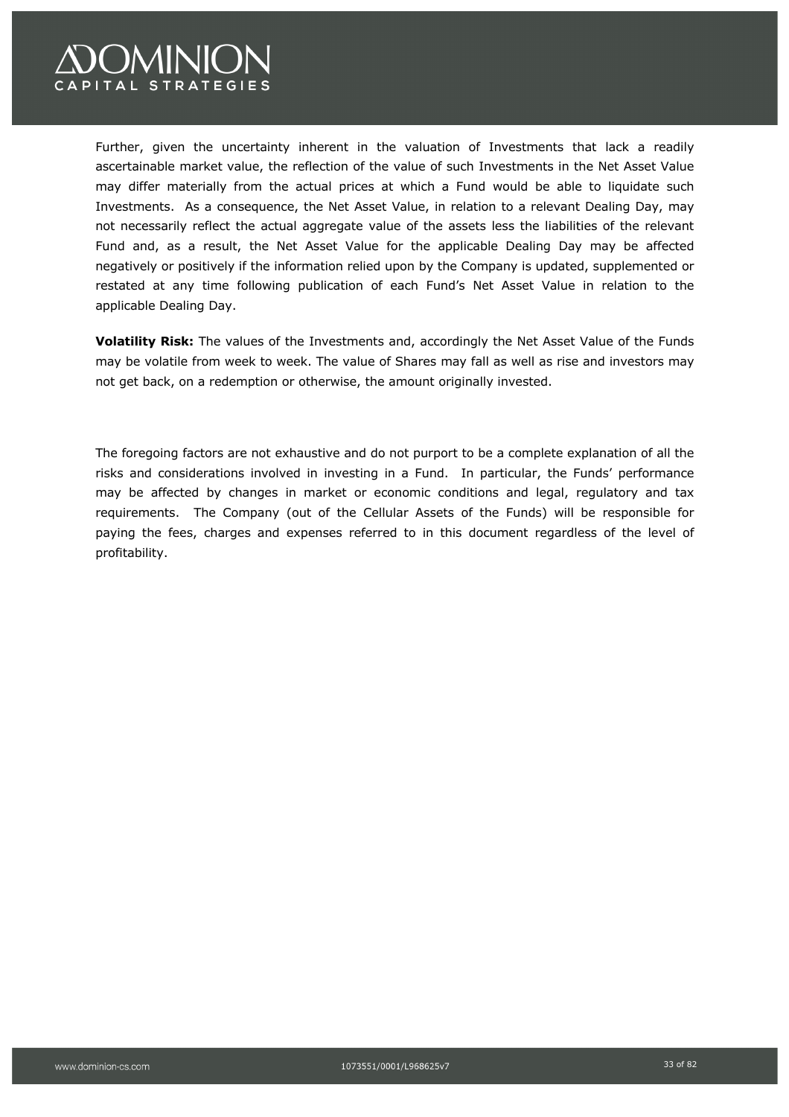

Further, given the uncertainty inherent in the valuation of Investments that lack a readily ascertainable market value, the reflection of the value of such Investments in the Net Asset Value may differ materially from the actual prices at which a Fund would be able to liquidate such Investments. As a consequence, the Net Asset Value, in relation to a relevant Dealing Day, may not necessarily reflect the actual aggregate value of the assets less the liabilities of the relevant Fund and, as a result, the Net Asset Value for the applicable Dealing Day may be affected negatively or positively if the information relied upon by the Company is updated, supplemented or restated at any time following publication of each Fund's Net Asset Value in relation to the applicable Dealing Day.

**Volatility Risk:** The values of the Investments and, accordingly the Net Asset Value of the Funds may be volatile from week to week. The value of Shares may fall as well as rise and investors may not get back, on a redemption or otherwise, the amount originally invested.

The foregoing factors are not exhaustive and do not purport to be a complete explanation of all the risks and considerations involved in investing in a Fund. In particular, the Funds' performance may be affected by changes in market or economic conditions and legal, regulatory and tax requirements. The Company (out of the Cellular Assets of the Funds) will be responsible for paying the fees, charges and expenses referred to in this document regardless of the level of profitability.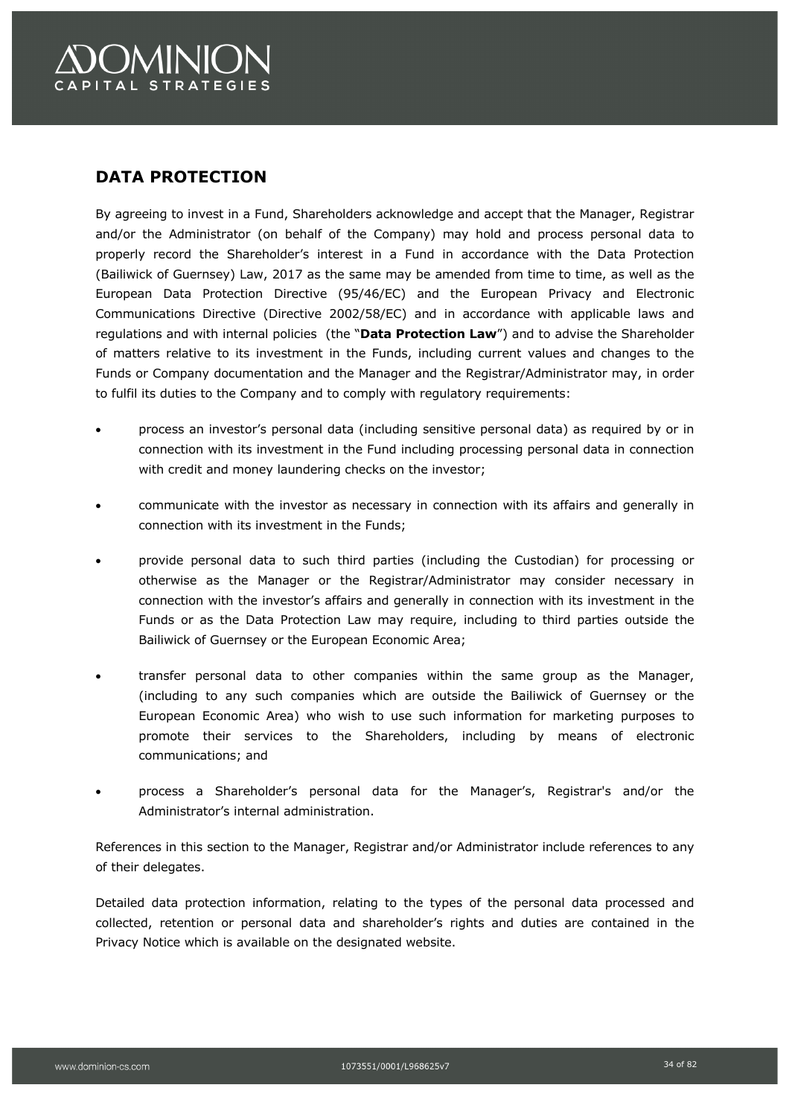# **DATA PROTECTION**

By agreeing to invest in a Fund, Shareholders acknowledge and accept that the Manager, Registrar and/or the Administrator (on behalf of the Company) may hold and process personal data to properly record the Shareholder's interest in a Fund in accordance with the Data Protection (Bailiwick of Guernsey) Law, 2017 as the same may be amended from time to time, as well as the European Data Protection Directive (95/46/EC) and the European Privacy and Electronic Communications Directive (Directive 2002/58/EC) and in accordance with applicable laws and regulations and with internal policies (the "**Data Protection Law**") and to advise the Shareholder of matters relative to its investment in the Funds, including current values and changes to the Funds or Company documentation and the Manager and the Registrar/Administrator may, in order to fulfil its duties to the Company and to comply with regulatory requirements:

- process an investor's personal data (including sensitive personal data) as required by or in connection with its investment in the Fund including processing personal data in connection with credit and money laundering checks on the investor;
- communicate with the investor as necessary in connection with its affairs and generally in connection with its investment in the Funds;
- provide personal data to such third parties (including the Custodian) for processing or otherwise as the Manager or the Registrar/Administrator may consider necessary in connection with the investor's affairs and generally in connection with its investment in the Funds or as the Data Protection Law may require, including to third parties outside the Bailiwick of Guernsey or the European Economic Area;
- transfer personal data to other companies within the same group as the Manager, (including to any such companies which are outside the Bailiwick of Guernsey or the European Economic Area) who wish to use such information for marketing purposes to promote their services to the Shareholders, including by means of electronic communications; and
- process a Shareholder's personal data for the Manager's, Registrar's and/or the Administrator's internal administration.

References in this section to the Manager, Registrar and/or Administrator include references to any of their delegates.

Detailed data protection information, relating to the types of the personal data processed and collected, retention or personal data and shareholder's rights and duties are contained in the Privacy Notice which is available on the designated website.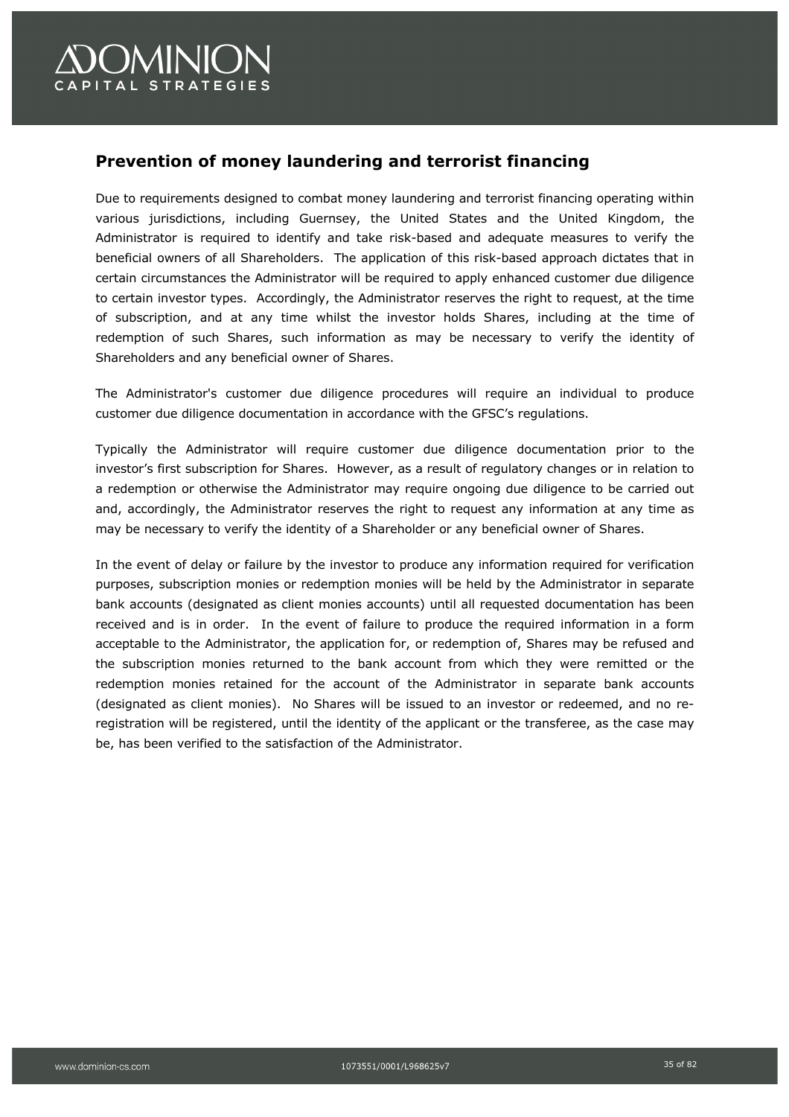# **)OMINION** APITAL STRATEGIES

# **Prevention of money laundering and terrorist financing**

Due to requirements designed to combat money laundering and terrorist financing operating within various jurisdictions, including Guernsey, the United States and the United Kingdom, the Administrator is required to identify and take risk-based and adequate measures to verify the beneficial owners of all Shareholders. The application of this risk-based approach dictates that in certain circumstances the Administrator will be required to apply enhanced customer due diligence to certain investor types. Accordingly, the Administrator reserves the right to request, at the time of subscription, and at any time whilst the investor holds Shares, including at the time of redemption of such Shares, such information as may be necessary to verify the identity of Shareholders and any beneficial owner of Shares.

The Administrator's customer due diligence procedures will require an individual to produce customer due diligence documentation in accordance with the GFSC's regulations.

Typically the Administrator will require customer due diligence documentation prior to the investor's first subscription for Shares. However, as a result of regulatory changes or in relation to a redemption or otherwise the Administrator may require ongoing due diligence to be carried out and, accordingly, the Administrator reserves the right to request any information at any time as may be necessary to verify the identity of a Shareholder or any beneficial owner of Shares.

In the event of delay or failure by the investor to produce any information required for verification purposes, subscription monies or redemption monies will be held by the Administrator in separate bank accounts (designated as client monies accounts) until all requested documentation has been received and is in order. In the event of failure to produce the required information in a form acceptable to the Administrator, the application for, or redemption of, Shares may be refused and the subscription monies returned to the bank account from which they were remitted or the redemption monies retained for the account of the Administrator in separate bank accounts (designated as client monies). No Shares will be issued to an investor or redeemed, and no reregistration will be registered, until the identity of the applicant or the transferee, as the case may be, has been verified to the satisfaction of the Administrator.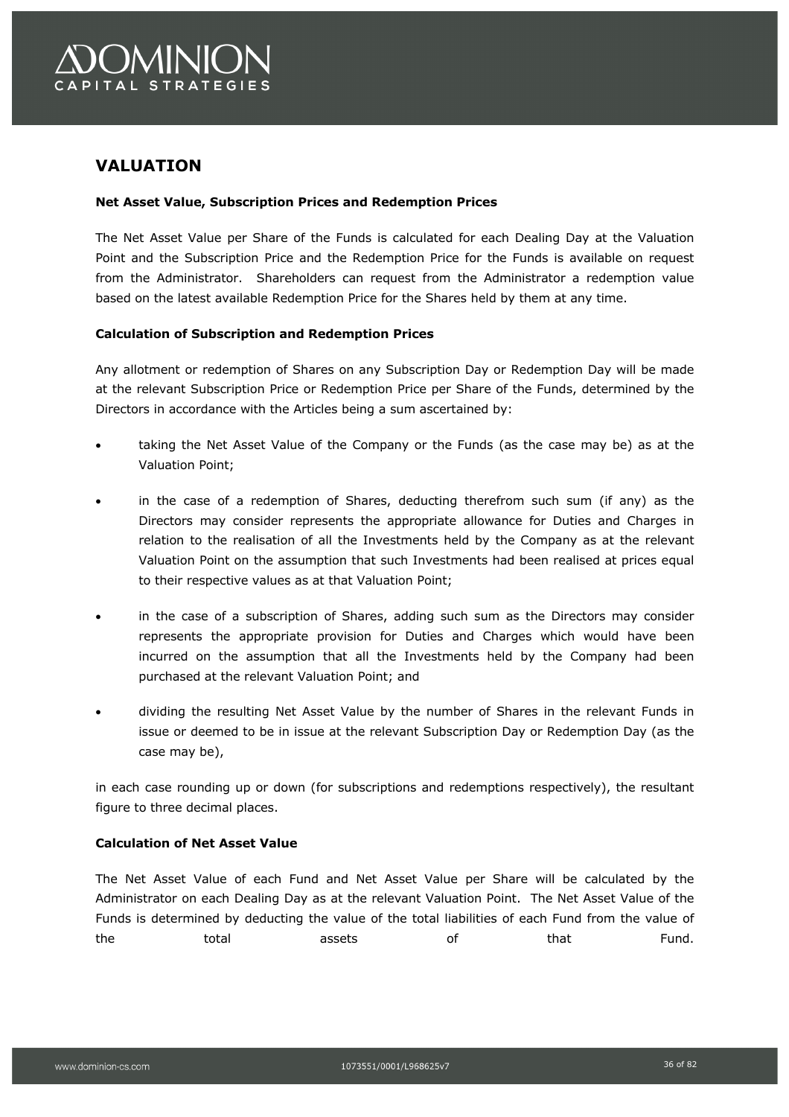

# **VALUATION**

#### **Net Asset Value, Subscription Prices and Redemption Prices**

The Net Asset Value per Share of the Funds is calculated for each Dealing Day at the Valuation Point and the Subscription Price and the Redemption Price for the Funds is available on request from the Administrator. Shareholders can request from the Administrator a redemption value based on the latest available Redemption Price for the Shares held by them at any time.

#### **Calculation of Subscription and Redemption Prices**

Any allotment or redemption of Shares on any Subscription Day or Redemption Day will be made at the relevant Subscription Price or Redemption Price per Share of the Funds, determined by the Directors in accordance with the Articles being a sum ascertained by:

- taking the Net Asset Value of the Company or the Funds (as the case may be) as at the Valuation Point;
- in the case of a redemption of Shares, deducting therefrom such sum (if any) as the Directors may consider represents the appropriate allowance for Duties and Charges in relation to the realisation of all the Investments held by the Company as at the relevant Valuation Point on the assumption that such Investments had been realised at prices equal to their respective values as at that Valuation Point;
- in the case of a subscription of Shares, adding such sum as the Directors may consider represents the appropriate provision for Duties and Charges which would have been incurred on the assumption that all the Investments held by the Company had been purchased at the relevant Valuation Point; and
- dividing the resulting Net Asset Value by the number of Shares in the relevant Funds in issue or deemed to be in issue at the relevant Subscription Day or Redemption Day (as the case may be),

in each case rounding up or down (for subscriptions and redemptions respectively), the resultant figure to three decimal places.

#### **Calculation of Net Asset Value**

The Net Asset Value of each Fund and Net Asset Value per Share will be calculated by the Administrator on each Dealing Day as at the relevant Valuation Point. The Net Asset Value of the Funds is determined by deducting the value of the total liabilities of each Fund from the value of the total assets of that Fund.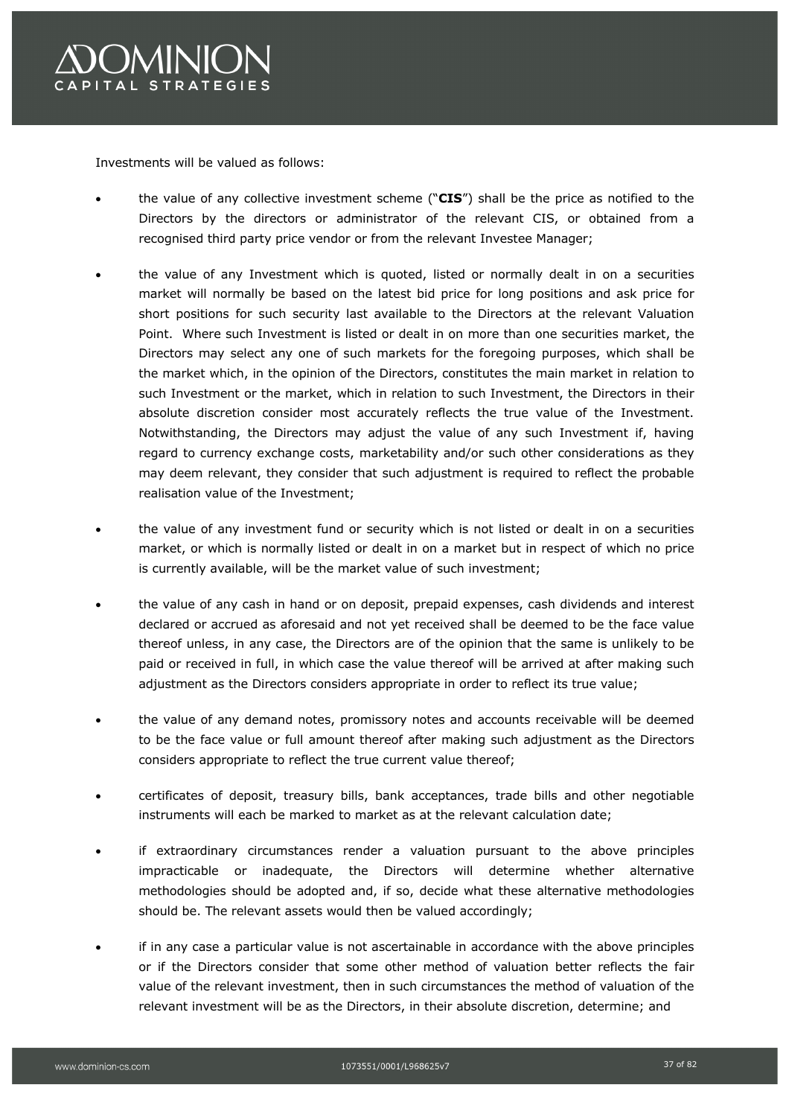

Investments will be valued as follows:

- the value of any collective investment scheme ("**CIS**") shall be the price as notified to the Directors by the directors or administrator of the relevant CIS, or obtained from a recognised third party price vendor or from the relevant Investee Manager;
- the value of any Investment which is quoted, listed or normally dealt in on a securities market will normally be based on the latest bid price for long positions and ask price for short positions for such security last available to the Directors at the relevant Valuation Point. Where such Investment is listed or dealt in on more than one securities market, the Directors may select any one of such markets for the foregoing purposes, which shall be the market which, in the opinion of the Directors, constitutes the main market in relation to such Investment or the market, which in relation to such Investment, the Directors in their absolute discretion consider most accurately reflects the true value of the Investment. Notwithstanding, the Directors may adjust the value of any such Investment if, having regard to currency exchange costs, marketability and/or such other considerations as they may deem relevant, they consider that such adjustment is required to reflect the probable realisation value of the Investment;
- the value of any investment fund or security which is not listed or dealt in on a securities market, or which is normally listed or dealt in on a market but in respect of which no price is currently available, will be the market value of such investment;
- the value of any cash in hand or on deposit, prepaid expenses, cash dividends and interest declared or accrued as aforesaid and not yet received shall be deemed to be the face value thereof unless, in any case, the Directors are of the opinion that the same is unlikely to be paid or received in full, in which case the value thereof will be arrived at after making such adjustment as the Directors considers appropriate in order to reflect its true value;
- the value of any demand notes, promissory notes and accounts receivable will be deemed to be the face value or full amount thereof after making such adjustment as the Directors considers appropriate to reflect the true current value thereof;
- certificates of deposit, treasury bills, bank acceptances, trade bills and other negotiable instruments will each be marked to market as at the relevant calculation date;
- if extraordinary circumstances render a valuation pursuant to the above principles impracticable or inadequate, the Directors will determine whether alternative methodologies should be adopted and, if so, decide what these alternative methodologies should be. The relevant assets would then be valued accordingly;
- if in any case a particular value is not ascertainable in accordance with the above principles or if the Directors consider that some other method of valuation better reflects the fair value of the relevant investment, then in such circumstances the method of valuation of the relevant investment will be as the Directors, in their absolute discretion, determine; and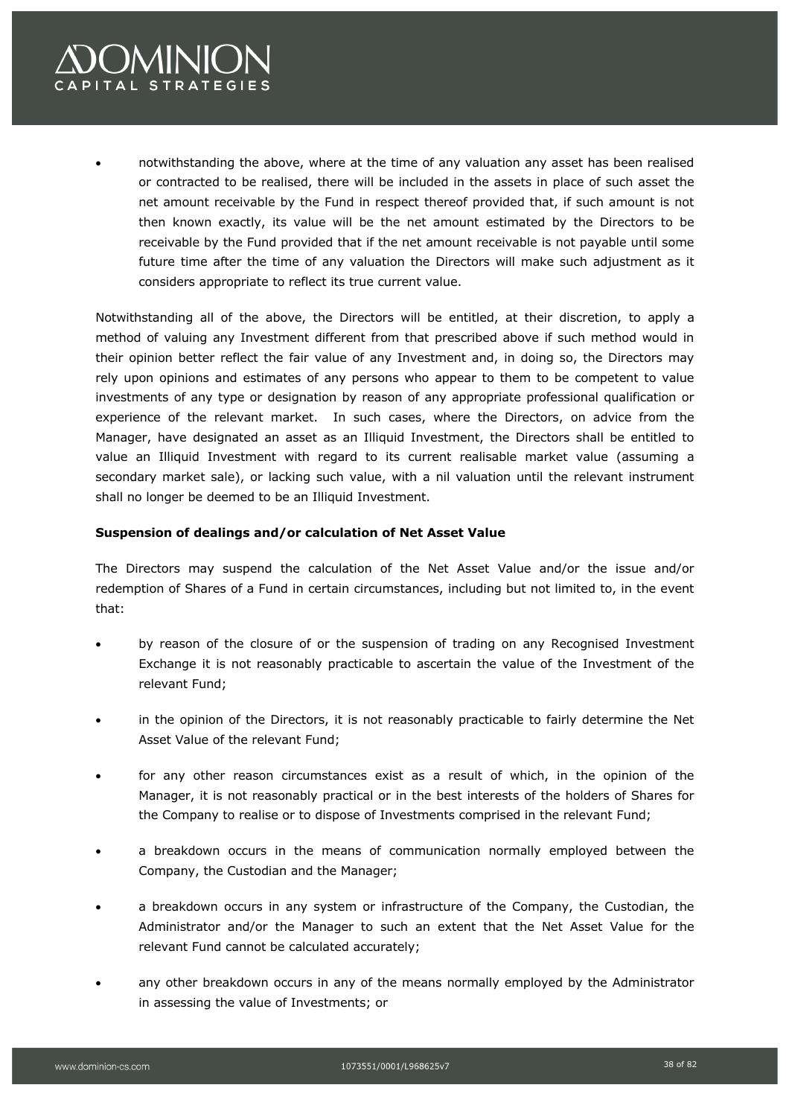# **OMINION** PITAL STRATEGIES

• notwithstanding the above, where at the time of any valuation any asset has been realised or contracted to be realised, there will be included in the assets in place of such asset the net amount receivable by the Fund in respect thereof provided that, if such amount is not then known exactly, its value will be the net amount estimated by the Directors to be receivable by the Fund provided that if the net amount receivable is not payable until some future time after the time of any valuation the Directors will make such adjustment as it considers appropriate to reflect its true current value.

Notwithstanding all of the above, the Directors will be entitled, at their discretion, to apply a method of valuing any Investment different from that prescribed above if such method would in their opinion better reflect the fair value of any Investment and, in doing so, the Directors may rely upon opinions and estimates of any persons who appear to them to be competent to value investments of any type or designation by reason of any appropriate professional qualification or experience of the relevant market. In such cases, where the Directors, on advice from the Manager, have designated an asset as an Illiquid Investment, the Directors shall be entitled to value an Illiquid Investment with regard to its current realisable market value (assuming a secondary market sale), or lacking such value, with a nil valuation until the relevant instrument shall no longer be deemed to be an Illiquid Investment.

### **Suspension of dealings and/or calculation of Net Asset Value**

The Directors may suspend the calculation of the Net Asset Value and/or the issue and/or redemption of Shares of a Fund in certain circumstances, including but not limited to, in the event that:

- by reason of the closure of or the suspension of trading on any Recognised Investment Exchange it is not reasonably practicable to ascertain the value of the Investment of the relevant Fund;
- in the opinion of the Directors, it is not reasonably practicable to fairly determine the Net Asset Value of the relevant Fund;
- for any other reason circumstances exist as a result of which, in the opinion of the Manager, it is not reasonably practical or in the best interests of the holders of Shares for the Company to realise or to dispose of Investments comprised in the relevant Fund;
- a breakdown occurs in the means of communication normally employed between the Company, the Custodian and the Manager;
- a breakdown occurs in any system or infrastructure of the Company, the Custodian, the Administrator and/or the Manager to such an extent that the Net Asset Value for the relevant Fund cannot be calculated accurately;
- any other breakdown occurs in any of the means normally employed by the Administrator in assessing the value of Investments; or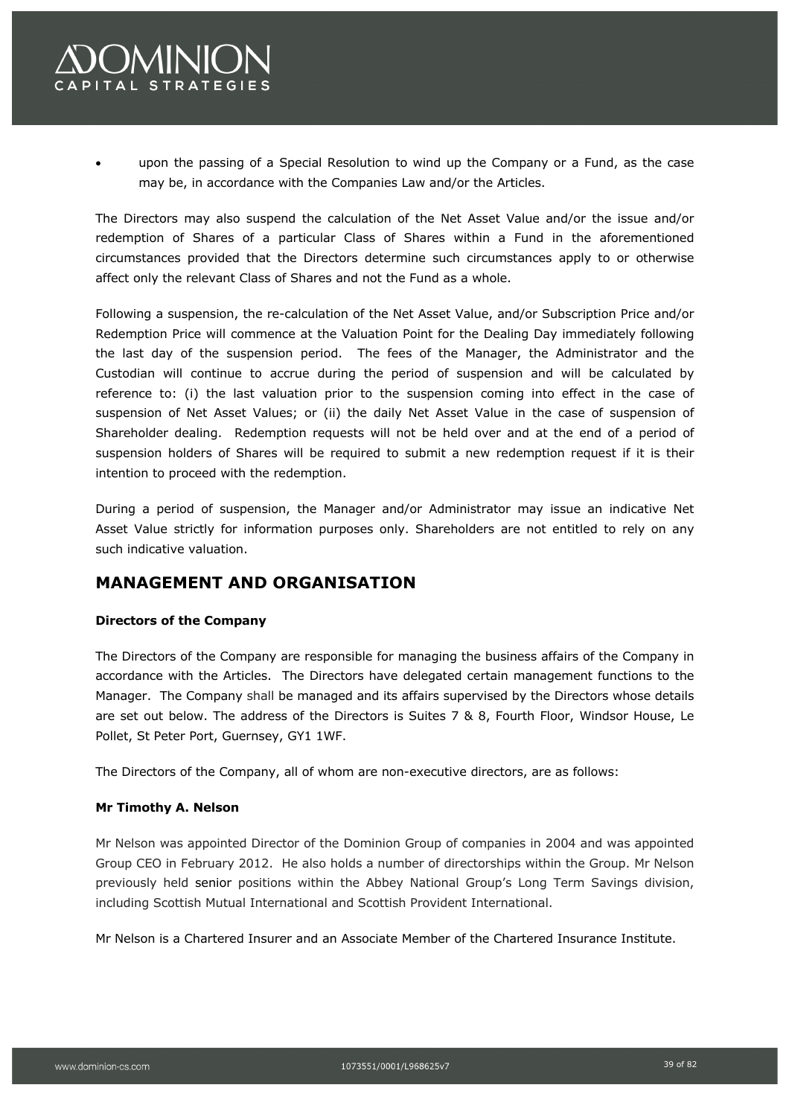

• upon the passing of a Special Resolution to wind up the Company or a Fund, as the case may be, in accordance with the Companies Law and/or the Articles.

The Directors may also suspend the calculation of the Net Asset Value and/or the issue and/or redemption of Shares of a particular Class of Shares within a Fund in the aforementioned circumstances provided that the Directors determine such circumstances apply to or otherwise affect only the relevant Class of Shares and not the Fund as a whole.

Following a suspension, the re-calculation of the Net Asset Value, and/or Subscription Price and/or Redemption Price will commence at the Valuation Point for the Dealing Day immediately following the last day of the suspension period. The fees of the Manager, the Administrator and the Custodian will continue to accrue during the period of suspension and will be calculated by reference to: (i) the last valuation prior to the suspension coming into effect in the case of suspension of Net Asset Values; or (ii) the daily Net Asset Value in the case of suspension of Shareholder dealing. Redemption requests will not be held over and at the end of a period of suspension holders of Shares will be required to submit a new redemption request if it is their intention to proceed with the redemption.

During a period of suspension, the Manager and/or Administrator may issue an indicative Net Asset Value strictly for information purposes only. Shareholders are not entitled to rely on any such indicative valuation.

### **MANAGEMENT AND ORGANISATION**

### **Directors of the Company**

The Directors of the Company are responsible for managing the business affairs of the Company in accordance with the Articles. The Directors have delegated certain management functions to the Manager. The Company shall be managed and its affairs supervised by the Directors whose details are set out below. The address of the Directors is Suites 7 & 8, Fourth Floor, Windsor House, Le Pollet, St Peter Port, Guernsey, GY1 1WF.

The Directors of the Company, all of whom are non-executive directors, are as follows:

### **Mr Timothy A. Nelson**

Mr Nelson was appointed Director of the Dominion Group of companies in 2004 and was appointed Group CEO in February 2012. He also holds a number of directorships within the Group. Mr Nelson previously held senior positions within the Abbey National Group's Long Term Savings division, including Scottish Mutual International and Scottish Provident International.

Mr Nelson is a Chartered Insurer and an Associate Member of the Chartered Insurance Institute.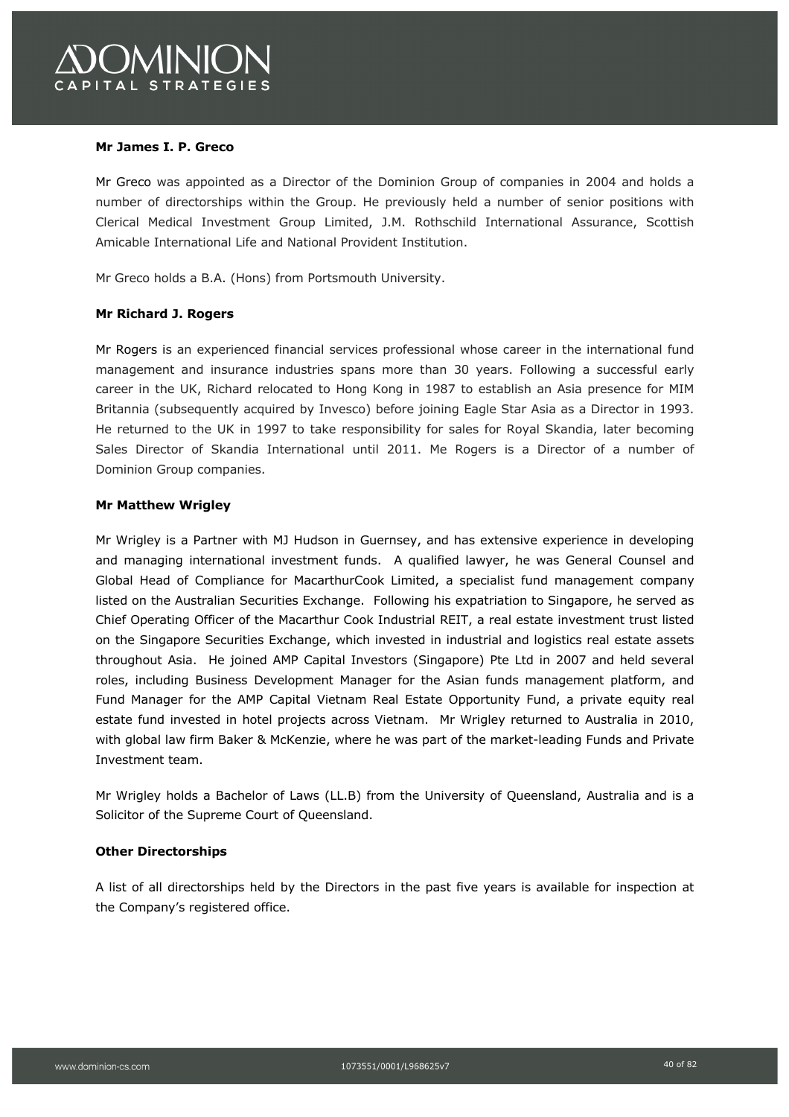### **Mr James I. P. Greco**

Mr Greco was appointed as a Director of the Dominion Group of companies in 2004 and holds a number of directorships within the Group. He previously held a number of senior positions with Clerical Medical Investment Group Limited, J.M. Rothschild International Assurance, Scottish Amicable International Life and National Provident Institution.

Mr Greco holds a B.A. (Hons) from Portsmouth University.

### **Mr Richard J. Rogers**

Mr Rogers is an experienced financial services professional whose career in the international fund management and insurance industries spans more than 30 years. Following a successful early career in the UK, Richard relocated to Hong Kong in 1987 to establish an Asia presence for MIM Britannia (subsequently acquired by Invesco) before joining Eagle Star Asia as a Director in 1993. He returned to the UK in 1997 to take responsibility for sales for Royal Skandia, later becoming Sales Director of Skandia International until 2011. Me Rogers is a Director of a number of Dominion Group companies.

### **Mr Matthew Wrigley**

Mr Wrigley is a Partner with MJ Hudson in Guernsey, and has extensive experience in developing and managing international investment funds. A qualified lawyer, he was General Counsel and Global Head of Compliance for MacarthurCook Limited, a specialist fund management company listed on the Australian Securities Exchange. Following his expatriation to Singapore, he served as Chief Operating Officer of the Macarthur Cook Industrial REIT, a real estate investment trust listed on the Singapore Securities Exchange, which invested in industrial and logistics real estate assets throughout Asia. He joined AMP Capital Investors (Singapore) Pte Ltd in 2007 and held several roles, including Business Development Manager for the Asian funds management platform, and Fund Manager for the AMP Capital Vietnam Real Estate Opportunity Fund, a private equity real estate fund invested in hotel projects across Vietnam. Mr Wrigley returned to Australia in 2010, with global law firm Baker & McKenzie, where he was part of the market-leading Funds and Private Investment team.

Mr Wrigley holds a Bachelor of Laws (LL.B) from the University of Queensland, Australia and is a Solicitor of the Supreme Court of Queensland.

#### **Other Directorships**

A list of all directorships held by the Directors in the past five years is available for inspection at the Company's registered office.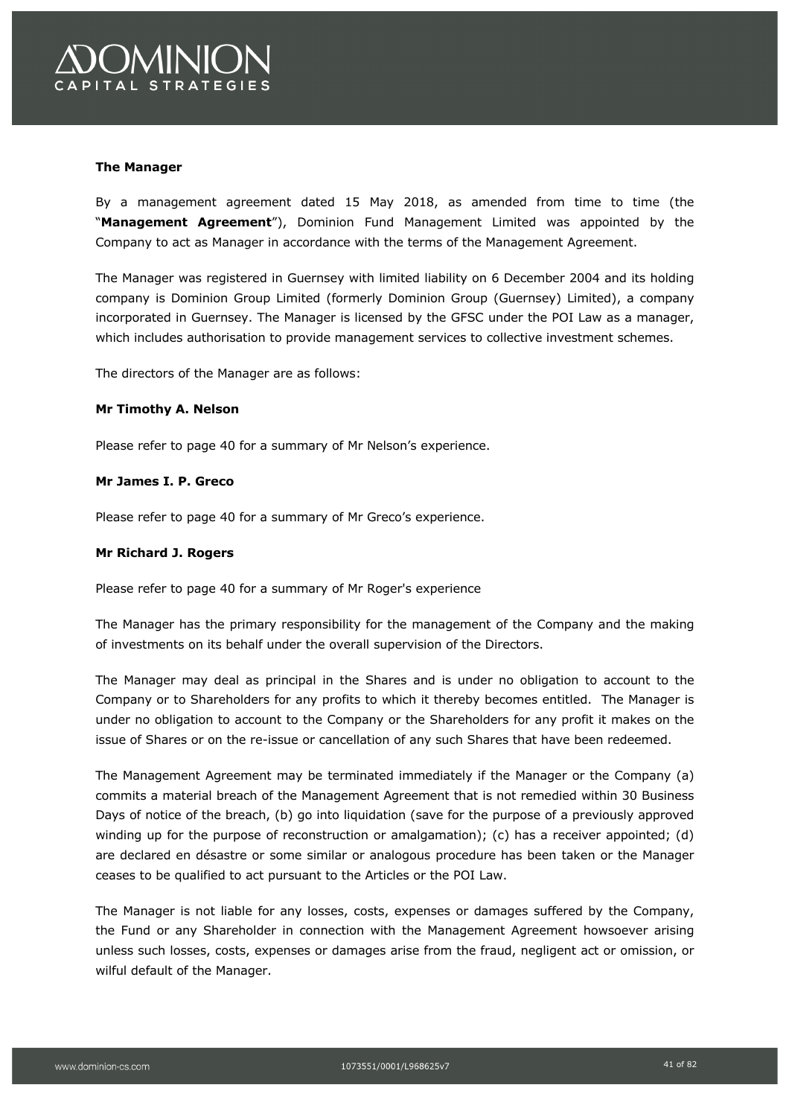

### **The Manager**

By a management agreement dated 15 May 2018, as amended from time to time (the "**Management Agreement**"), Dominion Fund Management Limited was appointed by the Company to act as Manager in accordance with the terms of the Management Agreement.

The Manager was registered in Guernsey with limited liability on 6 December 2004 and its holding company is Dominion Group Limited (formerly Dominion Group (Guernsey) Limited), a company incorporated in Guernsey. The Manager is licensed by the GFSC under the POI Law as a manager, which includes authorisation to provide management services to collective investment schemes.

The directors of the Manager are as follows:

### **Mr Timothy A. Nelson**

Please refer to page 40 for a summary of Mr Nelson's experience.

#### **Mr James I. P. Greco**

Please refer to page 40 for a summary of Mr Greco's experience.

### **Mr Richard J. Rogers**

Please refer to page 40 for a summary of Mr Roger's experience

The Manager has the primary responsibility for the management of the Company and the making of investments on its behalf under the overall supervision of the Directors.

The Manager may deal as principal in the Shares and is under no obligation to account to the Company or to Shareholders for any profits to which it thereby becomes entitled. The Manager is under no obligation to account to the Company or the Shareholders for any profit it makes on the issue of Shares or on the re-issue or cancellation of any such Shares that have been redeemed.

The Management Agreement may be terminated immediately if the Manager or the Company (a) commits a material breach of the Management Agreement that is not remedied within 30 Business Days of notice of the breach, (b) go into liquidation (save for the purpose of a previously approved winding up for the purpose of reconstruction or amalgamation); (c) has a receiver appointed; (d) are declared en désastre or some similar or analogous procedure has been taken or the Manager ceases to be qualified to act pursuant to the Articles or the POI Law.

The Manager is not liable for any losses, costs, expenses or damages suffered by the Company, the Fund or any Shareholder in connection with the Management Agreement howsoever arising unless such losses, costs, expenses or damages arise from the fraud, negligent act or omission, or wilful default of the Manager.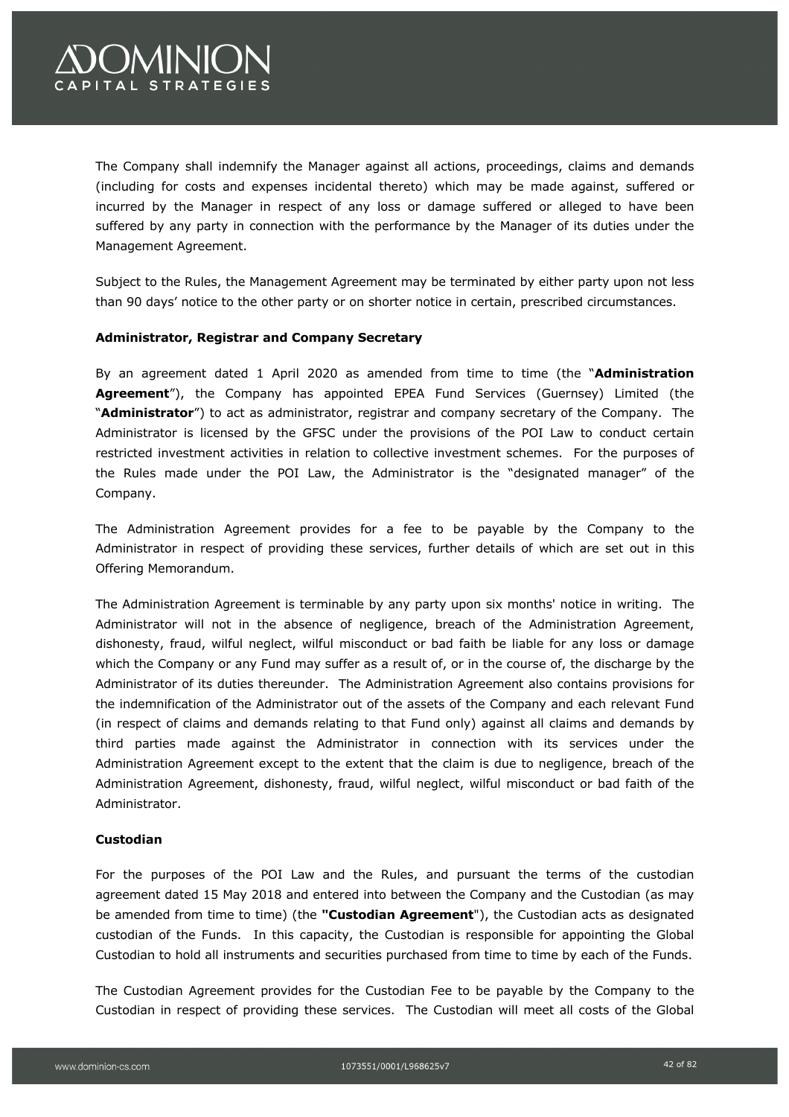# **OMINION** APITAL STRATEGIES

The Company shall indemnify the Manager against all actions, proceedings, claims and demands (including for costs and expenses incidental thereto) which may be made against, suffered or incurred by the Manager in respect of any loss or damage suffered or alleged to have been suffered by any party in connection with the performance by the Manager of its duties under the Management Agreement.

Subject to the Rules, the Management Agreement may be terminated by either party upon not less than 90 days' notice to the other party or on shorter notice in certain, prescribed circumstances.

### **Administrator, Registrar and Company Secretary**

By an agreement dated 1 April 2020 as amended from time to time (the "**Administration Agreement**"), the Company has appointed EPEA Fund Services (Guernsey) Limited (the "**Administrator**") to act as administrator, registrar and company secretary of the Company. The Administrator is licensed by the GFSC under the provisions of the POI Law to conduct certain restricted investment activities in relation to collective investment schemes. For the purposes of the Rules made under the POI Law, the Administrator is the "designated manager" of the Company.

The Administration Agreement provides for a fee to be payable by the Company to the Administrator in respect of providing these services, further details of which are set out in this Offering Memorandum.

The Administration Agreement is terminable by any party upon six months' notice in writing. The Administrator will not in the absence of negligence, breach of the Administration Agreement, dishonesty, fraud, wilful neglect, wilful misconduct or bad faith be liable for any loss or damage which the Company or any Fund may suffer as a result of, or in the course of, the discharge by the Administrator of its duties thereunder. The Administration Agreement also contains provisions for the indemnification of the Administrator out of the assets of the Company and each relevant Fund (in respect of claims and demands relating to that Fund only) against all claims and demands by third parties made against the Administrator in connection with its services under the Administration Agreement except to the extent that the claim is due to negligence, breach of the Administration Agreement, dishonesty, fraud, wilful neglect, wilful misconduct or bad faith of the Administrator.

### **Custodian**

For the purposes of the POI Law and the Rules, and pursuant the terms of the custodian agreement dated 15 May 2018 and entered into between the Company and the Custodian (as may be amended from time to time) (the **"Custodian Agreement**"), the Custodian acts as designated custodian of the Funds. In this capacity, the Custodian is responsible for appointing the Global Custodian to hold all instruments and securities purchased from time to time by each of the Funds.

The Custodian Agreement provides for the Custodian Fee to be payable by the Company to the Custodian in respect of providing these services. The Custodian will meet all costs of the Global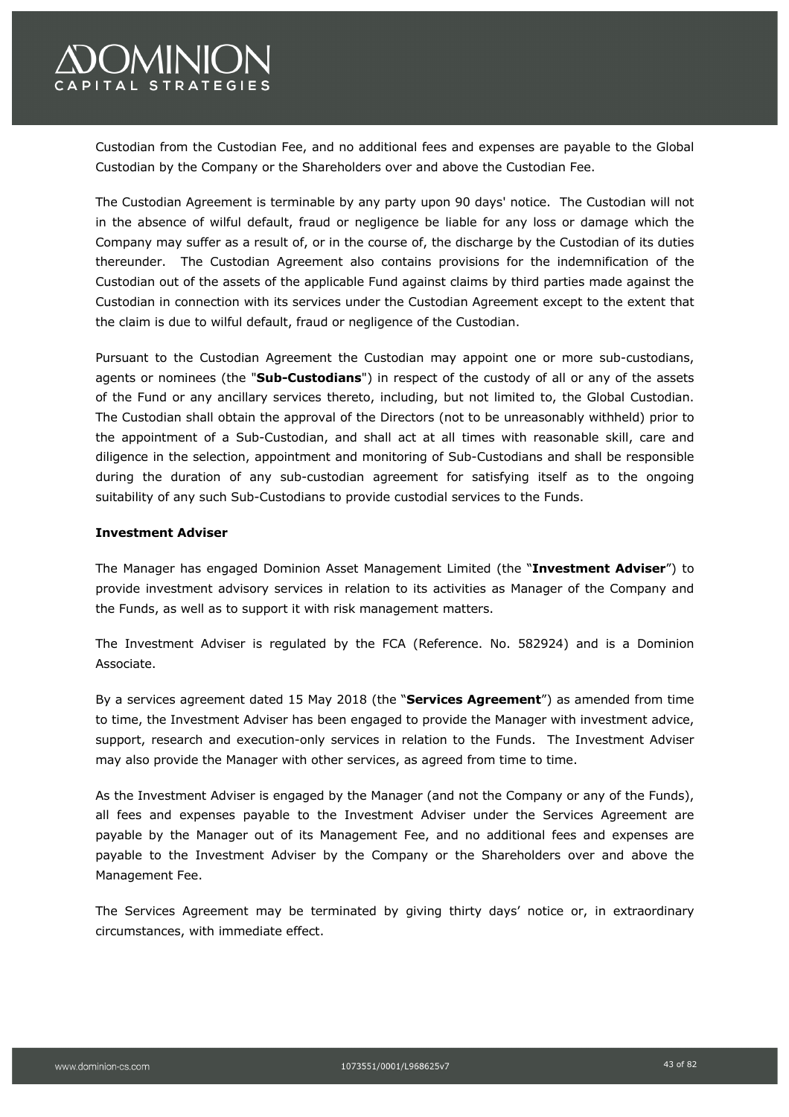

Custodian from the Custodian Fee, and no additional fees and expenses are payable to the Global Custodian by the Company or the Shareholders over and above the Custodian Fee.

The Custodian Agreement is terminable by any party upon 90 days' notice. The Custodian will not in the absence of wilful default, fraud or negligence be liable for any loss or damage which the Company may suffer as a result of, or in the course of, the discharge by the Custodian of its duties thereunder. The Custodian Agreement also contains provisions for the indemnification of the Custodian out of the assets of the applicable Fund against claims by third parties made against the Custodian in connection with its services under the Custodian Agreement except to the extent that the claim is due to wilful default, fraud or negligence of the Custodian.

Pursuant to the Custodian Agreement the Custodian may appoint one or more sub-custodians, agents or nominees (the "**Sub-Custodians**") in respect of the custody of all or any of the assets of the Fund or any ancillary services thereto, including, but not limited to, the Global Custodian. The Custodian shall obtain the approval of the Directors (not to be unreasonably withheld) prior to the appointment of a Sub-Custodian, and shall act at all times with reasonable skill, care and diligence in the selection, appointment and monitoring of Sub-Custodians and shall be responsible during the duration of any sub-custodian agreement for satisfying itself as to the ongoing suitability of any such Sub-Custodians to provide custodial services to the Funds.

### **Investment Adviser**

The Manager has engaged Dominion Asset Management Limited (the "**Investment Adviser**") to provide investment advisory services in relation to its activities as Manager of the Company and the Funds, as well as to support it with risk management matters.

The Investment Adviser is regulated by the FCA (Reference. No. 582924) and is a Dominion Associate.

By a services agreement dated 15 May 2018 (the "**Services Agreement**") as amended from time to time, the Investment Adviser has been engaged to provide the Manager with investment advice, support, research and execution-only services in relation to the Funds. The Investment Adviser may also provide the Manager with other services, as agreed from time to time.

As the Investment Adviser is engaged by the Manager (and not the Company or any of the Funds), all fees and expenses payable to the Investment Adviser under the Services Agreement are payable by the Manager out of its Management Fee, and no additional fees and expenses are payable to the Investment Adviser by the Company or the Shareholders over and above the Management Fee.

The Services Agreement may be terminated by giving thirty days' notice or, in extraordinary circumstances, with immediate effect.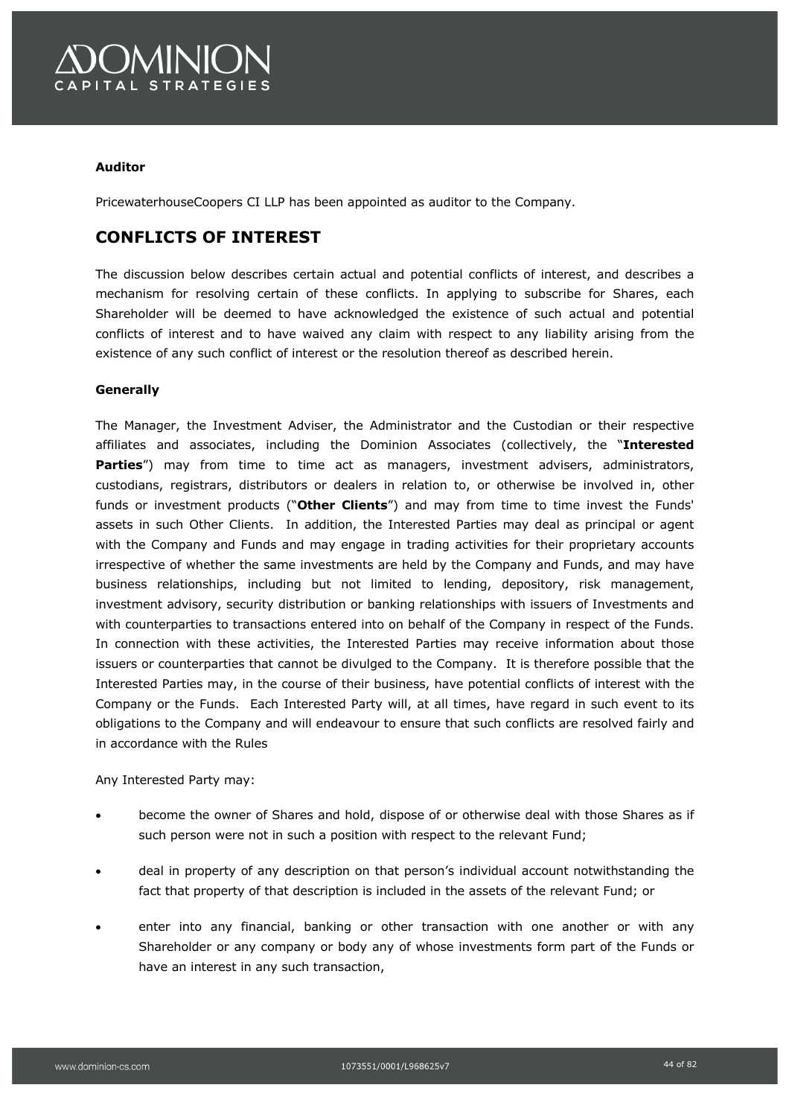

### **Auditor**

PricewaterhouseCoopers CI LLP has been appointed as auditor to the Company.

### **CONFLICTS OF INTEREST**

The discussion below describes certain actual and potential conflicts of interest, and describes a mechanism for resolving certain of these conflicts. In applying to subscribe for Shares, each Shareholder will be deemed to have acknowledged the existence of such actual and potential conflicts of interest and to have waived any claim with respect to any liability arising from the existence of any such conflict of interest or the resolution thereof as described herein.

### **Generally**

The Manager, the Investment Adviser, the Administrator and the Custodian or their respective affiliates and associates, including the Dominion Associates (collectively, the "**Interested Parties**") may from time to time act as managers, investment advisers, administrators, custodians, registrars, distributors or dealers in relation to, or otherwise be involved in, other funds or investment products ("**Other Clients**") and may from time to time invest the Funds' assets in such Other Clients. In addition, the Interested Parties may deal as principal or agent with the Company and Funds and may engage in trading activities for their proprietary accounts irrespective of whether the same investments are held by the Company and Funds, and may have business relationships, including but not limited to lending, depository, risk management, investment advisory, security distribution or banking relationships with issuers of Investments and with counterparties to transactions entered into on behalf of the Company in respect of the Funds. In connection with these activities, the Interested Parties may receive information about those issuers or counterparties that cannot be divulged to the Company. It is therefore possible that the Interested Parties may, in the course of their business, have potential conflicts of interest with the Company or the Funds. Each Interested Party will, at all times, have regard in such event to its obligations to the Company and will endeavour to ensure that such conflicts are resolved fairly and in accordance with the Rules

Any Interested Party may:

- become the owner of Shares and hold, dispose of or otherwise deal with those Shares as if such person were not in such a position with respect to the relevant Fund;
- deal in property of any description on that person's individual account notwithstanding the fact that property of that description is included in the assets of the relevant Fund; or
- enter into any financial, banking or other transaction with one another or with any Shareholder or any company or body any of whose investments form part of the Funds or have an interest in any such transaction,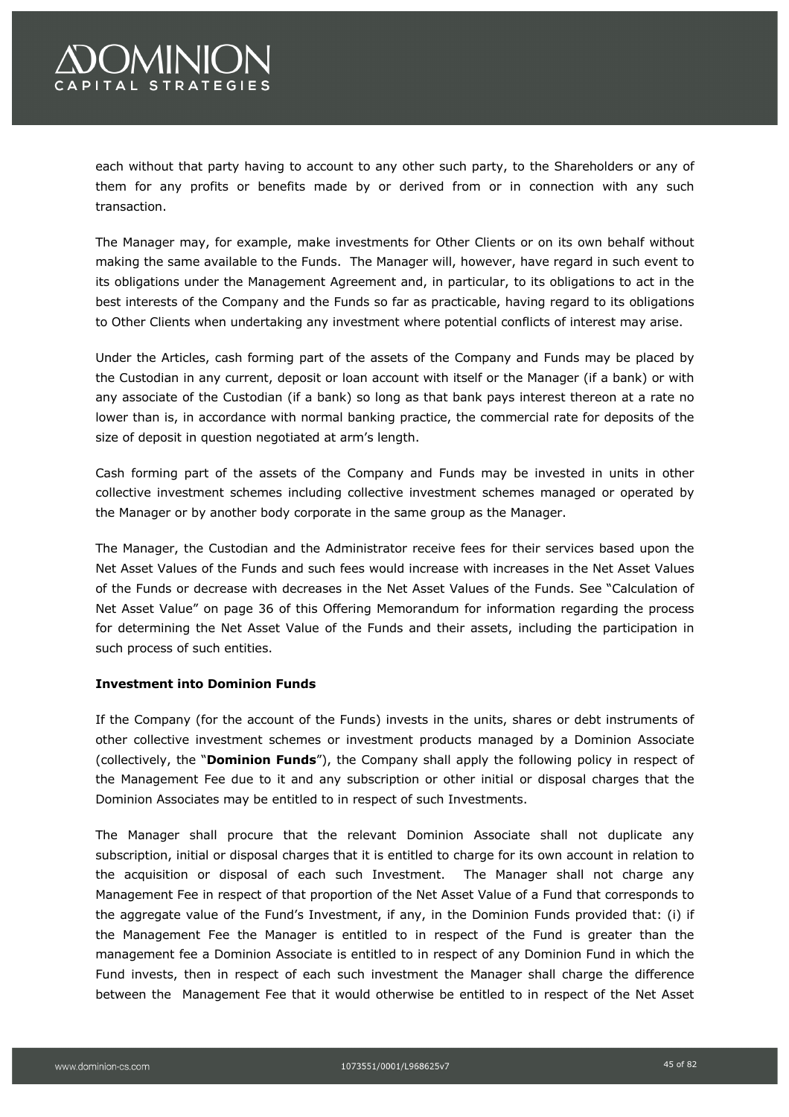# **OMINION** CAPITAL STRATEGIES

each without that party having to account to any other such party, to the Shareholders or any of them for any profits or benefits made by or derived from or in connection with any such transaction.

The Manager may, for example, make investments for Other Clients or on its own behalf without making the same available to the Funds. The Manager will, however, have regard in such event to its obligations under the Management Agreement and, in particular, to its obligations to act in the best interests of the Company and the Funds so far as practicable, having regard to its obligations to Other Clients when undertaking any investment where potential conflicts of interest may arise.

Under the Articles, cash forming part of the assets of the Company and Funds may be placed by the Custodian in any current, deposit or loan account with itself or the Manager (if a bank) or with any associate of the Custodian (if a bank) so long as that bank pays interest thereon at a rate no lower than is, in accordance with normal banking practice, the commercial rate for deposits of the size of deposit in question negotiated at arm's length.

Cash forming part of the assets of the Company and Funds may be invested in units in other collective investment schemes including collective investment schemes managed or operated by the Manager or by another body corporate in the same group as the Manager.

The Manager, the Custodian and the Administrator receive fees for their services based upon the Net Asset Values of the Funds and such fees would increase with increases in the Net Asset Values of the Funds or decrease with decreases in the Net Asset Values of the Funds. See "Calculation of Net Asset Value" on page 36 of this Offering Memorandum for information regarding the process for determining the Net Asset Value of the Funds and their assets, including the participation in such process of such entities.

### **Investment into Dominion Funds**

If the Company (for the account of the Funds) invests in the units, shares or debt instruments of other collective investment schemes or investment products managed by a Dominion Associate (collectively, the "**Dominion Funds**"), the Company shall apply the following policy in respect of the Management Fee due to it and any subscription or other initial or disposal charges that the Dominion Associates may be entitled to in respect of such Investments.

The Manager shall procure that the relevant Dominion Associate shall not duplicate any subscription, initial or disposal charges that it is entitled to charge for its own account in relation to the acquisition or disposal of each such Investment. The Manager shall not charge any Management Fee in respect of that proportion of the Net Asset Value of a Fund that corresponds to the aggregate value of the Fund's Investment, if any, in the Dominion Funds provided that: (i) if the Management Fee the Manager is entitled to in respect of the Fund is greater than the management fee a Dominion Associate is entitled to in respect of any Dominion Fund in which the Fund invests, then in respect of each such investment the Manager shall charge the difference between the Management Fee that it would otherwise be entitled to in respect of the Net Asset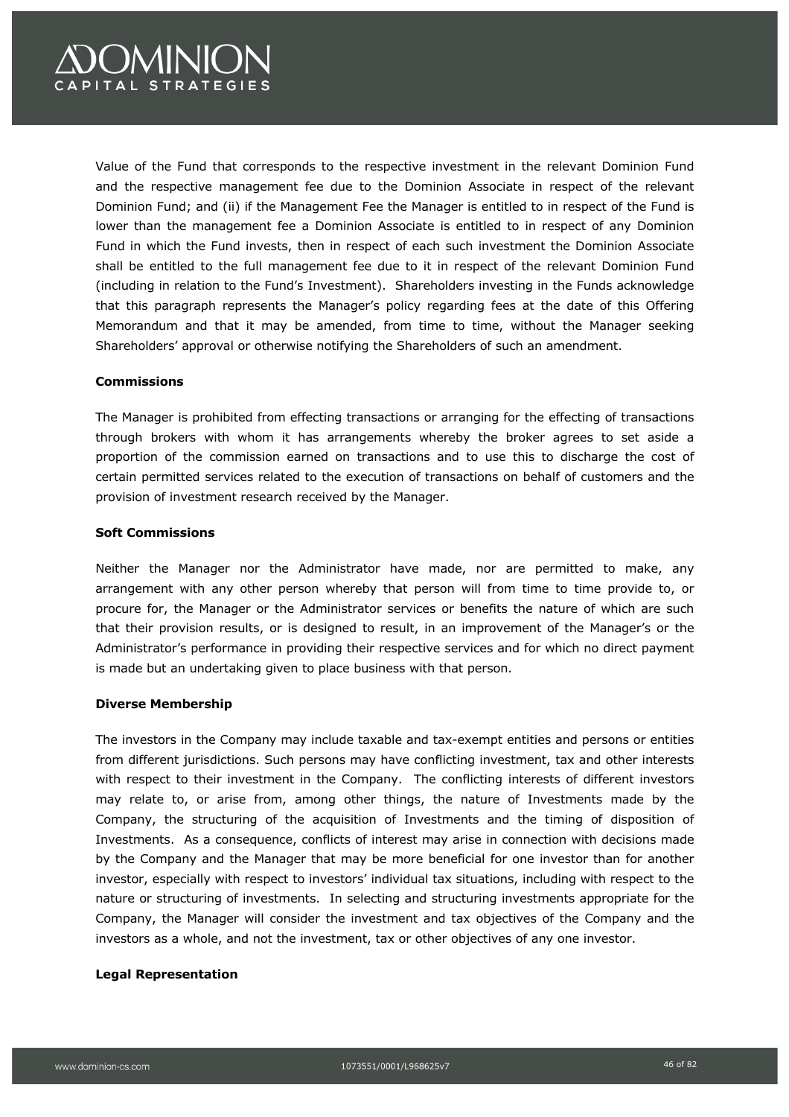# **OMINION APITAL STRATEGIES**

Value of the Fund that corresponds to the respective investment in the relevant Dominion Fund and the respective management fee due to the Dominion Associate in respect of the relevant Dominion Fund; and (ii) if the Management Fee the Manager is entitled to in respect of the Fund is lower than the management fee a Dominion Associate is entitled to in respect of any Dominion Fund in which the Fund invests, then in respect of each such investment the Dominion Associate shall be entitled to the full management fee due to it in respect of the relevant Dominion Fund (including in relation to the Fund's Investment). Shareholders investing in the Funds acknowledge that this paragraph represents the Manager's policy regarding fees at the date of this Offering Memorandum and that it may be amended, from time to time, without the Manager seeking Shareholders' approval or otherwise notifying the Shareholders of such an amendment.

### **Commissions**

The Manager is prohibited from effecting transactions or arranging for the effecting of transactions through brokers with whom it has arrangements whereby the broker agrees to set aside a proportion of the commission earned on transactions and to use this to discharge the cost of certain permitted services related to the execution of transactions on behalf of customers and the provision of investment research received by the Manager.

### **Soft Commissions**

Neither the Manager nor the Administrator have made, nor are permitted to make, any arrangement with any other person whereby that person will from time to time provide to, or procure for, the Manager or the Administrator services or benefits the nature of which are such that their provision results, or is designed to result, in an improvement of the Manager's or the Administrator's performance in providing their respective services and for which no direct payment is made but an undertaking given to place business with that person.

### **Diverse Membership**

The investors in the Company may include taxable and tax-exempt entities and persons or entities from different jurisdictions. Such persons may have conflicting investment, tax and other interests with respect to their investment in the Company. The conflicting interests of different investors may relate to, or arise from, among other things, the nature of Investments made by the Company, the structuring of the acquisition of Investments and the timing of disposition of Investments. As a consequence, conflicts of interest may arise in connection with decisions made by the Company and the Manager that may be more beneficial for one investor than for another investor, especially with respect to investors' individual tax situations, including with respect to the nature or structuring of investments. In selecting and structuring investments appropriate for the Company, the Manager will consider the investment and tax objectives of the Company and the investors as a whole, and not the investment, tax or other objectives of any one investor.

#### **Legal Representation**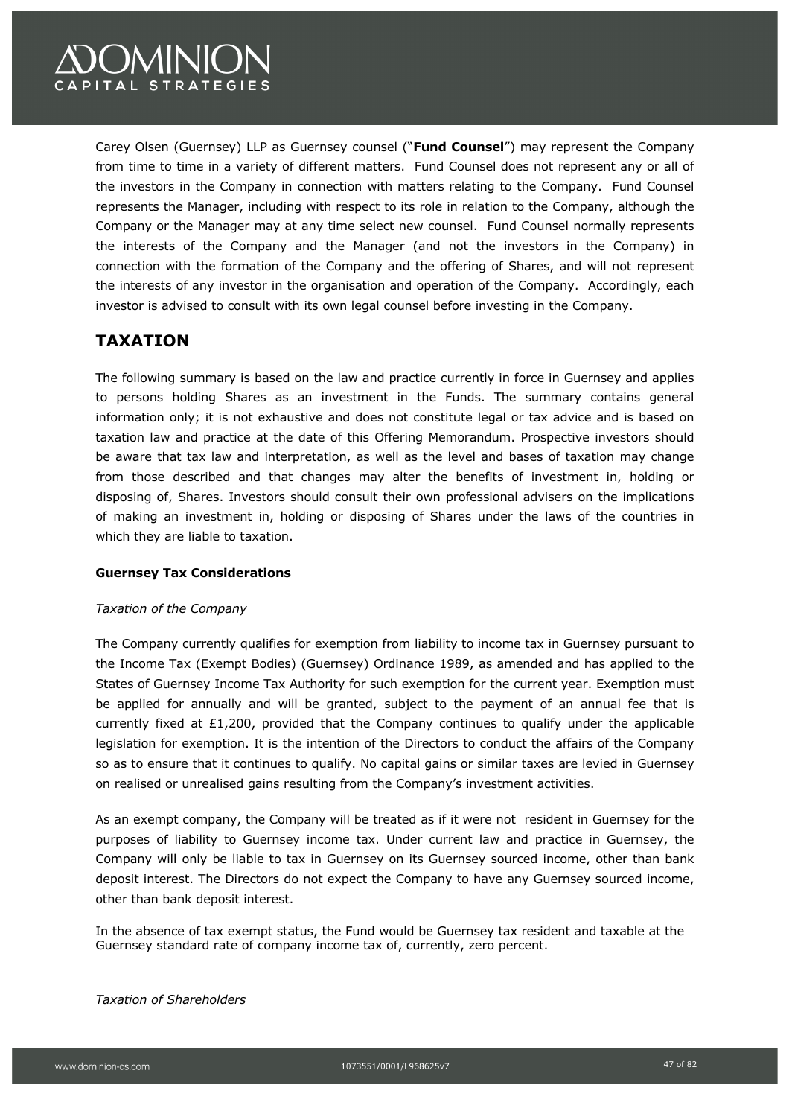

Carey Olsen (Guernsey) LLP as Guernsey counsel ("**Fund Counsel**") may represent the Company from time to time in a variety of different matters. Fund Counsel does not represent any or all of the investors in the Company in connection with matters relating to the Company. Fund Counsel represents the Manager, including with respect to its role in relation to the Company, although the Company or the Manager may at any time select new counsel. Fund Counsel normally represents the interests of the Company and the Manager (and not the investors in the Company) in connection with the formation of the Company and the offering of Shares, and will not represent the interests of any investor in the organisation and operation of the Company. Accordingly, each investor is advised to consult with its own legal counsel before investing in the Company.

## **TAXATION**

The following summary is based on the law and practice currently in force in Guernsey and applies to persons holding Shares as an investment in the Funds. The summary contains general information only; it is not exhaustive and does not constitute legal or tax advice and is based on taxation law and practice at the date of this Offering Memorandum. Prospective investors should be aware that tax law and interpretation, as well as the level and bases of taxation may change from those described and that changes may alter the benefits of investment in, holding or disposing of, Shares. Investors should consult their own professional advisers on the implications of making an investment in, holding or disposing of Shares under the laws of the countries in which they are liable to taxation.

### **Guernsey Tax Considerations**

### *Taxation of the Company*

The Company currently qualifies for exemption from liability to income tax in Guernsey pursuant to the Income Tax (Exempt Bodies) (Guernsey) Ordinance 1989, as amended and has applied to the States of Guernsey Income Tax Authority for such exemption for the current year. Exemption must be applied for annually and will be granted, subject to the payment of an annual fee that is currently fixed at £1,200, provided that the Company continues to qualify under the applicable legislation for exemption. It is the intention of the Directors to conduct the affairs of the Company so as to ensure that it continues to qualify. No capital gains or similar taxes are levied in Guernsey on realised or unrealised gains resulting from the Company's investment activities.

As an exempt company, the Company will be treated as if it were not resident in Guernsey for the purposes of liability to Guernsey income tax. Under current law and practice in Guernsey, the Company will only be liable to tax in Guernsey on its Guernsey sourced income, other than bank deposit interest. The Directors do not expect the Company to have any Guernsey sourced income, other than bank deposit interest.

In the absence of tax exempt status, the Fund would be Guernsey tax resident and taxable at the Guernsey standard rate of company income tax of, currently, zero percent.

*Taxation of Shareholders*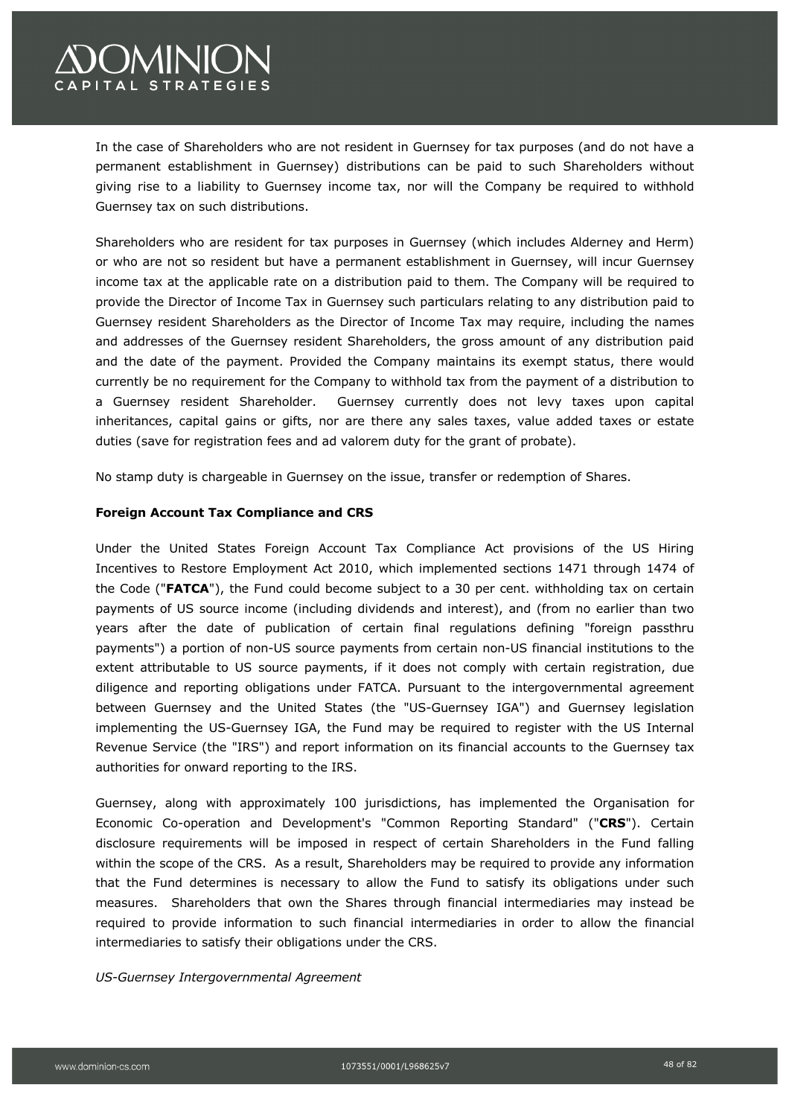

In the case of Shareholders who are not resident in Guernsey for tax purposes (and do not have a permanent establishment in Guernsey) distributions can be paid to such Shareholders without giving rise to a liability to Guernsey income tax, nor will the Company be required to withhold Guernsey tax on such distributions.

Shareholders who are resident for tax purposes in Guernsey (which includes Alderney and Herm) or who are not so resident but have a permanent establishment in Guernsey, will incur Guernsey income tax at the applicable rate on a distribution paid to them. The Company will be required to provide the Director of Income Tax in Guernsey such particulars relating to any distribution paid to Guernsey resident Shareholders as the Director of Income Tax may require, including the names and addresses of the Guernsey resident Shareholders, the gross amount of any distribution paid and the date of the payment. Provided the Company maintains its exempt status, there would currently be no requirement for the Company to withhold tax from the payment of a distribution to a Guernsey resident Shareholder. Guernsey currently does not levy taxes upon capital inheritances, capital gains or gifts, nor are there any sales taxes, value added taxes or estate duties (save for registration fees and ad valorem duty for the grant of probate).

No stamp duty is chargeable in Guernsey on the issue, transfer or redemption of Shares.

### **Foreign Account Tax Compliance and CRS**

Under the United States Foreign Account Tax Compliance Act provisions of the US Hiring Incentives to Restore Employment Act 2010, which implemented sections 1471 through 1474 of the Code ("**FATCA**"), the Fund could become subject to a 30 per cent. withholding tax on certain payments of US source income (including dividends and interest), and (from no earlier than two years after the date of publication of certain final regulations defining "foreign passthru payments") a portion of non-US source payments from certain non-US financial institutions to the extent attributable to US source payments, if it does not comply with certain registration, due diligence and reporting obligations under FATCA. Pursuant to the intergovernmental agreement between Guernsey and the United States (the "US-Guernsey IGA") and Guernsey legislation implementing the US-Guernsey IGA, the Fund may be required to register with the US Internal Revenue Service (the "IRS") and report information on its financial accounts to the Guernsey tax authorities for onward reporting to the IRS.

Guernsey, along with approximately 100 jurisdictions, has implemented the Organisation for Economic Co-operation and Development's "Common Reporting Standard" ("**CRS**"). Certain disclosure requirements will be imposed in respect of certain Shareholders in the Fund falling within the scope of the CRS. As a result, Shareholders may be required to provide any information that the Fund determines is necessary to allow the Fund to satisfy its obligations under such measures. Shareholders that own the Shares through financial intermediaries may instead be required to provide information to such financial intermediaries in order to allow the financial intermediaries to satisfy their obligations under the CRS.

*US-Guernsey Intergovernmental Agreement*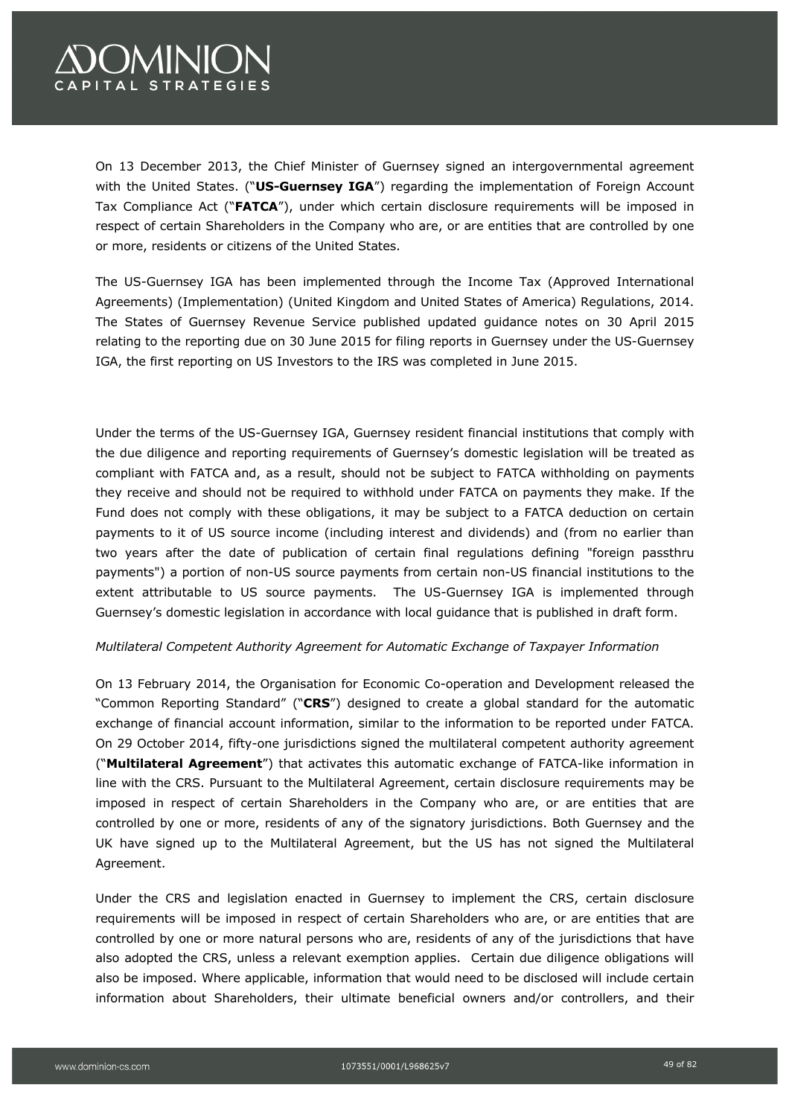# **OMINION** APITAL STRATEGIES

On 13 December 2013, the Chief Minister of Guernsey signed an intergovernmental agreement with the United States. ("**US-Guernsey IGA**") regarding the implementation of Foreign Account Tax Compliance Act ("**FATCA**"), under which certain disclosure requirements will be imposed in respect of certain Shareholders in the Company who are, or are entities that are controlled by one or more, residents or citizens of the United States.

The US-Guernsey IGA has been implemented through the Income Tax (Approved International Agreements) (Implementation) (United Kingdom and United States of America) Regulations, 2014. The States of Guernsey Revenue Service published updated guidance notes on 30 April 2015 relating to the reporting due on 30 June 2015 for filing reports in Guernsey under the US-Guernsey IGA, the first reporting on US Investors to the IRS was completed in June 2015.

Under the terms of the US-Guernsey IGA, Guernsey resident financial institutions that comply with the due diligence and reporting requirements of Guernsey's domestic legislation will be treated as compliant with FATCA and, as a result, should not be subject to FATCA withholding on payments they receive and should not be required to withhold under FATCA on payments they make. If the Fund does not comply with these obligations, it may be subject to a FATCA deduction on certain payments to it of US source income (including interest and dividends) and (from no earlier than two years after the date of publication of certain final regulations defining "foreign passthru payments") a portion of non-US source payments from certain non-US financial institutions to the extent attributable to US source payments. The US-Guernsey IGA is implemented through Guernsey's domestic legislation in accordance with local guidance that is published in draft form.

### *Multilateral Competent Authority Agreement for Automatic Exchange of Taxpayer Information*

On 13 February 2014, the Organisation for Economic Co-operation and Development released the "Common Reporting Standard" ("**CRS**") designed to create a global standard for the automatic exchange of financial account information, similar to the information to be reported under FATCA. On 29 October 2014, fifty-one jurisdictions signed the multilateral competent authority agreement ("**Multilateral Agreement**") that activates this automatic exchange of FATCA-like information in line with the CRS. Pursuant to the Multilateral Agreement, certain disclosure requirements may be imposed in respect of certain Shareholders in the Company who are, or are entities that are controlled by one or more, residents of any of the signatory jurisdictions. Both Guernsey and the UK have signed up to the Multilateral Agreement, but the US has not signed the Multilateral Agreement.

Under the CRS and legislation enacted in Guernsey to implement the CRS, certain disclosure requirements will be imposed in respect of certain Shareholders who are, or are entities that are controlled by one or more natural persons who are, residents of any of the jurisdictions that have also adopted the CRS, unless a relevant exemption applies. Certain due diligence obligations will also be imposed. Where applicable, information that would need to be disclosed will include certain information about Shareholders, their ultimate beneficial owners and/or controllers, and their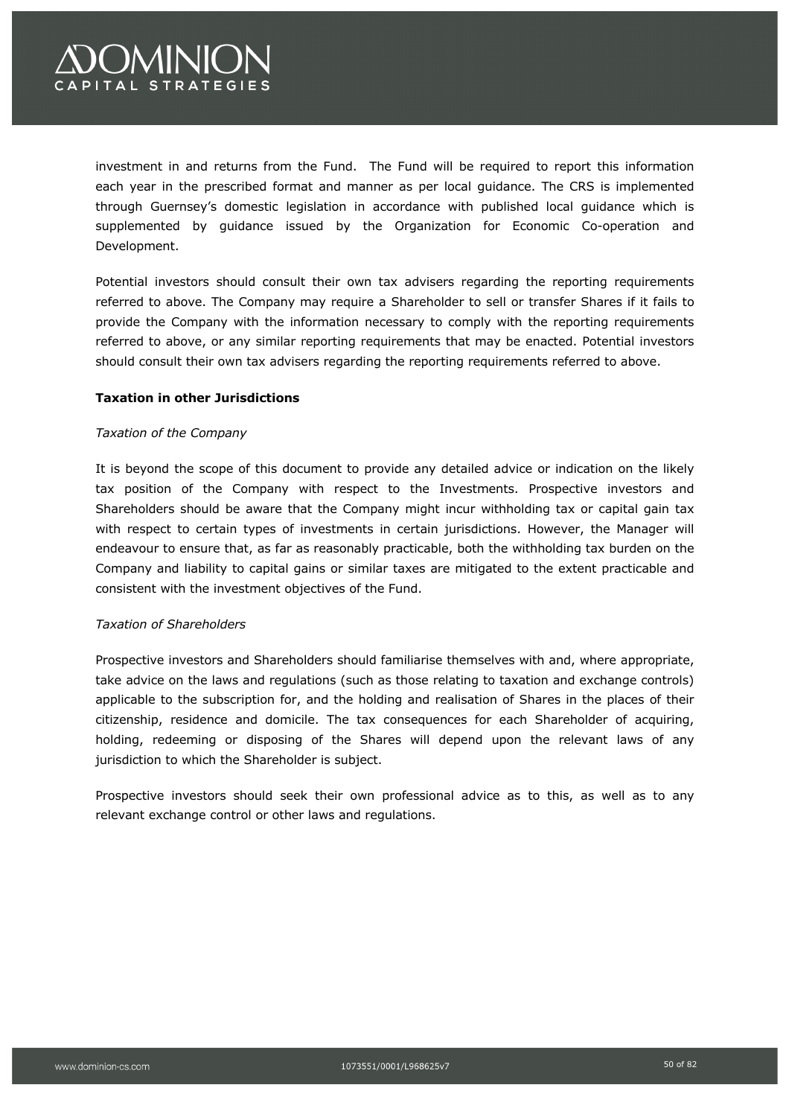# **OMINION APITAL STRATEGIES**

investment in and returns from the Fund. The Fund will be required to report this information each year in the prescribed format and manner as per local guidance. The CRS is implemented through Guernsey's domestic legislation in accordance with published local guidance which is supplemented by guidance issued by the Organization for Economic Co-operation and Development.

Potential investors should consult their own tax advisers regarding the reporting requirements referred to above. The Company may require a Shareholder to sell or transfer Shares if it fails to provide the Company with the information necessary to comply with the reporting requirements referred to above, or any similar reporting requirements that may be enacted. Potential investors should consult their own tax advisers regarding the reporting requirements referred to above.

### **Taxation in other Jurisdictions**

### *Taxation of the Company*

It is beyond the scope of this document to provide any detailed advice or indication on the likely tax position of the Company with respect to the Investments. Prospective investors and Shareholders should be aware that the Company might incur withholding tax or capital gain tax with respect to certain types of investments in certain jurisdictions. However, the Manager will endeavour to ensure that, as far as reasonably practicable, both the withholding tax burden on the Company and liability to capital gains or similar taxes are mitigated to the extent practicable and consistent with the investment objectives of the Fund.

### *Taxation of Shareholders*

Prospective investors and Shareholders should familiarise themselves with and, where appropriate, take advice on the laws and regulations (such as those relating to taxation and exchange controls) applicable to the subscription for, and the holding and realisation of Shares in the places of their citizenship, residence and domicile. The tax consequences for each Shareholder of acquiring, holding, redeeming or disposing of the Shares will depend upon the relevant laws of any jurisdiction to which the Shareholder is subject.

Prospective investors should seek their own professional advice as to this, as well as to any relevant exchange control or other laws and regulations.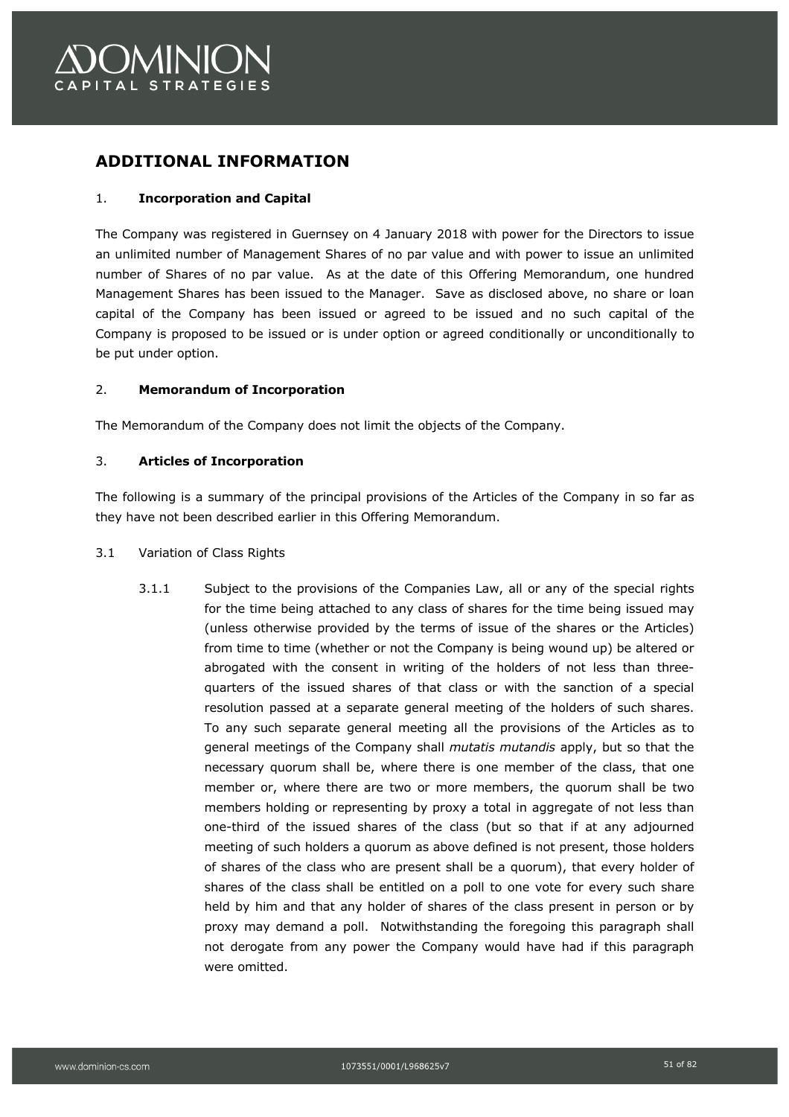

### **ADDITIONAL INFORMATION**

### 1. **Incorporation and Capital**

The Company was registered in Guernsey on 4 January 2018 with power for the Directors to issue an unlimited number of Management Shares of no par value and with power to issue an unlimited number of Shares of no par value. As at the date of this Offering Memorandum, one hundred Management Shares has been issued to the Manager. Save as disclosed above, no share or loan capital of the Company has been issued or agreed to be issued and no such capital of the Company is proposed to be issued or is under option or agreed conditionally or unconditionally to be put under option.

### 2. **Memorandum of Incorporation**

The Memorandum of the Company does not limit the objects of the Company.

### 3. **Articles of Incorporation**

The following is a summary of the principal provisions of the Articles of the Company in so far as they have not been described earlier in this Offering Memorandum.

- 3.1 Variation of Class Rights
	- 3.1.1 Subject to the provisions of the Companies Law, all or any of the special rights for the time being attached to any class of shares for the time being issued may (unless otherwise provided by the terms of issue of the shares or the Articles) from time to time (whether or not the Company is being wound up) be altered or abrogated with the consent in writing of the holders of not less than threequarters of the issued shares of that class or with the sanction of a special resolution passed at a separate general meeting of the holders of such shares. To any such separate general meeting all the provisions of the Articles as to general meetings of the Company shall *mutatis mutandis* apply, but so that the necessary quorum shall be, where there is one member of the class, that one member or, where there are two or more members, the quorum shall be two members holding or representing by proxy a total in aggregate of not less than one-third of the issued shares of the class (but so that if at any adjourned meeting of such holders a quorum as above defined is not present, those holders of shares of the class who are present shall be a quorum), that every holder of shares of the class shall be entitled on a poll to one vote for every such share held by him and that any holder of shares of the class present in person or by proxy may demand a poll. Notwithstanding the foregoing this paragraph shall not derogate from any power the Company would have had if this paragraph were omitted.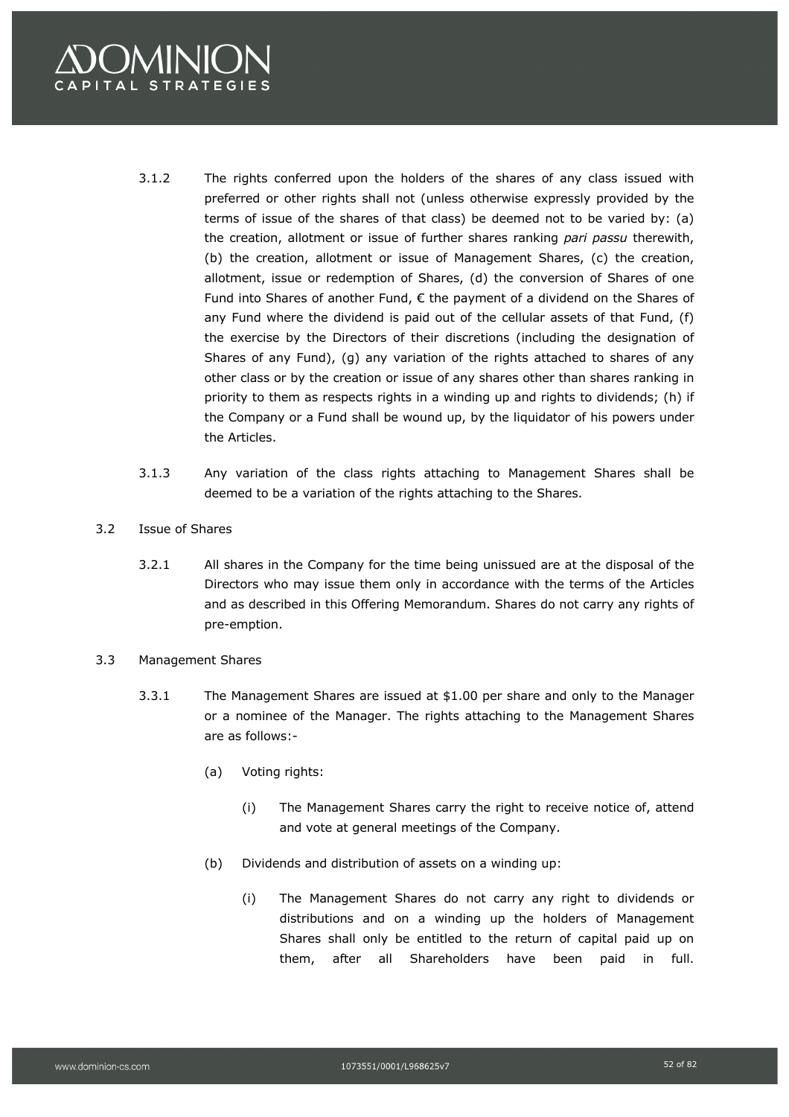

- 3.1.2 The rights conferred upon the holders of the shares of any class issued with preferred or other rights shall not (unless otherwise expressly provided by the terms of issue of the shares of that class) be deemed not to be varied by: (a) the creation, allotment or issue of further shares ranking *pari passu* therewith, (b) the creation, allotment or issue of Management Shares, (c) the creation, allotment, issue or redemption of Shares, (d) the conversion of Shares of one Fund into Shares of another Fund,  $\epsilon$  the payment of a dividend on the Shares of any Fund where the dividend is paid out of the cellular assets of that Fund, (f) the exercise by the Directors of their discretions (including the designation of Shares of any Fund), (g) any variation of the rights attached to shares of any other class or by the creation or issue of any shares other than shares ranking in priority to them as respects rights in a winding up and rights to dividends; (h) if the Company or a Fund shall be wound up, by the liquidator of his powers under the Articles.
- 3.1.3 Any variation of the class rights attaching to Management Shares shall be deemed to be a variation of the rights attaching to the Shares.
- 3.2 Issue of Shares
	- 3.2.1 All shares in the Company for the time being unissued are at the disposal of the Directors who may issue them only in accordance with the terms of the Articles and as described in this Offering Memorandum. Shares do not carry any rights of pre-emption.
- 3.3 Management Shares
	- 3.3.1 The Management Shares are issued at \$1.00 per share and only to the Manager or a nominee of the Manager. The rights attaching to the Management Shares are as follows:-
		- (a) Voting rights:
			- (i) The Management Shares carry the right to receive notice of, attend and vote at general meetings of the Company.
		- (b) Dividends and distribution of assets on a winding up:
			- (i) The Management Shares do not carry any right to dividends or distributions and on a winding up the holders of Management Shares shall only be entitled to the return of capital paid up on them, after all Shareholders have been paid in full.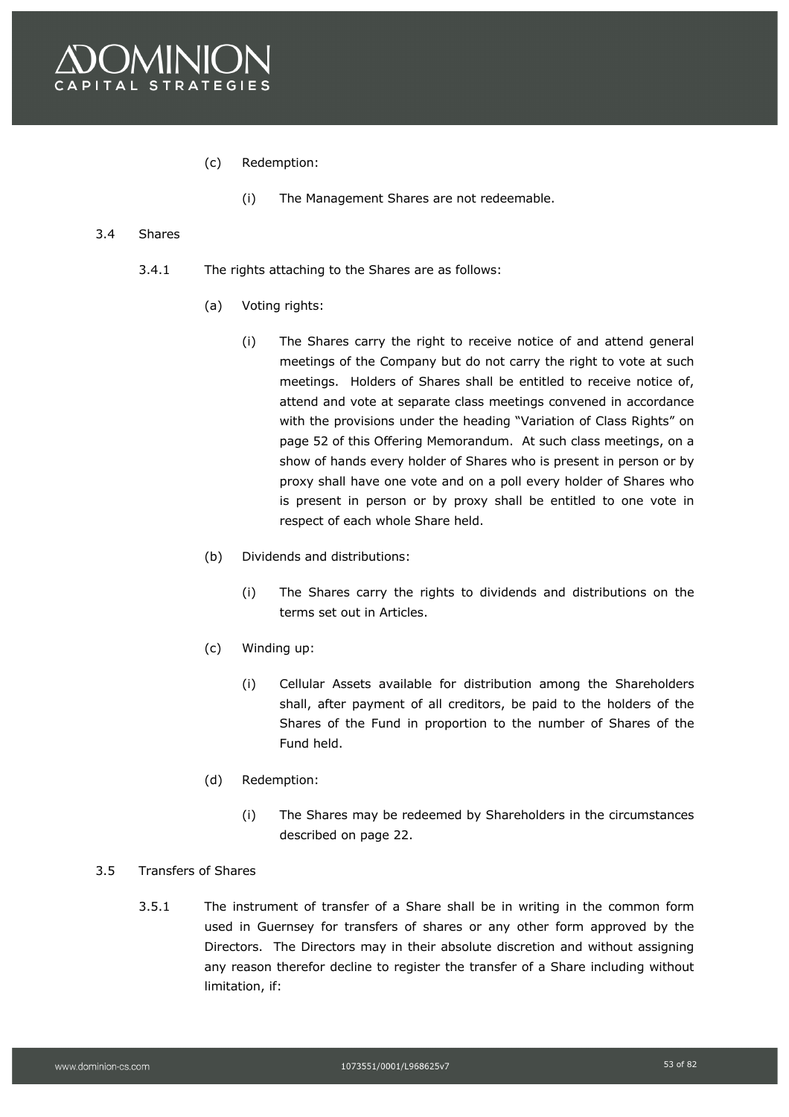

- (c) Redemption:
	- (i) The Management Shares are not redeemable.

### 3.4 Shares

- 3.4.1 The rights attaching to the Shares are as follows:
	- (a) Voting rights:
		- (i) The Shares carry the right to receive notice of and attend general meetings of the Company but do not carry the right to vote at such meetings. Holders of Shares shall be entitled to receive notice of, attend and vote at separate class meetings convened in accordance with the provisions under the heading "Variation of Class Rights" on page 52 of this Offering Memorandum. At such class meetings, on a show of hands every holder of Shares who is present in person or by proxy shall have one vote and on a poll every holder of Shares who is present in person or by proxy shall be entitled to one vote in respect of each whole Share held.
	- (b) Dividends and distributions:
		- (i) The Shares carry the rights to dividends and distributions on the terms set out in Articles.
	- (c) Winding up:
		- (i) Cellular Assets available for distribution among the Shareholders shall, after payment of all creditors, be paid to the holders of the Shares of the Fund in proportion to the number of Shares of the Fund held.
	- (d) Redemption:
		- (i) The Shares may be redeemed by Shareholders in the circumstances described on page 22.

### 3.5 Transfers of Shares

3.5.1 The instrument of transfer of a Share shall be in writing in the common form used in Guernsey for transfers of shares or any other form approved by the Directors. The Directors may in their absolute discretion and without assigning any reason therefor decline to register the transfer of a Share including without limitation, if: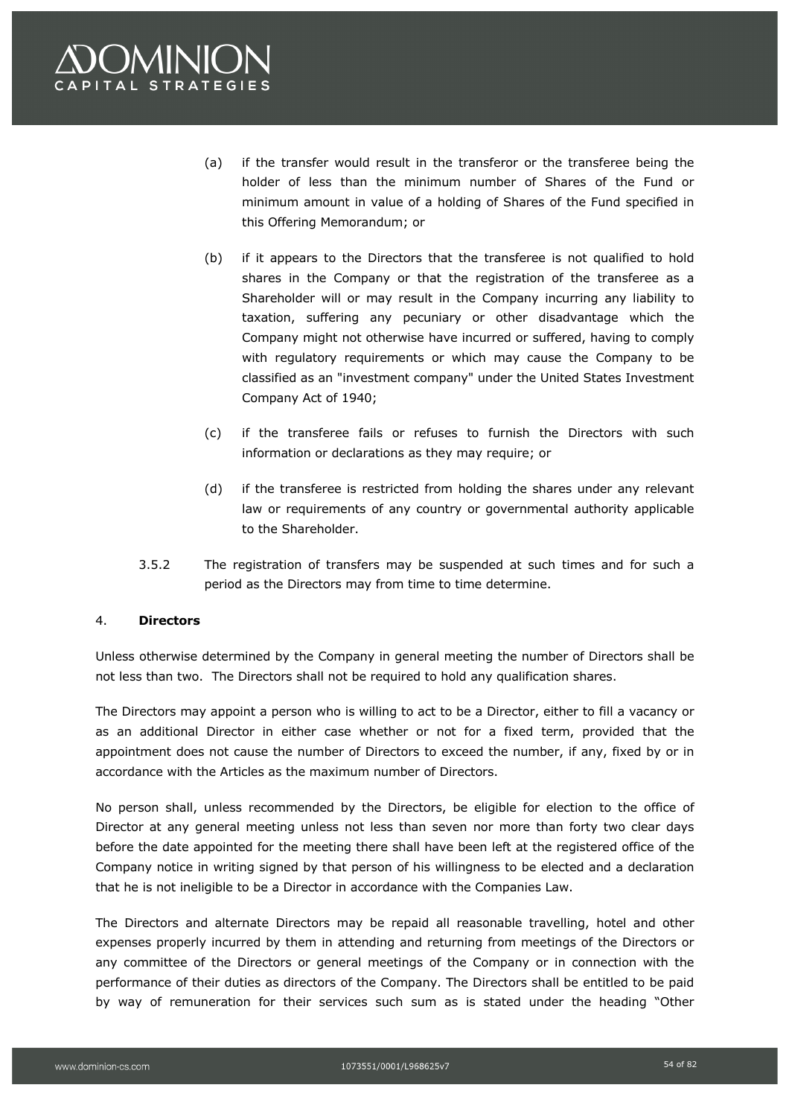

- (a) if the transfer would result in the transferor or the transferee being the holder of less than the minimum number of Shares of the Fund or minimum amount in value of a holding of Shares of the Fund specified in this Offering Memorandum; or
- (b) if it appears to the Directors that the transferee is not qualified to hold shares in the Company or that the registration of the transferee as a Shareholder will or may result in the Company incurring any liability to taxation, suffering any pecuniary or other disadvantage which the Company might not otherwise have incurred or suffered, having to comply with regulatory requirements or which may cause the Company to be classified as an "investment company" under the United States Investment Company Act of 1940;
- (c) if the transferee fails or refuses to furnish the Directors with such information or declarations as they may require; or
- (d) if the transferee is restricted from holding the shares under any relevant law or requirements of any country or governmental authority applicable to the Shareholder.
- 3.5.2 The registration of transfers may be suspended at such times and for such a period as the Directors may from time to time determine.

### 4. **Directors**

Unless otherwise determined by the Company in general meeting the number of Directors shall be not less than two. The Directors shall not be required to hold any qualification shares.

The Directors may appoint a person who is willing to act to be a Director, either to fill a vacancy or as an additional Director in either case whether or not for a fixed term, provided that the appointment does not cause the number of Directors to exceed the number, if any, fixed by or in accordance with the Articles as the maximum number of Directors.

No person shall, unless recommended by the Directors, be eligible for election to the office of Director at any general meeting unless not less than seven nor more than forty two clear days before the date appointed for the meeting there shall have been left at the registered office of the Company notice in writing signed by that person of his willingness to be elected and a declaration that he is not ineligible to be a Director in accordance with the Companies Law.

The Directors and alternate Directors may be repaid all reasonable travelling, hotel and other expenses properly incurred by them in attending and returning from meetings of the Directors or any committee of the Directors or general meetings of the Company or in connection with the performance of their duties as directors of the Company. The Directors shall be entitled to be paid by way of remuneration for their services such sum as is stated under the heading "Other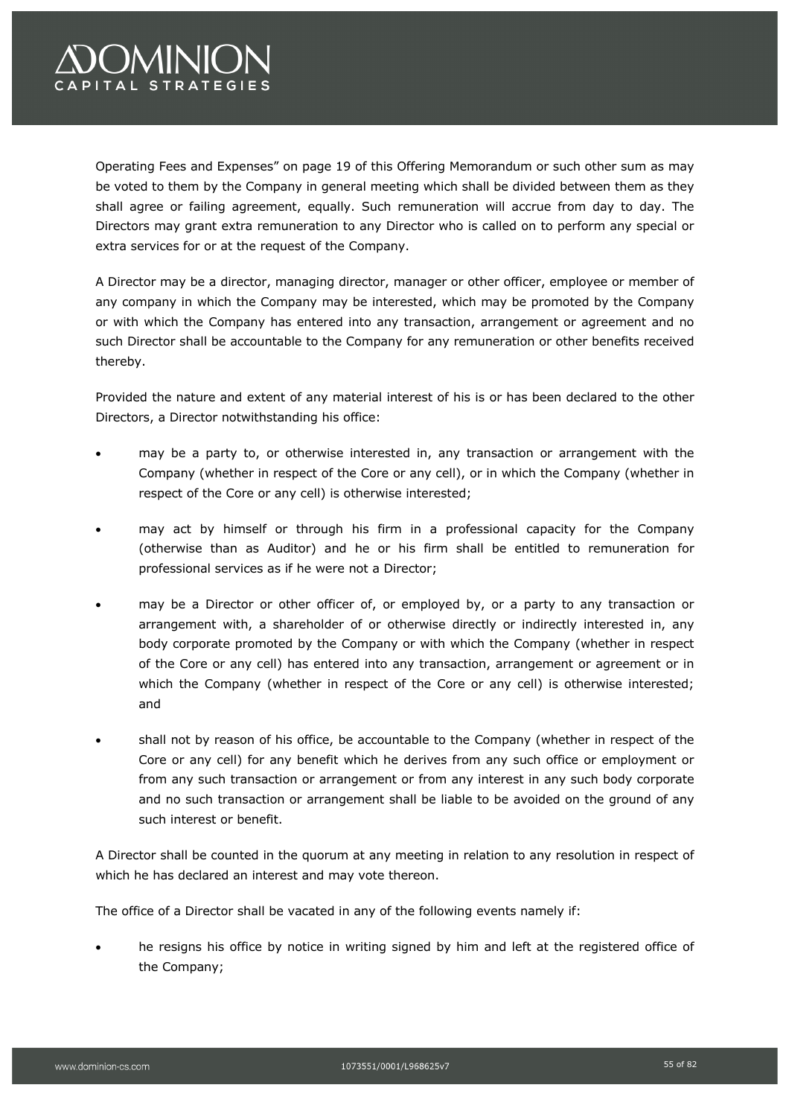# OMINION **APITAL STRATEGIES**

Operating Fees and Expenses" on page 19 of this Offering Memorandum or such other sum as may be voted to them by the Company in general meeting which shall be divided between them as they shall agree or failing agreement, equally. Such remuneration will accrue from day to day. The Directors may grant extra remuneration to any Director who is called on to perform any special or extra services for or at the request of the Company.

A Director may be a director, managing director, manager or other officer, employee or member of any company in which the Company may be interested, which may be promoted by the Company or with which the Company has entered into any transaction, arrangement or agreement and no such Director shall be accountable to the Company for any remuneration or other benefits received thereby.

Provided the nature and extent of any material interest of his is or has been declared to the other Directors, a Director notwithstanding his office:

- may be a party to, or otherwise interested in, any transaction or arrangement with the Company (whether in respect of the Core or any cell), or in which the Company (whether in respect of the Core or any cell) is otherwise interested;
- may act by himself or through his firm in a professional capacity for the Company (otherwise than as Auditor) and he or his firm shall be entitled to remuneration for professional services as if he were not a Director;
- may be a Director or other officer of, or employed by, or a party to any transaction or arrangement with, a shareholder of or otherwise directly or indirectly interested in, any body corporate promoted by the Company or with which the Company (whether in respect of the Core or any cell) has entered into any transaction, arrangement or agreement or in which the Company (whether in respect of the Core or any cell) is otherwise interested; and
- shall not by reason of his office, be accountable to the Company (whether in respect of the Core or any cell) for any benefit which he derives from any such office or employment or from any such transaction or arrangement or from any interest in any such body corporate and no such transaction or arrangement shall be liable to be avoided on the ground of any such interest or benefit.

A Director shall be counted in the quorum at any meeting in relation to any resolution in respect of which he has declared an interest and may vote thereon.

The office of a Director shall be vacated in any of the following events namely if:

he resigns his office by notice in writing signed by him and left at the registered office of the Company;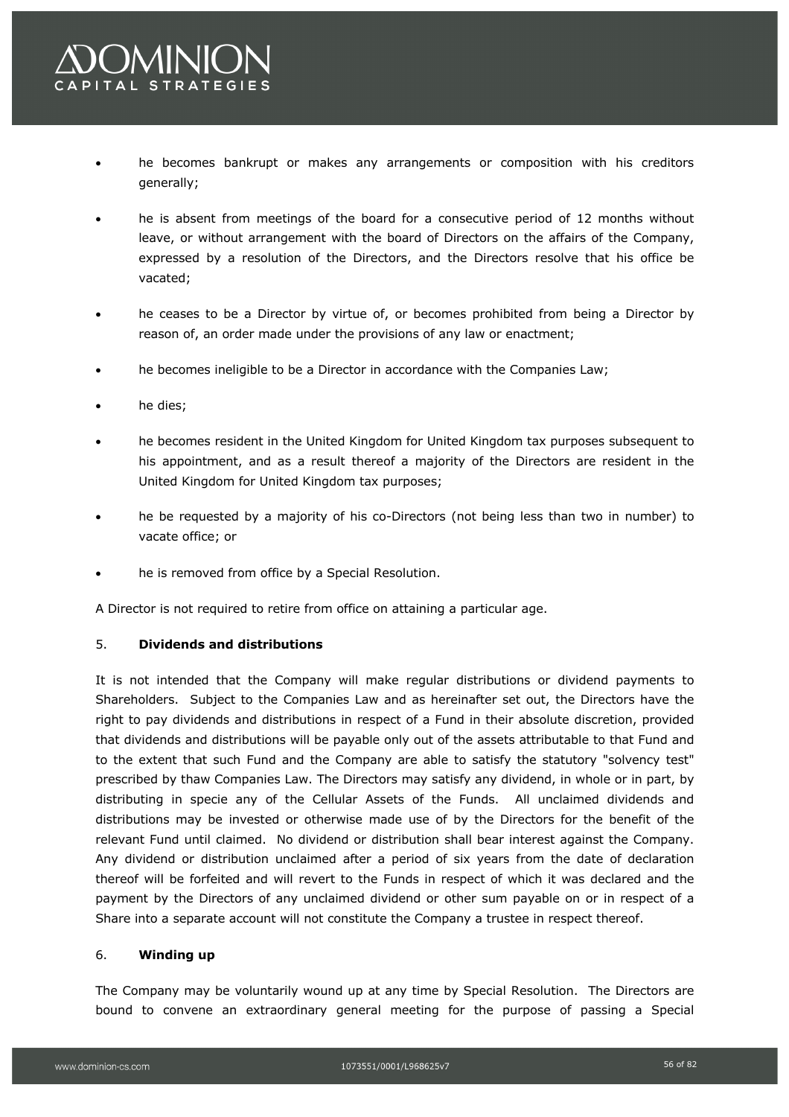- he becomes bankrupt or makes any arrangements or composition with his creditors generally;
- he is absent from meetings of the board for a consecutive period of 12 months without leave, or without arrangement with the board of Directors on the affairs of the Company, expressed by a resolution of the Directors, and the Directors resolve that his office be vacated;
- he ceases to be a Director by virtue of, or becomes prohibited from being a Director by reason of, an order made under the provisions of any law or enactment;
- he becomes ineligible to be a Director in accordance with the Companies Law;
- he dies;
- he becomes resident in the United Kingdom for United Kingdom tax purposes subsequent to his appointment, and as a result thereof a majority of the Directors are resident in the United Kingdom for United Kingdom tax purposes;
- he be requested by a majority of his co-Directors (not being less than two in number) to vacate office; or
- he is removed from office by a Special Resolution.

A Director is not required to retire from office on attaining a particular age.

### 5. **Dividends and distributions**

It is not intended that the Company will make regular distributions or dividend payments to Shareholders. Subject to the Companies Law and as hereinafter set out, the Directors have the right to pay dividends and distributions in respect of a Fund in their absolute discretion, provided that dividends and distributions will be payable only out of the assets attributable to that Fund and to the extent that such Fund and the Company are able to satisfy the statutory "solvency test" prescribed by thaw Companies Law. The Directors may satisfy any dividend, in whole or in part, by distributing in specie any of the Cellular Assets of the Funds. All unclaimed dividends and distributions may be invested or otherwise made use of by the Directors for the benefit of the relevant Fund until claimed. No dividend or distribution shall bear interest against the Company. Any dividend or distribution unclaimed after a period of six years from the date of declaration thereof will be forfeited and will revert to the Funds in respect of which it was declared and the payment by the Directors of any unclaimed dividend or other sum payable on or in respect of a Share into a separate account will not constitute the Company a trustee in respect thereof.

### 6. **Winding up**

The Company may be voluntarily wound up at any time by Special Resolution. The Directors are bound to convene an extraordinary general meeting for the purpose of passing a Special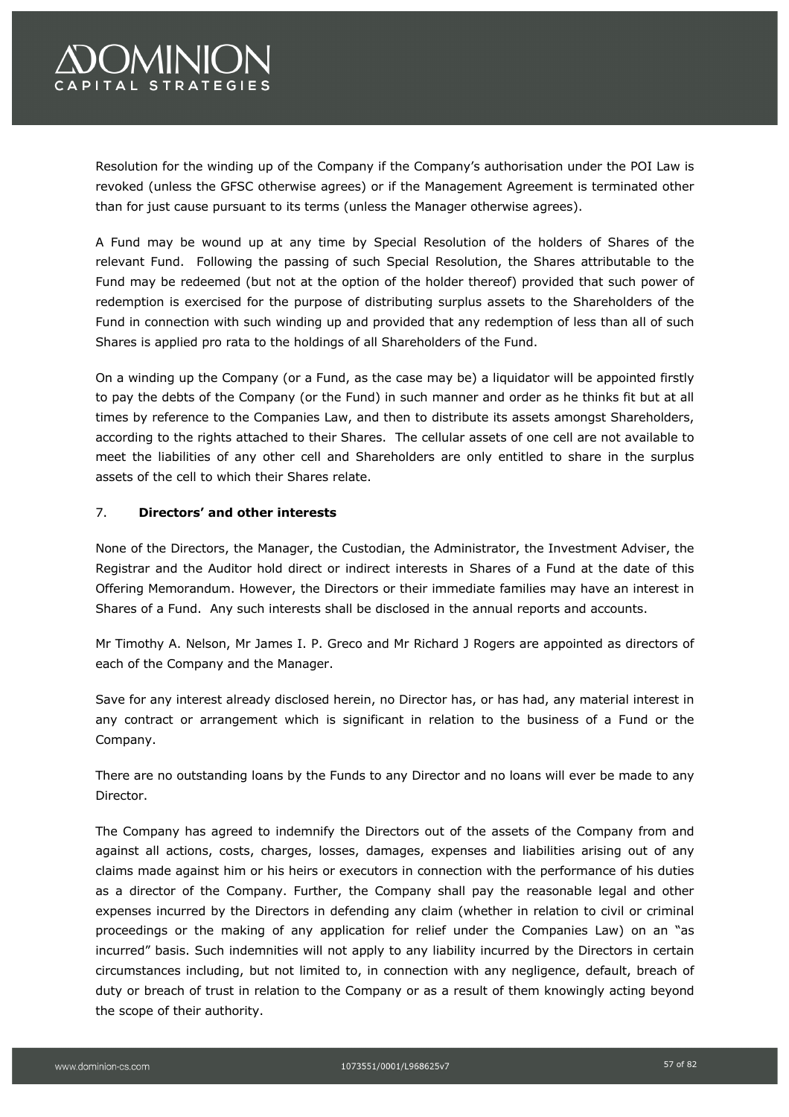## **OMINION APITAL STRATEGIES**

Resolution for the winding up of the Company if the Company's authorisation under the POI Law is revoked (unless the GFSC otherwise agrees) or if the Management Agreement is terminated other than for just cause pursuant to its terms (unless the Manager otherwise agrees).

A Fund may be wound up at any time by Special Resolution of the holders of Shares of the relevant Fund. Following the passing of such Special Resolution, the Shares attributable to the Fund may be redeemed (but not at the option of the holder thereof) provided that such power of redemption is exercised for the purpose of distributing surplus assets to the Shareholders of the Fund in connection with such winding up and provided that any redemption of less than all of such Shares is applied pro rata to the holdings of all Shareholders of the Fund.

On a winding up the Company (or a Fund, as the case may be) a liquidator will be appointed firstly to pay the debts of the Company (or the Fund) in such manner and order as he thinks fit but at all times by reference to the Companies Law, and then to distribute its assets amongst Shareholders, according to the rights attached to their Shares. The cellular assets of one cell are not available to meet the liabilities of any other cell and Shareholders are only entitled to share in the surplus assets of the cell to which their Shares relate.

### 7. **Directors' and other interests**

None of the Directors, the Manager, the Custodian, the Administrator, the Investment Adviser, the Registrar and the Auditor hold direct or indirect interests in Shares of a Fund at the date of this Offering Memorandum. However, the Directors or their immediate families may have an interest in Shares of a Fund. Any such interests shall be disclosed in the annual reports and accounts.

Mr Timothy A. Nelson, Mr James I. P. Greco and Mr Richard J Rogers are appointed as directors of each of the Company and the Manager.

Save for any interest already disclosed herein, no Director has, or has had, any material interest in any contract or arrangement which is significant in relation to the business of a Fund or the Company.

There are no outstanding loans by the Funds to any Director and no loans will ever be made to any Director.

The Company has agreed to indemnify the Directors out of the assets of the Company from and against all actions, costs, charges, losses, damages, expenses and liabilities arising out of any claims made against him or his heirs or executors in connection with the performance of his duties as a director of the Company. Further, the Company shall pay the reasonable legal and other expenses incurred by the Directors in defending any claim (whether in relation to civil or criminal proceedings or the making of any application for relief under the Companies Law) on an "as incurred" basis. Such indemnities will not apply to any liability incurred by the Directors in certain circumstances including, but not limited to, in connection with any negligence, default, breach of duty or breach of trust in relation to the Company or as a result of them knowingly acting beyond the scope of their authority.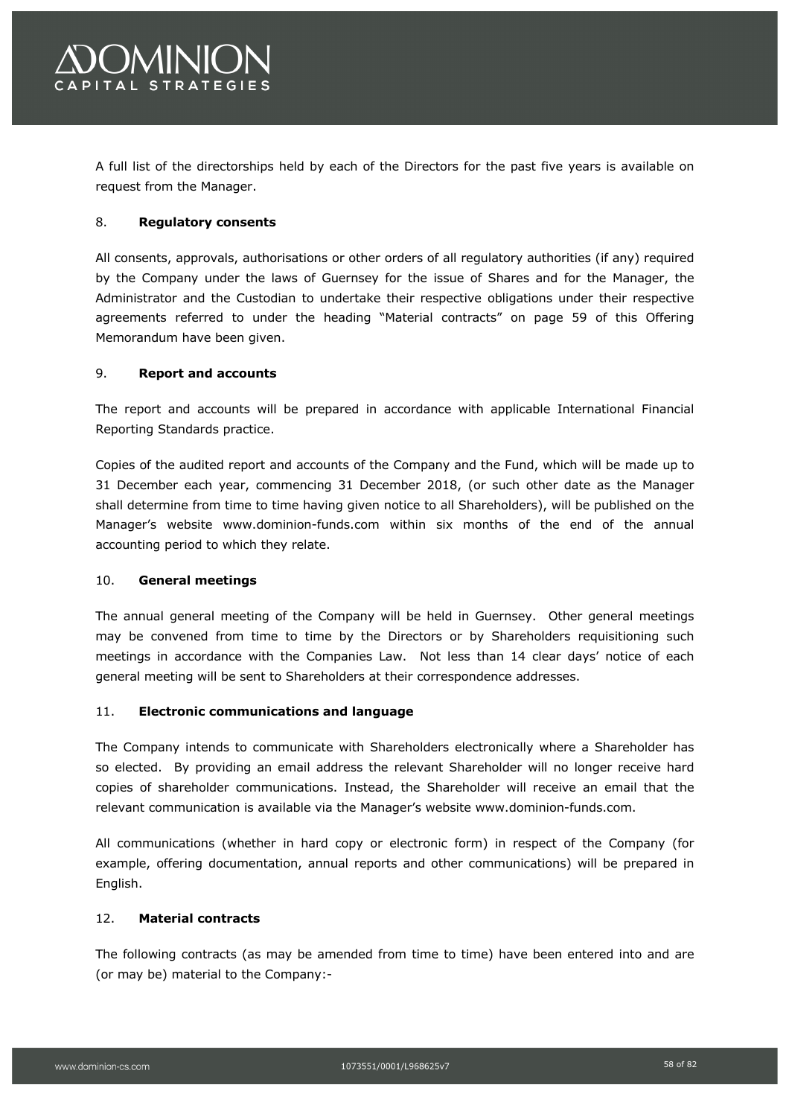

A full list of the directorships held by each of the Directors for the past five years is available on request from the Manager.

### 8. **Regulatory consents**

All consents, approvals, authorisations or other orders of all regulatory authorities (if any) required by the Company under the laws of Guernsey for the issue of Shares and for the Manager, the Administrator and the Custodian to undertake their respective obligations under their respective agreements referred to under the heading "Material contracts" on page 59 of this Offering Memorandum have been given.

### 9. **Report and accounts**

The report and accounts will be prepared in accordance with applicable International Financial Reporting Standards practice.

Copies of the audited report and accounts of the Company and the Fund, which will be made up to 31 December each year, commencing 31 December 2018, (or such other date as the Manager shall determine from time to time having given notice to all Shareholders), will be published on the Manager's website www.dominion-funds.com within six months of the end of the annual accounting period to which they relate.

### 10. **General meetings**

The annual general meeting of the Company will be held in Guernsey. Other general meetings may be convened from time to time by the Directors or by Shareholders requisitioning such meetings in accordance with the Companies Law. Not less than 14 clear days' notice of each general meeting will be sent to Shareholders at their correspondence addresses.

### 11. **Electronic communications and language**

The Company intends to communicate with Shareholders electronically where a Shareholder has so elected. By providing an email address the relevant Shareholder will no longer receive hard copies of shareholder communications. Instead, the Shareholder will receive an email that the relevant communication is available via the Manager's website www.dominion-funds.com.

All communications (whether in hard copy or electronic form) in respect of the Company (for example, offering documentation, annual reports and other communications) will be prepared in English.

### 12. **Material contracts**

The following contracts (as may be amended from time to time) have been entered into and are (or may be) material to the Company:-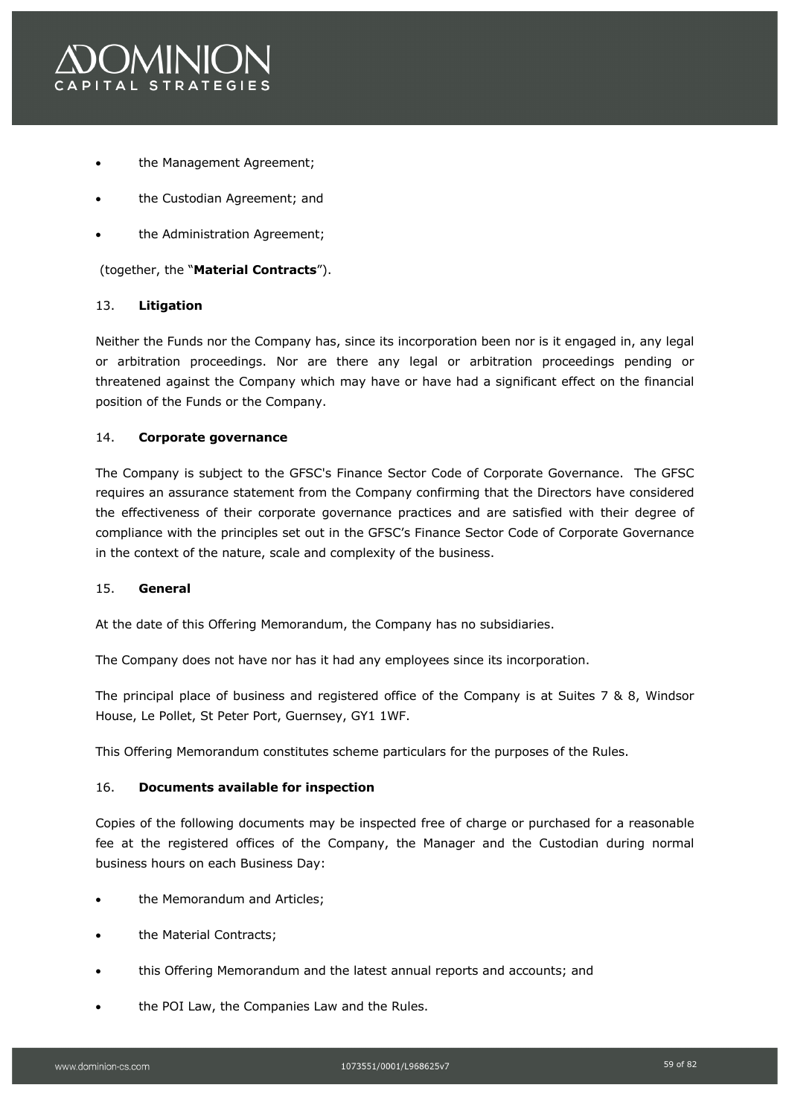

- the Management Agreement;
- the Custodian Agreement; and
- the Administration Agreement;

(together, the "**Material Contracts**").

### 13. **Litigation**

Neither the Funds nor the Company has, since its incorporation been nor is it engaged in, any legal or arbitration proceedings. Nor are there any legal or arbitration proceedings pending or threatened against the Company which may have or have had a significant effect on the financial position of the Funds or the Company.

### 14. **Corporate governance**

The Company is subject to the GFSC's Finance Sector Code of Corporate Governance. The GFSC requires an assurance statement from the Company confirming that the Directors have considered the effectiveness of their corporate governance practices and are satisfied with their degree of compliance with the principles set out in the GFSC's Finance Sector Code of Corporate Governance in the context of the nature, scale and complexity of the business.

### 15. **General**

At the date of this Offering Memorandum, the Company has no subsidiaries.

The Company does not have nor has it had any employees since its incorporation.

The principal place of business and registered office of the Company is at Suites 7 & 8, Windsor House, Le Pollet, St Peter Port, Guernsey, GY1 1WF.

This Offering Memorandum constitutes scheme particulars for the purposes of the Rules.

### 16. **Documents available for inspection**

Copies of the following documents may be inspected free of charge or purchased for a reasonable fee at the registered offices of the Company, the Manager and the Custodian during normal business hours on each Business Day:

- the Memorandum and Articles;
- the Material Contracts;
- this Offering Memorandum and the latest annual reports and accounts; and
- the POI Law, the Companies Law and the Rules.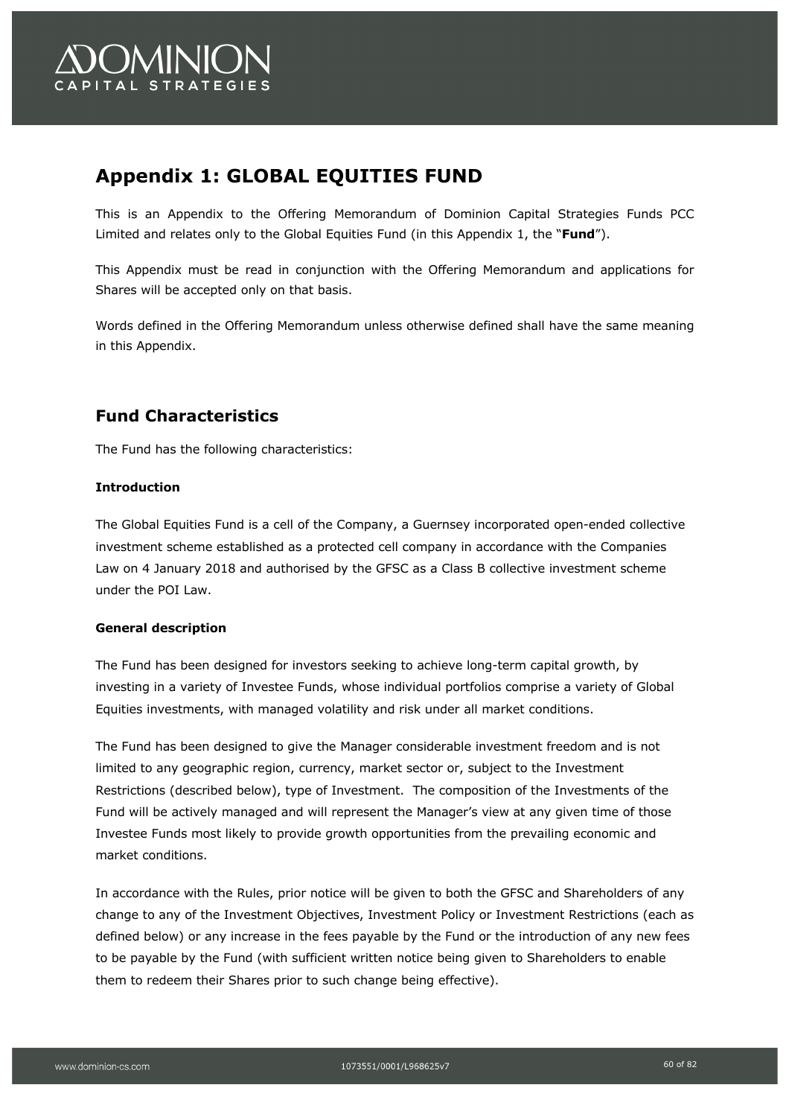

## **Appendix 1: GLOBAL EQUITIES FUND**

This is an Appendix to the Offering Memorandum of Dominion Capital Strategies Funds PCC Limited and relates only to the Global Equities Fund (in this Appendix 1, the "**Fund**").

This Appendix must be read in conjunction with the Offering Memorandum and applications for Shares will be accepted only on that basis.

Words defined in the Offering Memorandum unless otherwise defined shall have the same meaning in this Appendix.

## **Fund Characteristics**

The Fund has the following characteristics:

### **Introduction**

The Global Equities Fund is a cell of the Company, a Guernsey incorporated open-ended collective investment scheme established as a protected cell company in accordance with the Companies Law on 4 January 2018 and authorised by the GFSC as a Class B collective investment scheme under the POI Law.

#### **General description**

The Fund has been designed for investors seeking to achieve long-term capital growth, by investing in a variety of Investee Funds, whose individual portfolios comprise a variety of Global Equities investments, with managed volatility and risk under all market conditions.

The Fund has been designed to give the Manager considerable investment freedom and is not limited to any geographic region, currency, market sector or, subject to the Investment Restrictions (described below), type of Investment. The composition of the Investments of the Fund will be actively managed and will represent the Manager's view at any given time of those Investee Funds most likely to provide growth opportunities from the prevailing economic and market conditions.

In accordance with the Rules, prior notice will be given to both the GFSC and Shareholders of any change to any of the Investment Objectives, Investment Policy or Investment Restrictions (each as defined below) or any increase in the fees payable by the Fund or the introduction of any new fees to be payable by the Fund (with sufficient written notice being given to Shareholders to enable them to redeem their Shares prior to such change being effective).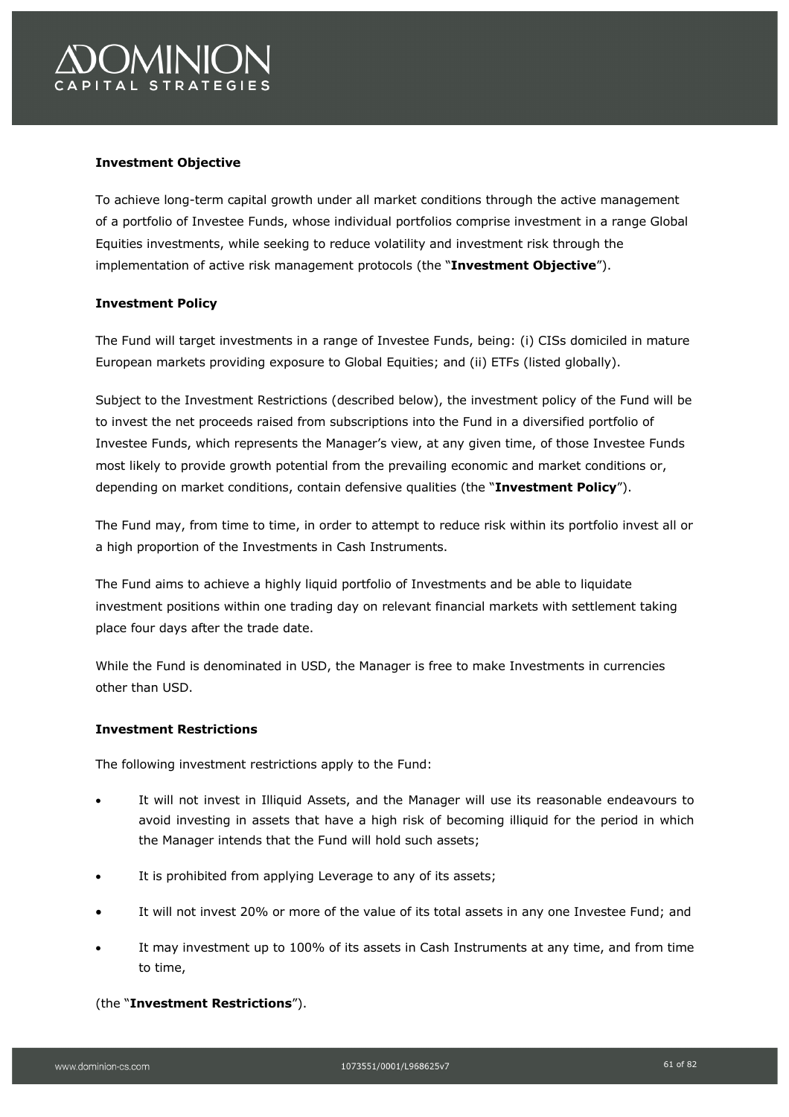# *CMINIC* PITAL STRATEGIES

### **Investment Objective**

To achieve long-term capital growth under all market conditions through the active management of a portfolio of Investee Funds, whose individual portfolios comprise investment in a range Global Equities investments, while seeking to reduce volatility and investment risk through the implementation of active risk management protocols (the "**Investment Objective**").

### **Investment Policy**

The Fund will target investments in a range of Investee Funds, being: (i) CISs domiciled in mature European markets providing exposure to Global Equities; and (ii) ETFs (listed globally).

Subject to the Investment Restrictions (described below), the investment policy of the Fund will be to invest the net proceeds raised from subscriptions into the Fund in a diversified portfolio of Investee Funds, which represents the Manager's view, at any given time, of those Investee Funds most likely to provide growth potential from the prevailing economic and market conditions or, depending on market conditions, contain defensive qualities (the "**Investment Policy**").

The Fund may, from time to time, in order to attempt to reduce risk within its portfolio invest all or a high proportion of the Investments in Cash Instruments.

The Fund aims to achieve a highly liquid portfolio of Investments and be able to liquidate investment positions within one trading day on relevant financial markets with settlement taking place four days after the trade date.

While the Fund is denominated in USD, the Manager is free to make Investments in currencies other than USD.

### **Investment Restrictions**

The following investment restrictions apply to the Fund:

- It will not invest in Illiquid Assets, and the Manager will use its reasonable endeavours to avoid investing in assets that have a high risk of becoming illiquid for the period in which the Manager intends that the Fund will hold such assets;
- It is prohibited from applying Leverage to any of its assets;
- It will not invest 20% or more of the value of its total assets in any one Investee Fund; and
- It may investment up to 100% of its assets in Cash Instruments at any time, and from time to time,

### (the "**Investment Restrictions**").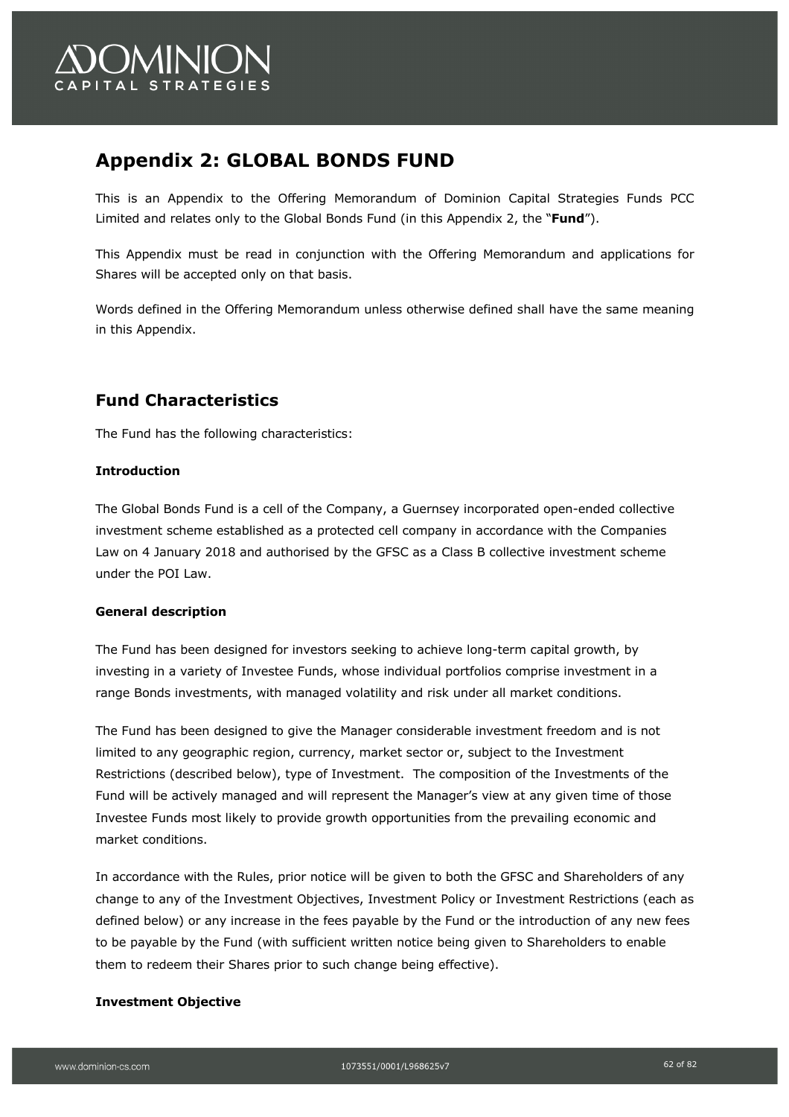

## **Appendix 2: GLOBAL BONDS FUND**

This is an Appendix to the Offering Memorandum of Dominion Capital Strategies Funds PCC Limited and relates only to the Global Bonds Fund (in this Appendix 2, the "**Fund**").

This Appendix must be read in conjunction with the Offering Memorandum and applications for Shares will be accepted only on that basis.

Words defined in the Offering Memorandum unless otherwise defined shall have the same meaning in this Appendix.

### **Fund Characteristics**

The Fund has the following characteristics:

### **Introduction**

The Global Bonds Fund is a cell of the Company, a Guernsey incorporated open-ended collective investment scheme established as a protected cell company in accordance with the Companies Law on 4 January 2018 and authorised by the GFSC as a Class B collective investment scheme under the POI Law.

### **General description**

The Fund has been designed for investors seeking to achieve long-term capital growth, by investing in a variety of Investee Funds, whose individual portfolios comprise investment in a range Bonds investments, with managed volatility and risk under all market conditions.

The Fund has been designed to give the Manager considerable investment freedom and is not limited to any geographic region, currency, market sector or, subject to the Investment Restrictions (described below), type of Investment. The composition of the Investments of the Fund will be actively managed and will represent the Manager's view at any given time of those Investee Funds most likely to provide growth opportunities from the prevailing economic and market conditions.

In accordance with the Rules, prior notice will be given to both the GFSC and Shareholders of any change to any of the Investment Objectives, Investment Policy or Investment Restrictions (each as defined below) or any increase in the fees payable by the Fund or the introduction of any new fees to be payable by the Fund (with sufficient written notice being given to Shareholders to enable them to redeem their Shares prior to such change being effective).

### **Investment Objective**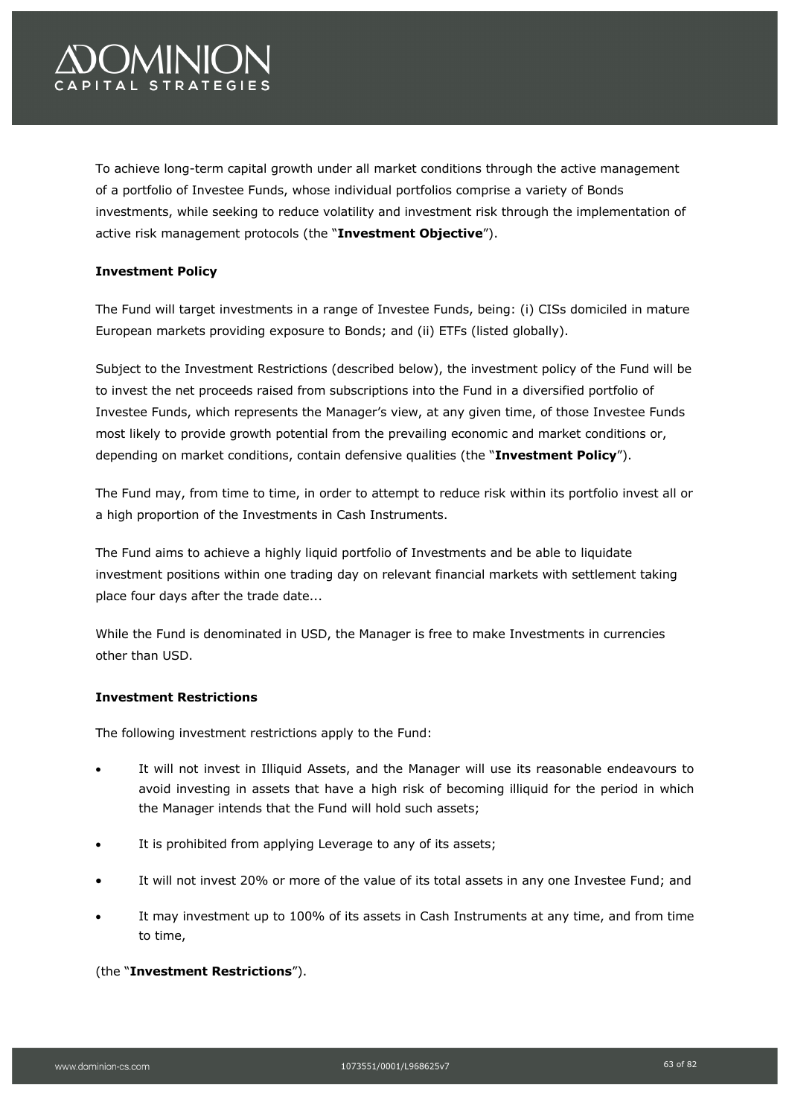# *OMINIO* PITAL STRATEGIES

To achieve long-term capital growth under all market conditions through the active management of a portfolio of Investee Funds, whose individual portfolios comprise a variety of Bonds investments, while seeking to reduce volatility and investment risk through the implementation of active risk management protocols (the "**Investment Objective**").

### **Investment Policy**

The Fund will target investments in a range of Investee Funds, being: (i) CISs domiciled in mature European markets providing exposure to Bonds; and (ii) ETFs (listed globally).

Subject to the Investment Restrictions (described below), the investment policy of the Fund will be to invest the net proceeds raised from subscriptions into the Fund in a diversified portfolio of Investee Funds, which represents the Manager's view, at any given time, of those Investee Funds most likely to provide growth potential from the prevailing economic and market conditions or, depending on market conditions, contain defensive qualities (the "**Investment Policy**").

The Fund may, from time to time, in order to attempt to reduce risk within its portfolio invest all or a high proportion of the Investments in Cash Instruments.

The Fund aims to achieve a highly liquid portfolio of Investments and be able to liquidate investment positions within one trading day on relevant financial markets with settlement taking place four days after the trade date...

While the Fund is denominated in USD, the Manager is free to make Investments in currencies other than USD.

### **Investment Restrictions**

The following investment restrictions apply to the Fund:

- It will not invest in Illiquid Assets, and the Manager will use its reasonable endeavours to avoid investing in assets that have a high risk of becoming illiquid for the period in which the Manager intends that the Fund will hold such assets;
- It is prohibited from applying Leverage to any of its assets;
- It will not invest 20% or more of the value of its total assets in any one Investee Fund; and
- It may investment up to 100% of its assets in Cash Instruments at any time, and from time to time,

### (the "**Investment Restrictions**").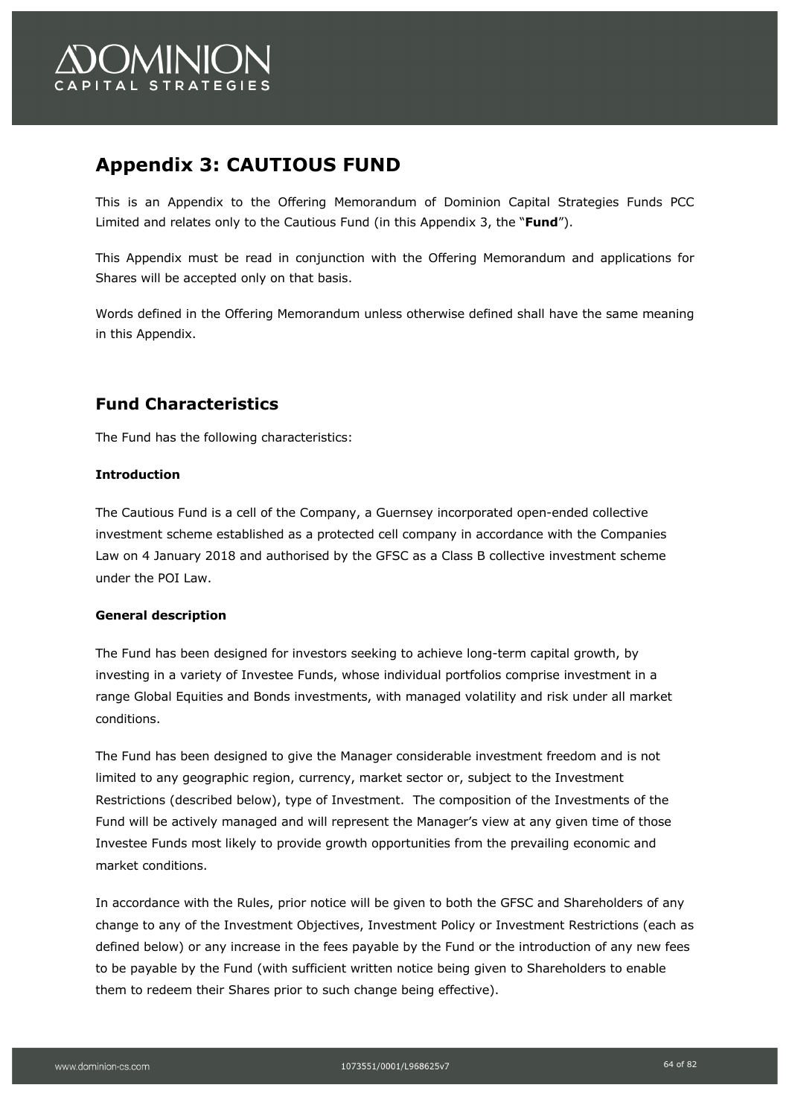

## **Appendix 3: CAUTIOUS FUND**

This is an Appendix to the Offering Memorandum of Dominion Capital Strategies Funds PCC Limited and relates only to the Cautious Fund (in this Appendix 3, the "**Fund**").

This Appendix must be read in conjunction with the Offering Memorandum and applications for Shares will be accepted only on that basis.

Words defined in the Offering Memorandum unless otherwise defined shall have the same meaning in this Appendix.

## **Fund Characteristics**

The Fund has the following characteristics:

### **Introduction**

The Cautious Fund is a cell of the Company, a Guernsey incorporated open-ended collective investment scheme established as a protected cell company in accordance with the Companies Law on 4 January 2018 and authorised by the GFSC as a Class B collective investment scheme under the POI Law.

### **General description**

The Fund has been designed for investors seeking to achieve long-term capital growth, by investing in a variety of Investee Funds, whose individual portfolios comprise investment in a range Global Equities and Bonds investments, with managed volatility and risk under all market conditions.

The Fund has been designed to give the Manager considerable investment freedom and is not limited to any geographic region, currency, market sector or, subject to the Investment Restrictions (described below), type of Investment. The composition of the Investments of the Fund will be actively managed and will represent the Manager's view at any given time of those Investee Funds most likely to provide growth opportunities from the prevailing economic and market conditions.

In accordance with the Rules, prior notice will be given to both the GFSC and Shareholders of any change to any of the Investment Objectives, Investment Policy or Investment Restrictions (each as defined below) or any increase in the fees payable by the Fund or the introduction of any new fees to be payable by the Fund (with sufficient written notice being given to Shareholders to enable them to redeem their Shares prior to such change being effective).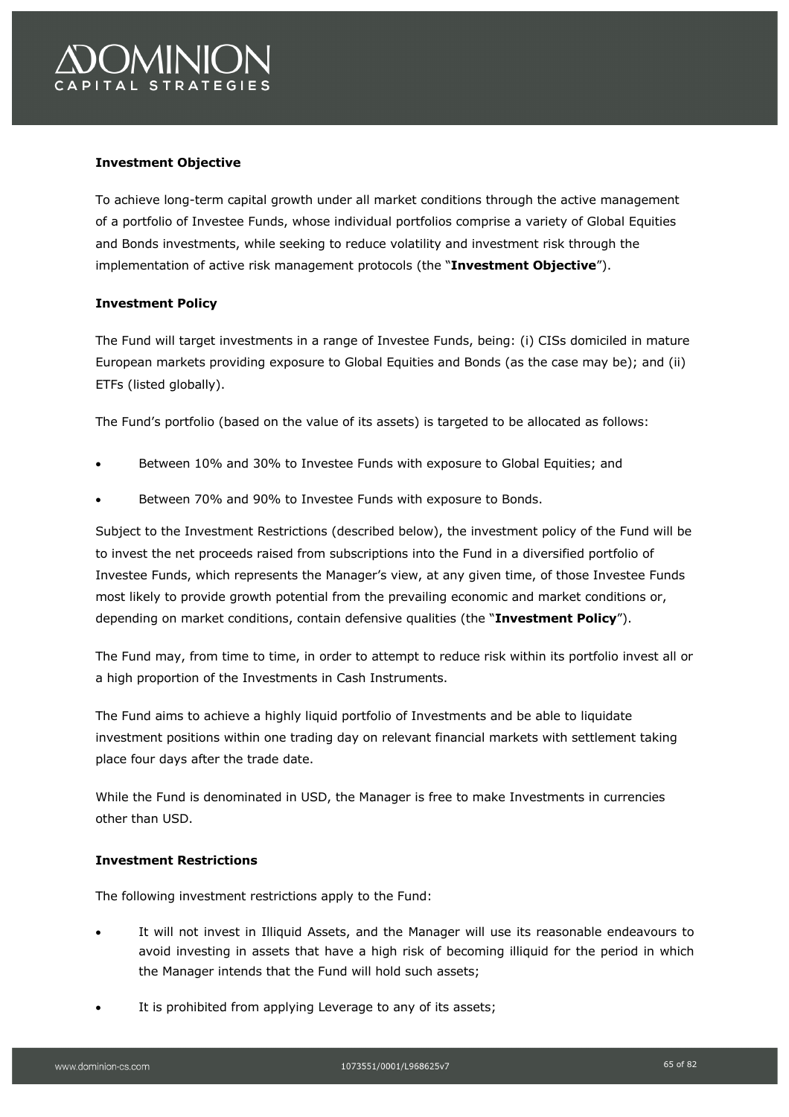

### **Investment Objective**

To achieve long-term capital growth under all market conditions through the active management of a portfolio of Investee Funds, whose individual portfolios comprise a variety of Global Equities and Bonds investments, while seeking to reduce volatility and investment risk through the implementation of active risk management protocols (the "**Investment Objective**").

### **Investment Policy**

The Fund will target investments in a range of Investee Funds, being: (i) CISs domiciled in mature European markets providing exposure to Global Equities and Bonds (as the case may be); and (ii) ETFs (listed globally).

The Fund's portfolio (based on the value of its assets) is targeted to be allocated as follows:

- Between 10% and 30% to Investee Funds with exposure to Global Equities; and
- Between 70% and 90% to Investee Funds with exposure to Bonds.

Subject to the Investment Restrictions (described below), the investment policy of the Fund will be to invest the net proceeds raised from subscriptions into the Fund in a diversified portfolio of Investee Funds, which represents the Manager's view, at any given time, of those Investee Funds most likely to provide growth potential from the prevailing economic and market conditions or, depending on market conditions, contain defensive qualities (the "**Investment Policy**").

The Fund may, from time to time, in order to attempt to reduce risk within its portfolio invest all or a high proportion of the Investments in Cash Instruments.

The Fund aims to achieve a highly liquid portfolio of Investments and be able to liquidate investment positions within one trading day on relevant financial markets with settlement taking place four days after the trade date.

While the Fund is denominated in USD, the Manager is free to make Investments in currencies other than USD.

### **Investment Restrictions**

The following investment restrictions apply to the Fund:

- It will not invest in Illiquid Assets, and the Manager will use its reasonable endeavours to avoid investing in assets that have a high risk of becoming illiquid for the period in which the Manager intends that the Fund will hold such assets;
- It is prohibited from applying Leverage to any of its assets;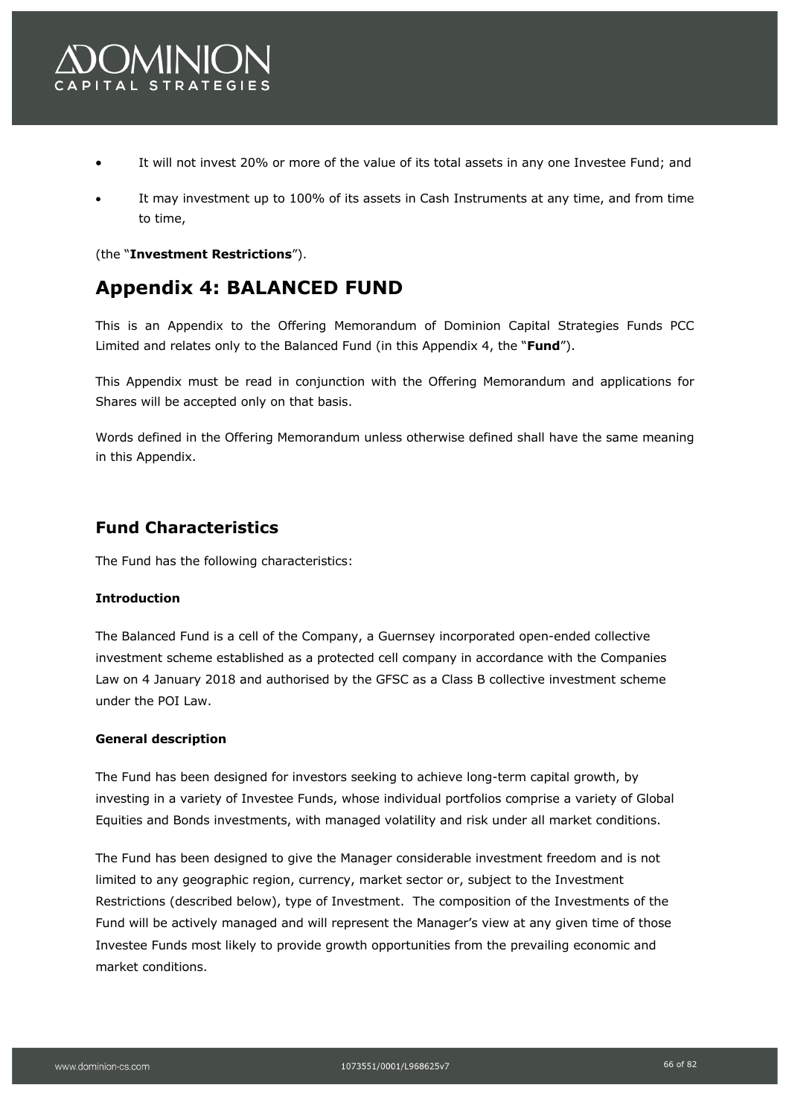

- It will not invest 20% or more of the value of its total assets in any one Investee Fund; and
- It may investment up to 100% of its assets in Cash Instruments at any time, and from time to time,

(the "**Investment Restrictions**").

## **Appendix 4: BALANCED FUND**

This is an Appendix to the Offering Memorandum of Dominion Capital Strategies Funds PCC Limited and relates only to the Balanced Fund (in this Appendix 4, the "**Fund**").

This Appendix must be read in conjunction with the Offering Memorandum and applications for Shares will be accepted only on that basis.

Words defined in the Offering Memorandum unless otherwise defined shall have the same meaning in this Appendix.

### **Fund Characteristics**

The Fund has the following characteristics:

### **Introduction**

The Balanced Fund is a cell of the Company, a Guernsey incorporated open-ended collective investment scheme established as a protected cell company in accordance with the Companies Law on 4 January 2018 and authorised by the GFSC as a Class B collective investment scheme under the POI Law.

### **General description**

The Fund has been designed for investors seeking to achieve long-term capital growth, by investing in a variety of Investee Funds, whose individual portfolios comprise a variety of Global Equities and Bonds investments, with managed volatility and risk under all market conditions.

The Fund has been designed to give the Manager considerable investment freedom and is not limited to any geographic region, currency, market sector or, subject to the Investment Restrictions (described below), type of Investment. The composition of the Investments of the Fund will be actively managed and will represent the Manager's view at any given time of those Investee Funds most likely to provide growth opportunities from the prevailing economic and market conditions.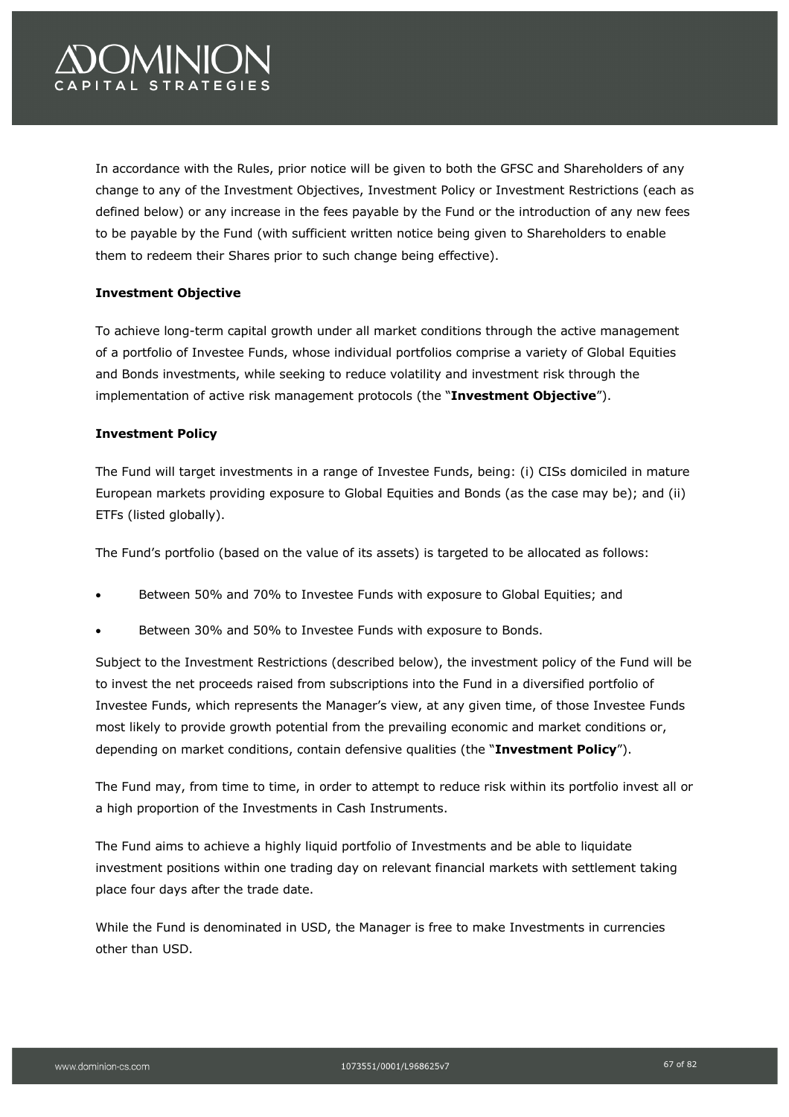# *COMINIC* PITAL STRATEGIES

In accordance with the Rules, prior notice will be given to both the GFSC and Shareholders of any change to any of the Investment Objectives, Investment Policy or Investment Restrictions (each as defined below) or any increase in the fees payable by the Fund or the introduction of any new fees to be payable by the Fund (with sufficient written notice being given to Shareholders to enable them to redeem their Shares prior to such change being effective).

### **Investment Objective**

To achieve long-term capital growth under all market conditions through the active management of a portfolio of Investee Funds, whose individual portfolios comprise a variety of Global Equities and Bonds investments, while seeking to reduce volatility and investment risk through the implementation of active risk management protocols (the "**Investment Objective**").

### **Investment Policy**

The Fund will target investments in a range of Investee Funds, being: (i) CISs domiciled in mature European markets providing exposure to Global Equities and Bonds (as the case may be); and (ii) ETFs (listed globally).

The Fund's portfolio (based on the value of its assets) is targeted to be allocated as follows:

- Between 50% and 70% to Investee Funds with exposure to Global Equities; and
- Between 30% and 50% to Investee Funds with exposure to Bonds.

Subject to the Investment Restrictions (described below), the investment policy of the Fund will be to invest the net proceeds raised from subscriptions into the Fund in a diversified portfolio of Investee Funds, which represents the Manager's view, at any given time, of those Investee Funds most likely to provide growth potential from the prevailing economic and market conditions or, depending on market conditions, contain defensive qualities (the "**Investment Policy**").

The Fund may, from time to time, in order to attempt to reduce risk within its portfolio invest all or a high proportion of the Investments in Cash Instruments.

The Fund aims to achieve a highly liquid portfolio of Investments and be able to liquidate investment positions within one trading day on relevant financial markets with settlement taking place four days after the trade date.

While the Fund is denominated in USD, the Manager is free to make Investments in currencies other than USD.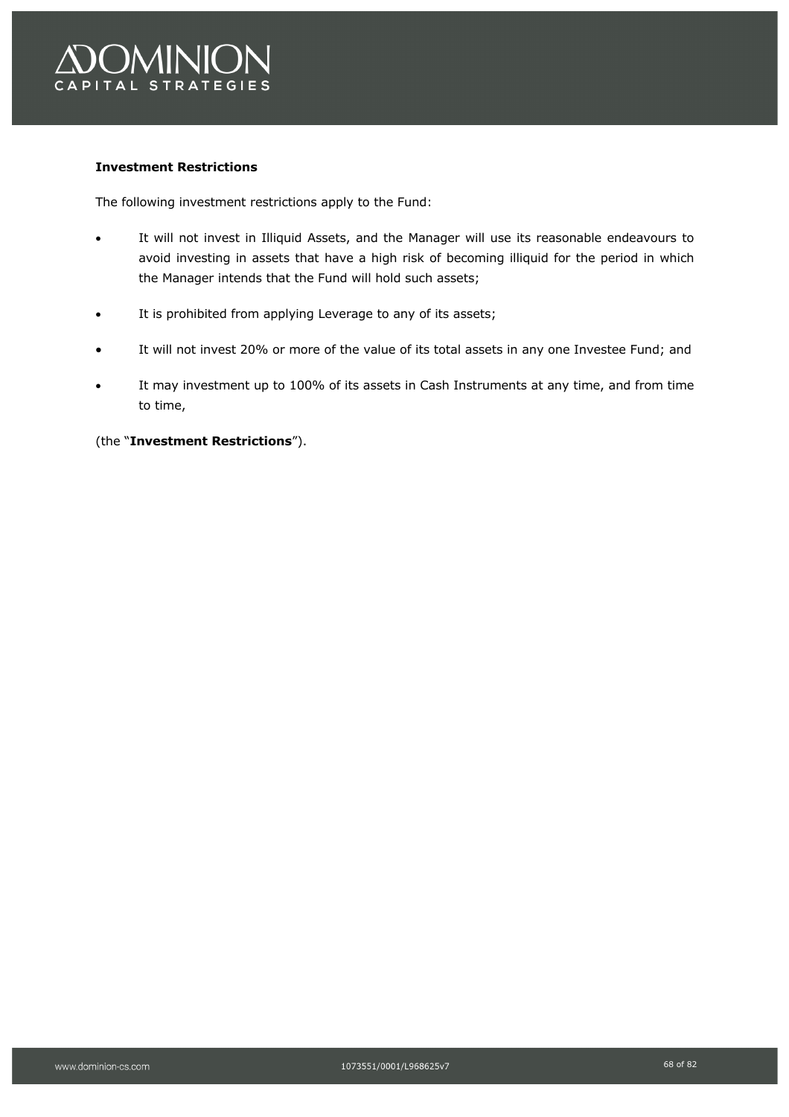

### **Investment Restrictions**

The following investment restrictions apply to the Fund:

- It will not invest in Illiquid Assets, and the Manager will use its reasonable endeavours to avoid investing in assets that have a high risk of becoming illiquid for the period in which the Manager intends that the Fund will hold such assets;
- It is prohibited from applying Leverage to any of its assets;
- It will not invest 20% or more of the value of its total assets in any one Investee Fund; and
- It may investment up to 100% of its assets in Cash Instruments at any time, and from time to time,

(the "**Investment Restrictions**").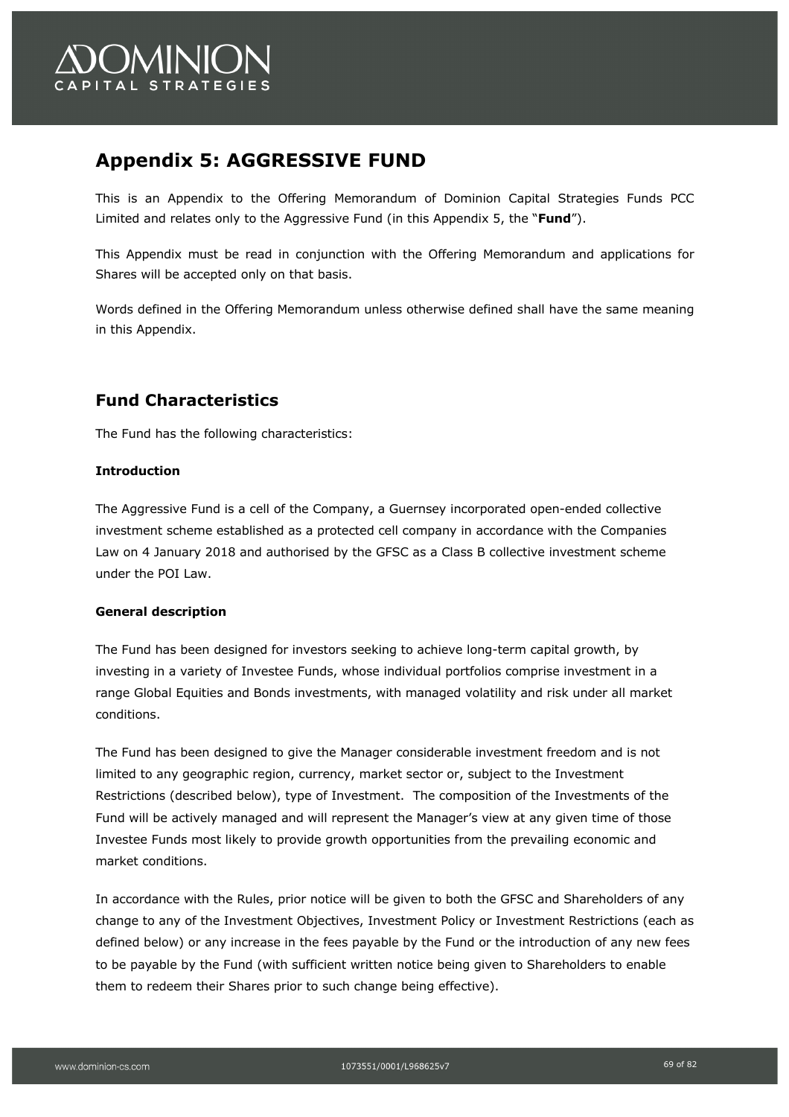

## **Appendix 5: AGGRESSIVE FUND**

This is an Appendix to the Offering Memorandum of Dominion Capital Strategies Funds PCC Limited and relates only to the Aggressive Fund (in this Appendix 5, the "**Fund**").

This Appendix must be read in conjunction with the Offering Memorandum and applications for Shares will be accepted only on that basis.

Words defined in the Offering Memorandum unless otherwise defined shall have the same meaning in this Appendix.

## **Fund Characteristics**

The Fund has the following characteristics:

### **Introduction**

The Aggressive Fund is a cell of the Company, a Guernsey incorporated open-ended collective investment scheme established as a protected cell company in accordance with the Companies Law on 4 January 2018 and authorised by the GFSC as a Class B collective investment scheme under the POI Law.

### **General description**

The Fund has been designed for investors seeking to achieve long-term capital growth, by investing in a variety of Investee Funds, whose individual portfolios comprise investment in a range Global Equities and Bonds investments, with managed volatility and risk under all market conditions.

The Fund has been designed to give the Manager considerable investment freedom and is not limited to any geographic region, currency, market sector or, subject to the Investment Restrictions (described below), type of Investment. The composition of the Investments of the Fund will be actively managed and will represent the Manager's view at any given time of those Investee Funds most likely to provide growth opportunities from the prevailing economic and market conditions.

In accordance with the Rules, prior notice will be given to both the GFSC and Shareholders of any change to any of the Investment Objectives, Investment Policy or Investment Restrictions (each as defined below) or any increase in the fees payable by the Fund or the introduction of any new fees to be payable by the Fund (with sufficient written notice being given to Shareholders to enable them to redeem their Shares prior to such change being effective).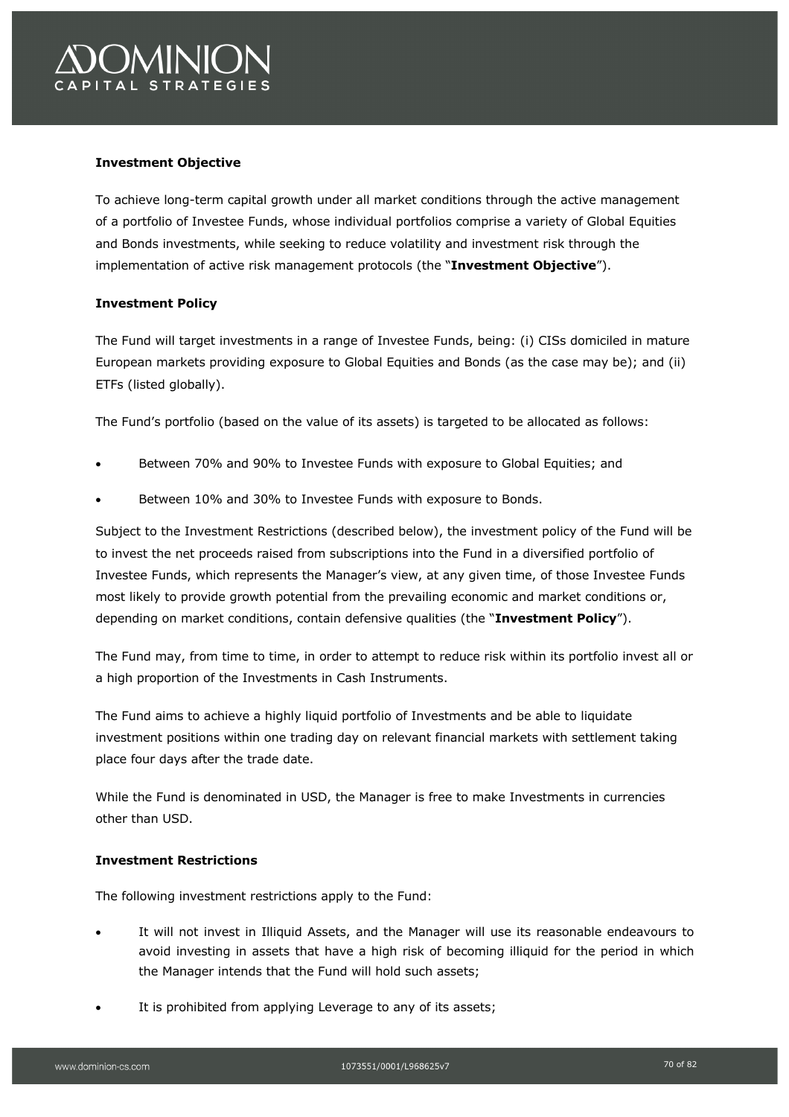

### **Investment Objective**

To achieve long-term capital growth under all market conditions through the active management of a portfolio of Investee Funds, whose individual portfolios comprise a variety of Global Equities and Bonds investments, while seeking to reduce volatility and investment risk through the implementation of active risk management protocols (the "**Investment Objective**").

### **Investment Policy**

The Fund will target investments in a range of Investee Funds, being: (i) CISs domiciled in mature European markets providing exposure to Global Equities and Bonds (as the case may be); and (ii) ETFs (listed globally).

The Fund's portfolio (based on the value of its assets) is targeted to be allocated as follows:

- Between 70% and 90% to Investee Funds with exposure to Global Equities; and
- Between 10% and 30% to Investee Funds with exposure to Bonds.

Subject to the Investment Restrictions (described below), the investment policy of the Fund will be to invest the net proceeds raised from subscriptions into the Fund in a diversified portfolio of Investee Funds, which represents the Manager's view, at any given time, of those Investee Funds most likely to provide growth potential from the prevailing economic and market conditions or, depending on market conditions, contain defensive qualities (the "**Investment Policy**").

The Fund may, from time to time, in order to attempt to reduce risk within its portfolio invest all or a high proportion of the Investments in Cash Instruments.

The Fund aims to achieve a highly liquid portfolio of Investments and be able to liquidate investment positions within one trading day on relevant financial markets with settlement taking place four days after the trade date.

While the Fund is denominated in USD, the Manager is free to make Investments in currencies other than USD.

### **Investment Restrictions**

The following investment restrictions apply to the Fund:

- It will not invest in Illiquid Assets, and the Manager will use its reasonable endeavours to avoid investing in assets that have a high risk of becoming illiquid for the period in which the Manager intends that the Fund will hold such assets;
- It is prohibited from applying Leverage to any of its assets;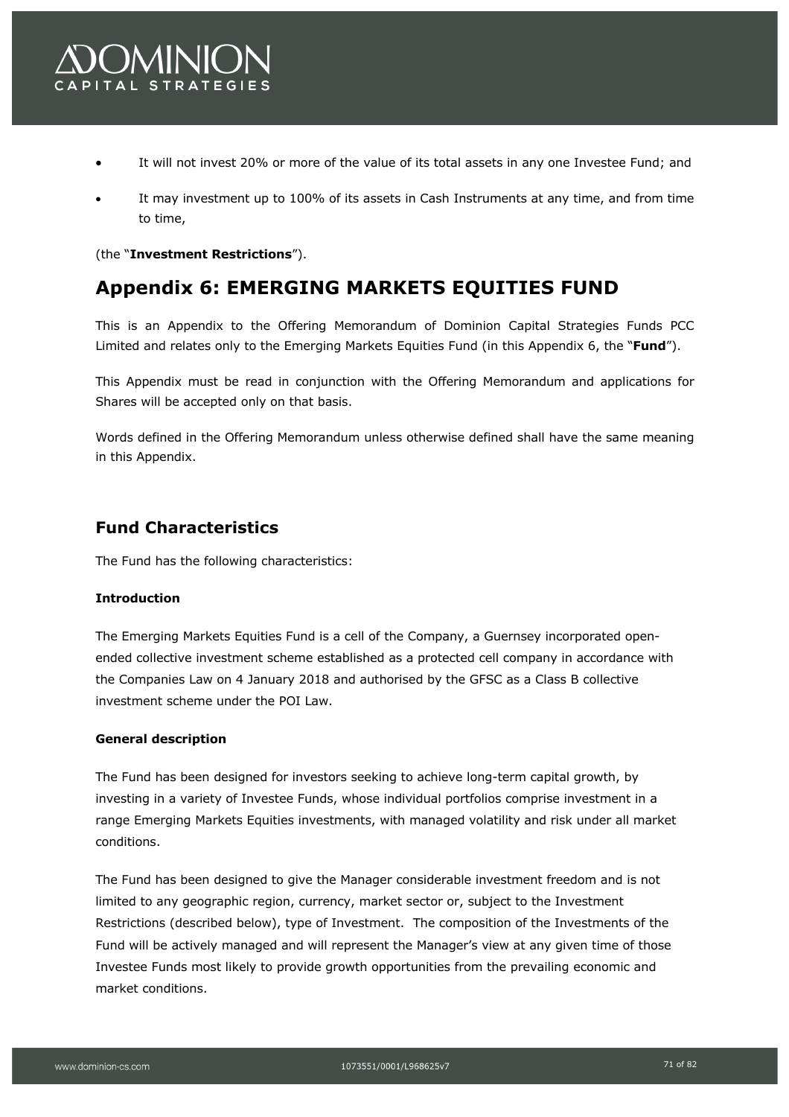

- It will not invest 20% or more of the value of its total assets in any one Investee Fund; and
- It may investment up to 100% of its assets in Cash Instruments at any time, and from time to time,

(the "**Investment Restrictions**").

## **Appendix 6: EMERGING MARKETS EQUITIES FUND**

This is an Appendix to the Offering Memorandum of Dominion Capital Strategies Funds PCC Limited and relates only to the Emerging Markets Equities Fund (in this Appendix 6, the "**Fund**").

This Appendix must be read in conjunction with the Offering Memorandum and applications for Shares will be accepted only on that basis.

Words defined in the Offering Memorandum unless otherwise defined shall have the same meaning in this Appendix.

### **Fund Characteristics**

The Fund has the following characteristics:

### **Introduction**

The Emerging Markets Equities Fund is a cell of the Company, a Guernsey incorporated openended collective investment scheme established as a protected cell company in accordance with the Companies Law on 4 January 2018 and authorised by the GFSC as a Class B collective investment scheme under the POI Law.

#### **General description**

The Fund has been designed for investors seeking to achieve long-term capital growth, by investing in a variety of Investee Funds, whose individual portfolios comprise investment in a range Emerging Markets Equities investments, with managed volatility and risk under all market conditions.

The Fund has been designed to give the Manager considerable investment freedom and is not limited to any geographic region, currency, market sector or, subject to the Investment Restrictions (described below), type of Investment. The composition of the Investments of the Fund will be actively managed and will represent the Manager's view at any given time of those Investee Funds most likely to provide growth opportunities from the prevailing economic and market conditions.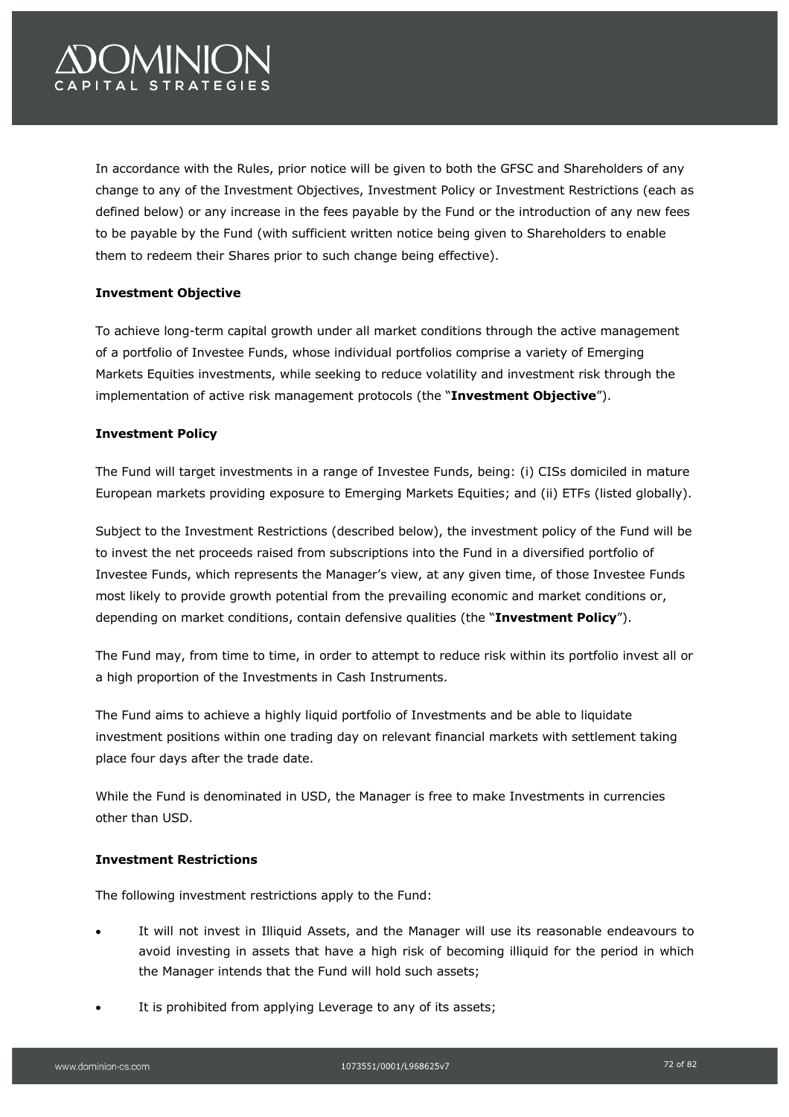# **OMINION** PITAL STRATEGIES

In accordance with the Rules, prior notice will be given to both the GFSC and Shareholders of any change to any of the Investment Objectives, Investment Policy or Investment Restrictions (each as defined below) or any increase in the fees payable by the Fund or the introduction of any new fees to be payable by the Fund (with sufficient written notice being given to Shareholders to enable them to redeem their Shares prior to such change being effective).

### **Investment Objective**

To achieve long-term capital growth under all market conditions through the active management of a portfolio of Investee Funds, whose individual portfolios comprise a variety of Emerging Markets Equities investments, while seeking to reduce volatility and investment risk through the implementation of active risk management protocols (the "**Investment Objective**").

### **Investment Policy**

The Fund will target investments in a range of Investee Funds, being: (i) CISs domiciled in mature European markets providing exposure to Emerging Markets Equities; and (ii) ETFs (listed globally).

Subject to the Investment Restrictions (described below), the investment policy of the Fund will be to invest the net proceeds raised from subscriptions into the Fund in a diversified portfolio of Investee Funds, which represents the Manager's view, at any given time, of those Investee Funds most likely to provide growth potential from the prevailing economic and market conditions or, depending on market conditions, contain defensive qualities (the "**Investment Policy**").

The Fund may, from time to time, in order to attempt to reduce risk within its portfolio invest all or a high proportion of the Investments in Cash Instruments.

The Fund aims to achieve a highly liquid portfolio of Investments and be able to liquidate investment positions within one trading day on relevant financial markets with settlement taking place four days after the trade date.

While the Fund is denominated in USD, the Manager is free to make Investments in currencies other than USD.

### **Investment Restrictions**

The following investment restrictions apply to the Fund:

- It will not invest in Illiquid Assets, and the Manager will use its reasonable endeavours to avoid investing in assets that have a high risk of becoming illiquid for the period in which the Manager intends that the Fund will hold such assets;
- It is prohibited from applying Leverage to any of its assets;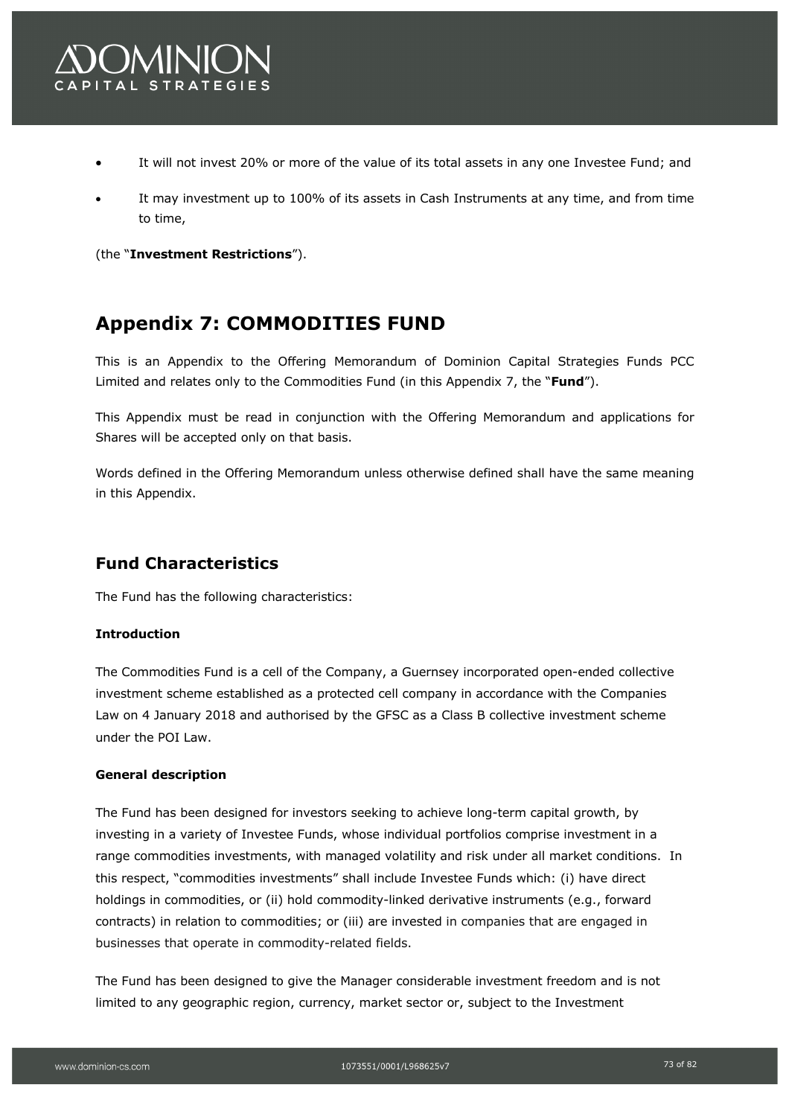

- It will not invest 20% or more of the value of its total assets in any one Investee Fund; and
- It may investment up to 100% of its assets in Cash Instruments at any time, and from time to time,

(the "**Investment Restrictions**").

# **Appendix 7: COMMODITIES FUND**

This is an Appendix to the Offering Memorandum of Dominion Capital Strategies Funds PCC Limited and relates only to the Commodities Fund (in this Appendix 7, the "**Fund**").

This Appendix must be read in conjunction with the Offering Memorandum and applications for Shares will be accepted only on that basis.

Words defined in the Offering Memorandum unless otherwise defined shall have the same meaning in this Appendix.

# **Fund Characteristics**

The Fund has the following characteristics:

# **Introduction**

The Commodities Fund is a cell of the Company, a Guernsey incorporated open-ended collective investment scheme established as a protected cell company in accordance with the Companies Law on 4 January 2018 and authorised by the GFSC as a Class B collective investment scheme under the POI Law.

# **General description**

The Fund has been designed for investors seeking to achieve long-term capital growth, by investing in a variety of Investee Funds, whose individual portfolios comprise investment in a range commodities investments, with managed volatility and risk under all market conditions. In this respect, "commodities investments" shall include Investee Funds which: (i) have direct holdings in commodities, or (ii) hold commodity-linked derivative instruments (e.g., forward contracts) in relation to commodities; or (iii) are invested in companies that are engaged in businesses that operate in commodity-related fields.

The Fund has been designed to give the Manager considerable investment freedom and is not limited to any geographic region, currency, market sector or, subject to the Investment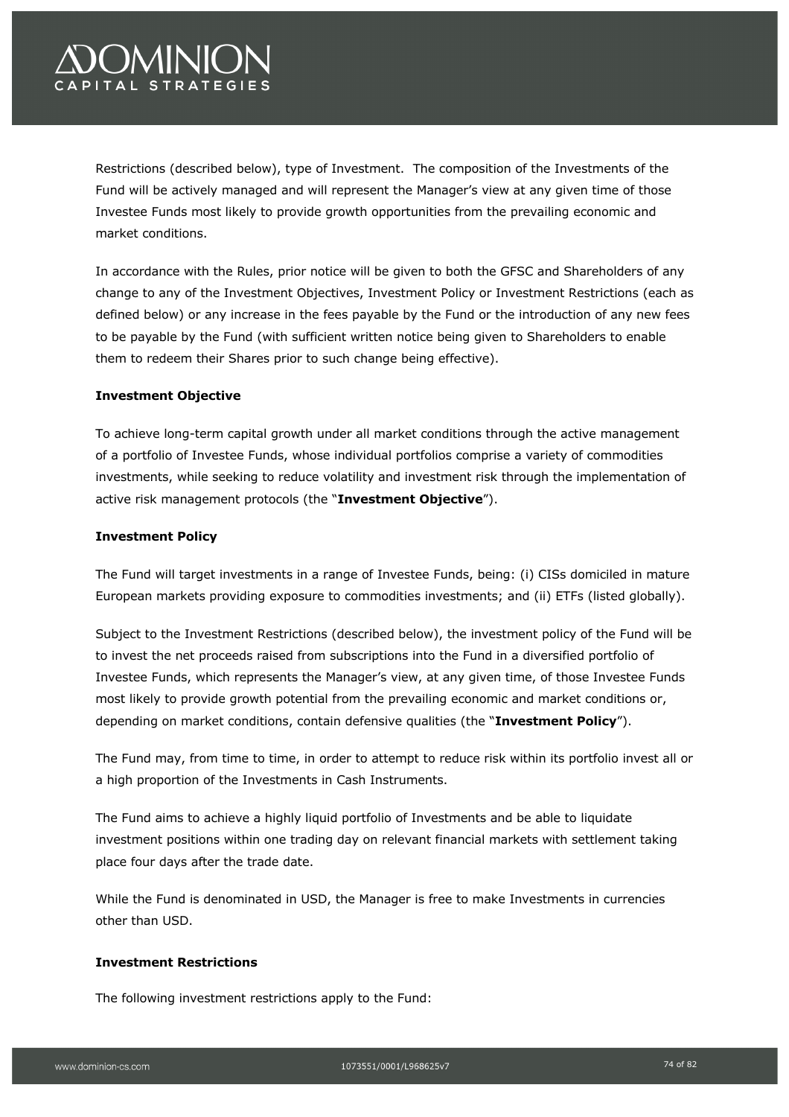# *OMINIC* PITAL STRATEGIES

Restrictions (described below), type of Investment. The composition of the Investments of the Fund will be actively managed and will represent the Manager's view at any given time of those Investee Funds most likely to provide growth opportunities from the prevailing economic and market conditions.

In accordance with the Rules, prior notice will be given to both the GFSC and Shareholders of any change to any of the Investment Objectives, Investment Policy or Investment Restrictions (each as defined below) or any increase in the fees payable by the Fund or the introduction of any new fees to be payable by the Fund (with sufficient written notice being given to Shareholders to enable them to redeem their Shares prior to such change being effective).

# **Investment Objective**

To achieve long-term capital growth under all market conditions through the active management of a portfolio of Investee Funds, whose individual portfolios comprise a variety of commodities investments, while seeking to reduce volatility and investment risk through the implementation of active risk management protocols (the "**Investment Objective**").

## **Investment Policy**

The Fund will target investments in a range of Investee Funds, being: (i) CISs domiciled in mature European markets providing exposure to commodities investments; and (ii) ETFs (listed globally).

Subject to the Investment Restrictions (described below), the investment policy of the Fund will be to invest the net proceeds raised from subscriptions into the Fund in a diversified portfolio of Investee Funds, which represents the Manager's view, at any given time, of those Investee Funds most likely to provide growth potential from the prevailing economic and market conditions or, depending on market conditions, contain defensive qualities (the "**Investment Policy**").

The Fund may, from time to time, in order to attempt to reduce risk within its portfolio invest all or a high proportion of the Investments in Cash Instruments.

The Fund aims to achieve a highly liquid portfolio of Investments and be able to liquidate investment positions within one trading day on relevant financial markets with settlement taking place four days after the trade date.

While the Fund is denominated in USD, the Manager is free to make Investments in currencies other than USD.

## **Investment Restrictions**

The following investment restrictions apply to the Fund: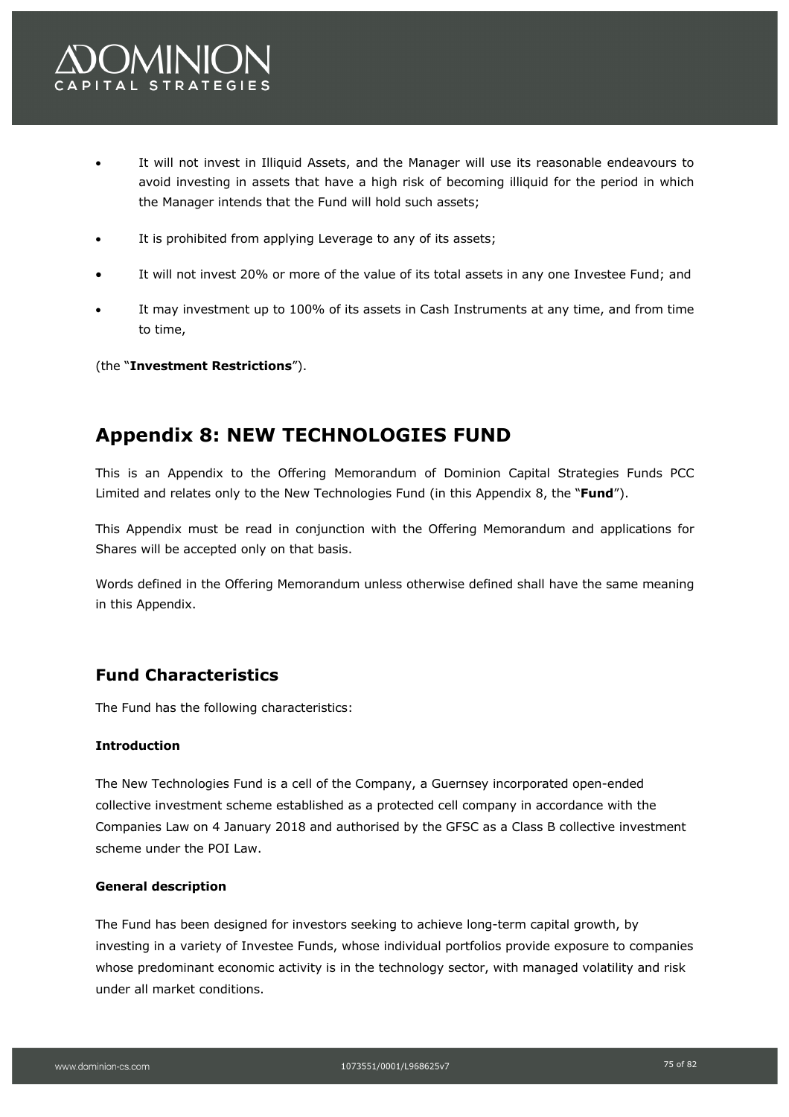- It will not invest in Illiquid Assets, and the Manager will use its reasonable endeavours to avoid investing in assets that have a high risk of becoming illiquid for the period in which the Manager intends that the Fund will hold such assets;
- It is prohibited from applying Leverage to any of its assets;
- It will not invest 20% or more of the value of its total assets in any one Investee Fund; and
- It may investment up to 100% of its assets in Cash Instruments at any time, and from time to time,

(the "**Investment Restrictions**").

# **Appendix 8: NEW TECHNOLOGIES FUND**

This is an Appendix to the Offering Memorandum of Dominion Capital Strategies Funds PCC Limited and relates only to the New Technologies Fund (in this Appendix 8, the "**Fund**").

This Appendix must be read in conjunction with the Offering Memorandum and applications for Shares will be accepted only on that basis.

Words defined in the Offering Memorandum unless otherwise defined shall have the same meaning in this Appendix.

# **Fund Characteristics**

The Fund has the following characteristics:

# **Introduction**

The New Technologies Fund is a cell of the Company, a Guernsey incorporated open-ended collective investment scheme established as a protected cell company in accordance with the Companies Law on 4 January 2018 and authorised by the GFSC as a Class B collective investment scheme under the POI Law.

# **General description**

The Fund has been designed for investors seeking to achieve long-term capital growth, by investing in a variety of Investee Funds, whose individual portfolios provide exposure to companies whose predominant economic activity is in the technology sector, with managed volatility and risk under all market conditions.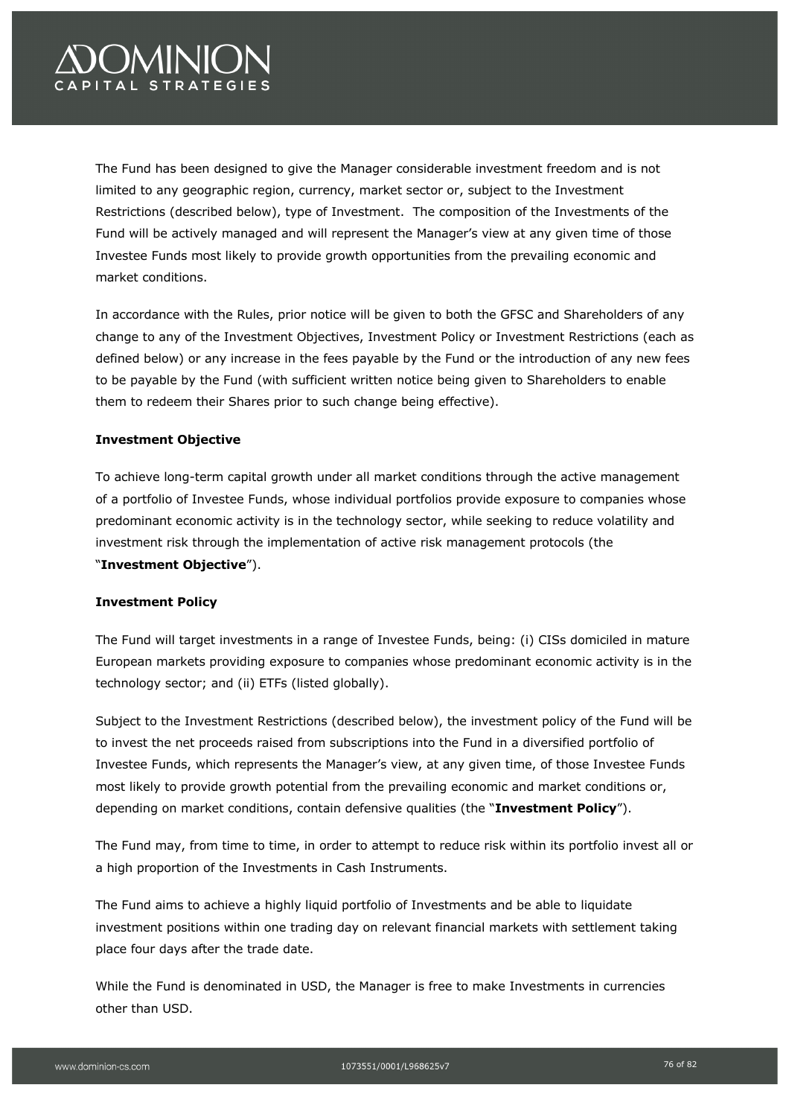# OMINION PITAL STRATEGIES

The Fund has been designed to give the Manager considerable investment freedom and is not limited to any geographic region, currency, market sector or, subject to the Investment Restrictions (described below), type of Investment. The composition of the Investments of the Fund will be actively managed and will represent the Manager's view at any given time of those Investee Funds most likely to provide growth opportunities from the prevailing economic and market conditions.

In accordance with the Rules, prior notice will be given to both the GFSC and Shareholders of any change to any of the Investment Objectives, Investment Policy or Investment Restrictions (each as defined below) or any increase in the fees payable by the Fund or the introduction of any new fees to be payable by the Fund (with sufficient written notice being given to Shareholders to enable them to redeem their Shares prior to such change being effective).

# **Investment Objective**

To achieve long-term capital growth under all market conditions through the active management of a portfolio of Investee Funds, whose individual portfolios provide exposure to companies whose predominant economic activity is in the technology sector, while seeking to reduce volatility and investment risk through the implementation of active risk management protocols (the "**Investment Objective**").

## **Investment Policy**

The Fund will target investments in a range of Investee Funds, being: (i) CISs domiciled in mature European markets providing exposure to companies whose predominant economic activity is in the technology sector; and (ii) ETFs (listed globally).

Subject to the Investment Restrictions (described below), the investment policy of the Fund will be to invest the net proceeds raised from subscriptions into the Fund in a diversified portfolio of Investee Funds, which represents the Manager's view, at any given time, of those Investee Funds most likely to provide growth potential from the prevailing economic and market conditions or, depending on market conditions, contain defensive qualities (the "**Investment Policy**").

The Fund may, from time to time, in order to attempt to reduce risk within its portfolio invest all or a high proportion of the Investments in Cash Instruments.

The Fund aims to achieve a highly liquid portfolio of Investments and be able to liquidate investment positions within one trading day on relevant financial markets with settlement taking place four days after the trade date.

While the Fund is denominated in USD, the Manager is free to make Investments in currencies other than USD.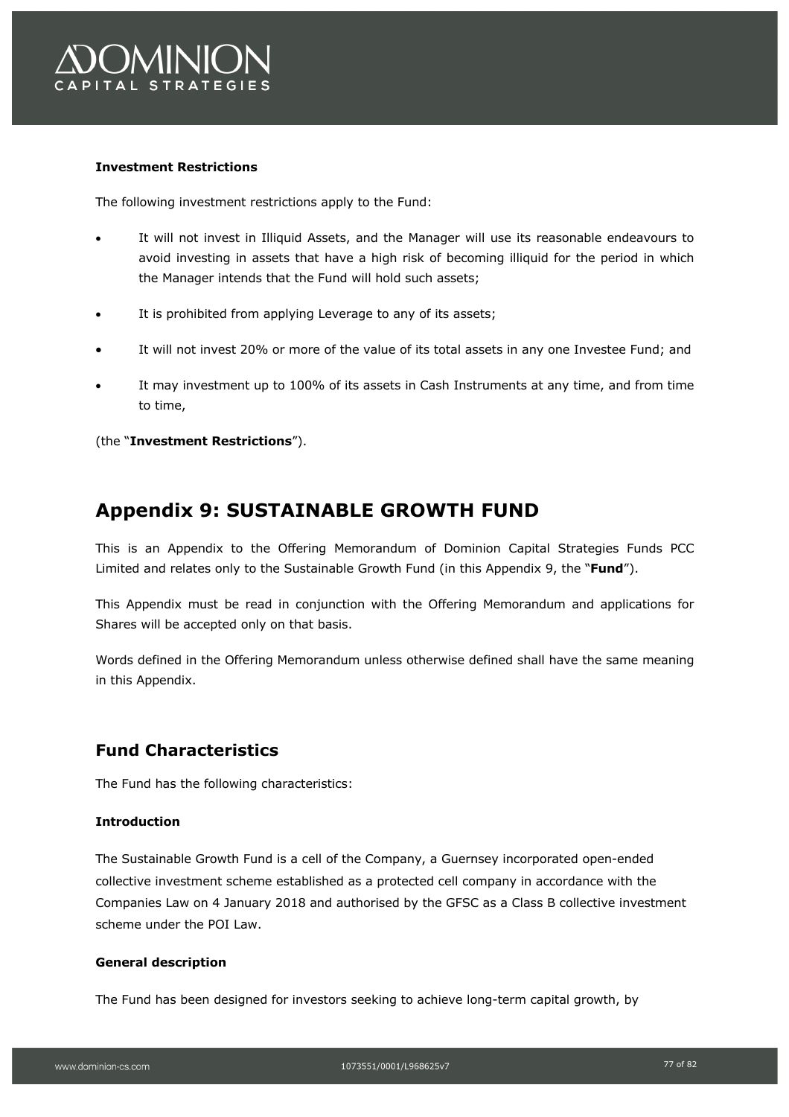

# **Investment Restrictions**

The following investment restrictions apply to the Fund:

- It will not invest in Illiquid Assets, and the Manager will use its reasonable endeavours to avoid investing in assets that have a high risk of becoming illiquid for the period in which the Manager intends that the Fund will hold such assets;
- It is prohibited from applying Leverage to any of its assets;
- It will not invest 20% or more of the value of its total assets in any one Investee Fund; and
- It may investment up to 100% of its assets in Cash Instruments at any time, and from time to time,

(the "**Investment Restrictions**").

# **Appendix 9: SUSTAINABLE GROWTH FUND**

This is an Appendix to the Offering Memorandum of Dominion Capital Strategies Funds PCC Limited and relates only to the Sustainable Growth Fund (in this Appendix 9, the "**Fund**").

This Appendix must be read in conjunction with the Offering Memorandum and applications for Shares will be accepted only on that basis.

Words defined in the Offering Memorandum unless otherwise defined shall have the same meaning in this Appendix.

# **Fund Characteristics**

The Fund has the following characteristics:

# **Introduction**

The Sustainable Growth Fund is a cell of the Company, a Guernsey incorporated open-ended collective investment scheme established as a protected cell company in accordance with the Companies Law on 4 January 2018 and authorised by the GFSC as a Class B collective investment scheme under the POI Law.

#### **General description**

The Fund has been designed for investors seeking to achieve long-term capital growth, by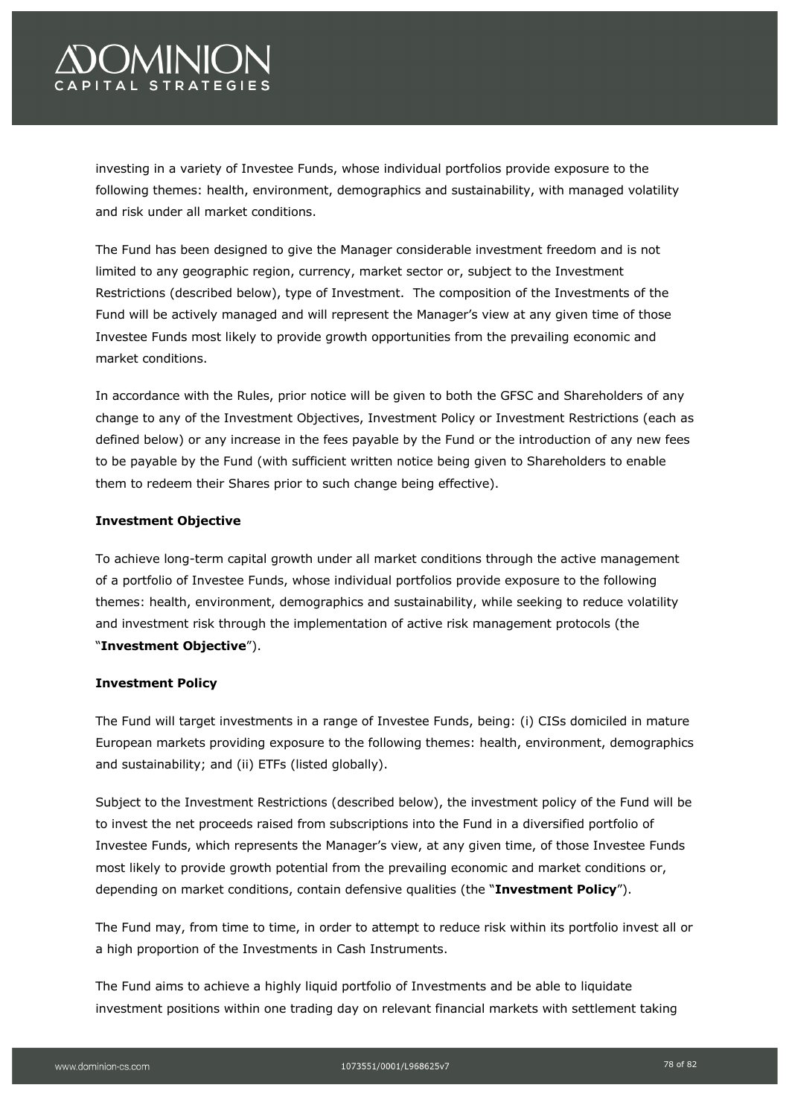# **OMINION** PITAL STRATEGIES

investing in a variety of Investee Funds, whose individual portfolios provide exposure to the following themes: health, environment, demographics and sustainability, with managed volatility and risk under all market conditions.

The Fund has been designed to give the Manager considerable investment freedom and is not limited to any geographic region, currency, market sector or, subject to the Investment Restrictions (described below), type of Investment. The composition of the Investments of the Fund will be actively managed and will represent the Manager's view at any given time of those Investee Funds most likely to provide growth opportunities from the prevailing economic and market conditions.

In accordance with the Rules, prior notice will be given to both the GFSC and Shareholders of any change to any of the Investment Objectives, Investment Policy or Investment Restrictions (each as defined below) or any increase in the fees payable by the Fund or the introduction of any new fees to be payable by the Fund (with sufficient written notice being given to Shareholders to enable them to redeem their Shares prior to such change being effective).

# **Investment Objective**

To achieve long-term capital growth under all market conditions through the active management of a portfolio of Investee Funds, whose individual portfolios provide exposure to the following themes: health, environment, demographics and sustainability, while seeking to reduce volatility and investment risk through the implementation of active risk management protocols (the "**Investment Objective**").

# **Investment Policy**

The Fund will target investments in a range of Investee Funds, being: (i) CISs domiciled in mature European markets providing exposure to the following themes: health, environment, demographics and sustainability; and (ii) ETFs (listed globally).

Subject to the Investment Restrictions (described below), the investment policy of the Fund will be to invest the net proceeds raised from subscriptions into the Fund in a diversified portfolio of Investee Funds, which represents the Manager's view, at any given time, of those Investee Funds most likely to provide growth potential from the prevailing economic and market conditions or, depending on market conditions, contain defensive qualities (the "**Investment Policy**").

The Fund may, from time to time, in order to attempt to reduce risk within its portfolio invest all or a high proportion of the Investments in Cash Instruments.

The Fund aims to achieve a highly liquid portfolio of Investments and be able to liquidate investment positions within one trading day on relevant financial markets with settlement taking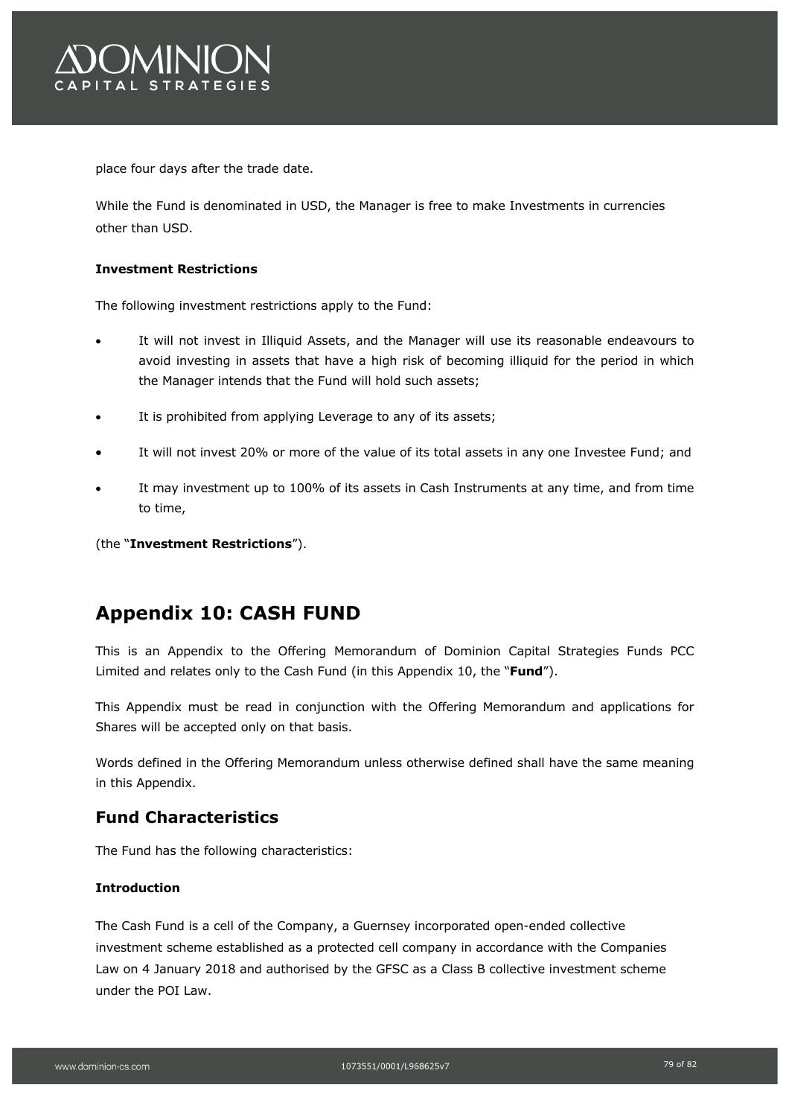

place four days after the trade date.

While the Fund is denominated in USD, the Manager is free to make Investments in currencies other than USD.

## **Investment Restrictions**

The following investment restrictions apply to the Fund:

- It will not invest in Illiquid Assets, and the Manager will use its reasonable endeavours to avoid investing in assets that have a high risk of becoming illiquid for the period in which the Manager intends that the Fund will hold such assets;
- It is prohibited from applying Leverage to any of its assets;
- It will not invest 20% or more of the value of its total assets in any one Investee Fund; and
- It may investment up to 100% of its assets in Cash Instruments at any time, and from time to time,

(the "**Investment Restrictions**").

# **Appendix 10: CASH FUND**

This is an Appendix to the Offering Memorandum of Dominion Capital Strategies Funds PCC Limited and relates only to the Cash Fund (in this Appendix 10, the "**Fund**").

This Appendix must be read in conjunction with the Offering Memorandum and applications for Shares will be accepted only on that basis.

Words defined in the Offering Memorandum unless otherwise defined shall have the same meaning in this Appendix.

# **Fund Characteristics**

The Fund has the following characteristics:

## **Introduction**

The Cash Fund is a cell of the Company, a Guernsey incorporated open-ended collective investment scheme established as a protected cell company in accordance with the Companies Law on 4 January 2018 and authorised by the GFSC as a Class B collective investment scheme under the POI Law.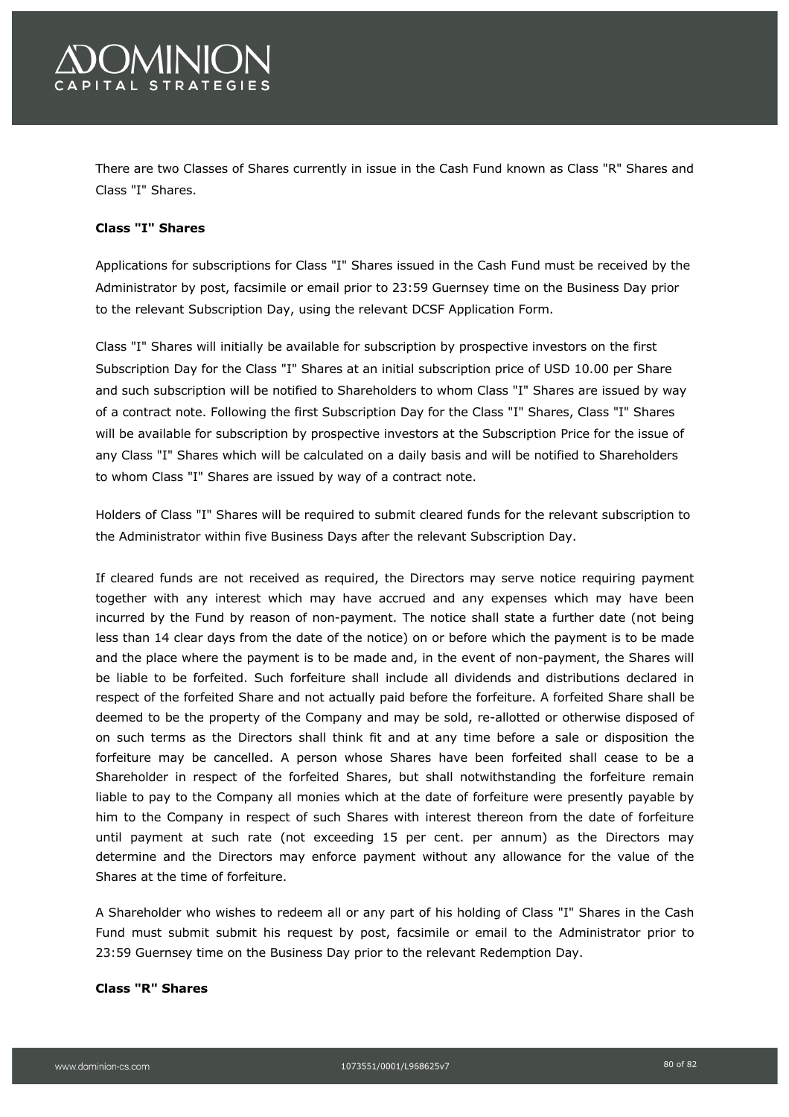

There are two Classes of Shares currently in issue in the Cash Fund known as Class "R" Shares and Class "I" Shares.

## **Class "I" Shares**

Applications for subscriptions for Class "I" Shares issued in the Cash Fund must be received by the Administrator by post, facsimile or email prior to 23:59 Guernsey time on the Business Day prior to the relevant Subscription Day, using the relevant DCSF Application Form.

Class "I" Shares will initially be available for subscription by prospective investors on the first Subscription Day for the Class "I" Shares at an initial subscription price of USD 10.00 per Share and such subscription will be notified to Shareholders to whom Class "I" Shares are issued by way of a contract note. Following the first Subscription Day for the Class "I" Shares, Class "I" Shares will be available for subscription by prospective investors at the Subscription Price for the issue of any Class "I" Shares which will be calculated on a daily basis and will be notified to Shareholders to whom Class "I" Shares are issued by way of a contract note.

Holders of Class "I" Shares will be required to submit cleared funds for the relevant subscription to the Administrator within five Business Days after the relevant Subscription Day.

If cleared funds are not received as required, the Directors may serve notice requiring payment together with any interest which may have accrued and any expenses which may have been incurred by the Fund by reason of non-payment. The notice shall state a further date (not being less than 14 clear days from the date of the notice) on or before which the payment is to be made and the place where the payment is to be made and, in the event of non-payment, the Shares will be liable to be forfeited. Such forfeiture shall include all dividends and distributions declared in respect of the forfeited Share and not actually paid before the forfeiture. A forfeited Share shall be deemed to be the property of the Company and may be sold, re-allotted or otherwise disposed of on such terms as the Directors shall think fit and at any time before a sale or disposition the forfeiture may be cancelled. A person whose Shares have been forfeited shall cease to be a Shareholder in respect of the forfeited Shares, but shall notwithstanding the forfeiture remain liable to pay to the Company all monies which at the date of forfeiture were presently payable by him to the Company in respect of such Shares with interest thereon from the date of forfeiture until payment at such rate (not exceeding 15 per cent. per annum) as the Directors may determine and the Directors may enforce payment without any allowance for the value of the Shares at the time of forfeiture.

A Shareholder who wishes to redeem all or any part of his holding of Class "I" Shares in the Cash Fund must submit submit his request by post, facsimile or email to the Administrator prior to 23:59 Guernsey time on the Business Day prior to the relevant Redemption Day.

#### **Class "R" Shares**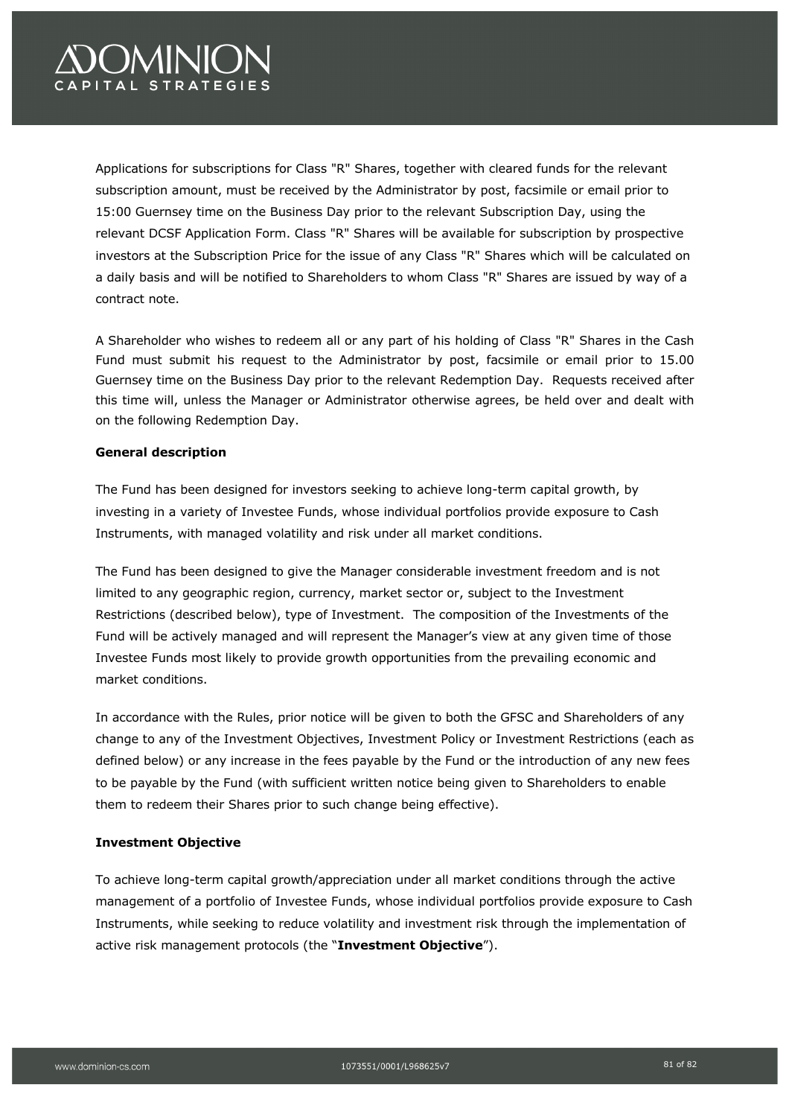# *OMINIC* PITAL STRATEGIES

Applications for subscriptions for Class "R" Shares, together with cleared funds for the relevant subscription amount, must be received by the Administrator by post, facsimile or email prior to 15:00 Guernsey time on the Business Day prior to the relevant Subscription Day, using the relevant DCSF Application Form. Class "R" Shares will be available for subscription by prospective investors at the Subscription Price for the issue of any Class "R" Shares which will be calculated on a daily basis and will be notified to Shareholders to whom Class "R" Shares are issued by way of a contract note.

A Shareholder who wishes to redeem all or any part of his holding of Class "R" Shares in the Cash Fund must submit his request to the Administrator by post, facsimile or email prior to 15.00 Guernsey time on the Business Day prior to the relevant Redemption Day. Requests received after this time will, unless the Manager or Administrator otherwise agrees, be held over and dealt with on the following Redemption Day.

## **General description**

The Fund has been designed for investors seeking to achieve long-term capital growth, by investing in a variety of Investee Funds, whose individual portfolios provide exposure to Cash Instruments, with managed volatility and risk under all market conditions.

The Fund has been designed to give the Manager considerable investment freedom and is not limited to any geographic region, currency, market sector or, subject to the Investment Restrictions (described below), type of Investment. The composition of the Investments of the Fund will be actively managed and will represent the Manager's view at any given time of those Investee Funds most likely to provide growth opportunities from the prevailing economic and market conditions.

In accordance with the Rules, prior notice will be given to both the GFSC and Shareholders of any change to any of the Investment Objectives, Investment Policy or Investment Restrictions (each as defined below) or any increase in the fees payable by the Fund or the introduction of any new fees to be payable by the Fund (with sufficient written notice being given to Shareholders to enable them to redeem their Shares prior to such change being effective).

## **Investment Objective**

To achieve long-term capital growth/appreciation under all market conditions through the active management of a portfolio of Investee Funds, whose individual portfolios provide exposure to Cash Instruments, while seeking to reduce volatility and investment risk through the implementation of active risk management protocols (the "**Investment Objective**").